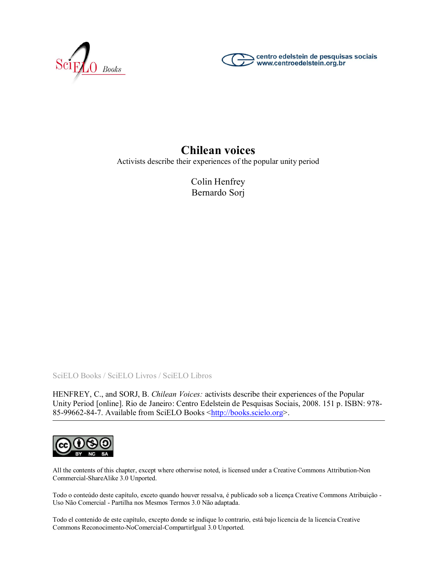



# Chilean voices

Activists describe their experiences of the popular unity period

Colin Henfrey Bernardo Sorj

SciELO Books / SciELO Livros / SciELO Libros

HENFREY, C., and SORJ, B. Chilean Voices: activists describe their experiences of the Popular Unity Period [online]. Rio de Janeiro: Centro Edelstein de Pesquisas Sociais, 2008. 151 p. ISBN: 978- 85-99662-84-7. Available from SciELO Books <http://books.scielo.org>.



All the contents of this chapter, except where otherwise noted, is licensed under a Creative Commons Attribution-Non Commercial-ShareAlike 3.0 Unported.

Todo o conteúdo deste capítulo, exceto quando houver ressalva, é publicado sob a licença Creative Commons Atribuição - Uso Não Comercial - Partilha nos Mesmos Termos 3.0 Não adaptada.

Todo el contenido de este capítulo, excepto donde se indique lo contrario, está bajo licencia de la licencia Creative Commons Reconocimento-NoComercial-CompartirIgual 3.0 Unported.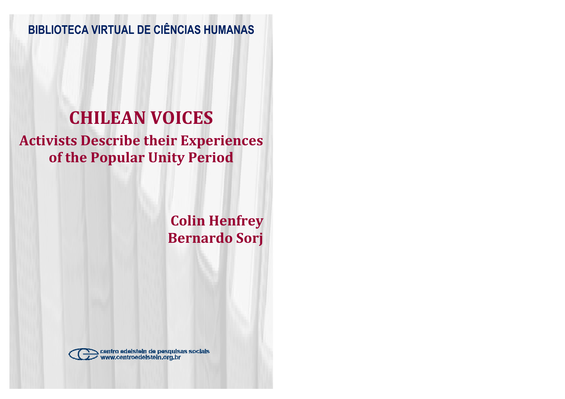BIBLIOTECA VIRTUAL DE CIÊNCIAS HUMANAS

# CHILEAN VOICES

 Activists Describe their Experiences of the Popular Unity Period<br>the Popular<br>Colin Henfrey

Colin HenfreyBernardo Sorj

centro edelstein de pesquisas sociais<br>www.centroedelstein.org.br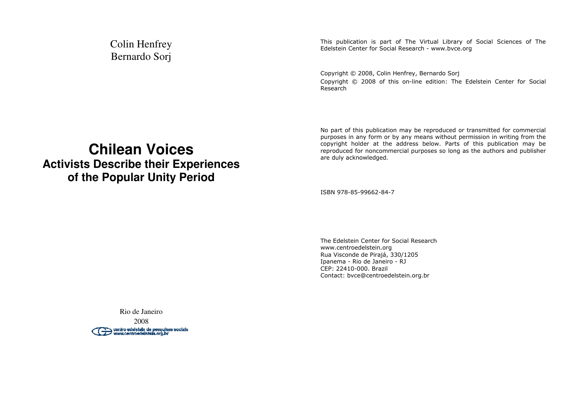Colin Henfrey Bernardo Sorj

Edelstein Center for Social Research - www.bvce.org

Copyright © 2008, Colin Henfrey, Bernardo Sorj Copyright © 2008 of this on-line edition: The Edelstein Center for Social Research

# **Chilean Voices Activists Describe their Experiences of the Popular Unity Period**

Colin Henfrey<br>
Bernardo Sorj<br>
Bernardo Sorj<br>
Edistrict Christelland Christelland Christelland Christelland Christelland Christelland Christelland Convergence<br>
Convergence of this publication may be reproduced or transmitte No part of this publication may be reproduced or transmitted for commercial purposes in any form or by any means without permission in writing from the copyright holder at the address below. Parts of this publication may be reproduced for noncommercial purposes so long as the authors and publisher are duly acknowledged.

ISBN 978-85-99662-84-7

The Edelstein Center for Social Research www.centroedelstein.org Rua Visconde de Pirajá, 330/1205 Ipanema - Rio de Janeiro - RJ CEP: 22410-000. Brazil Contact: bvce@centroedelstein.org.br

Rio de Janeiro 2008centro edelstein de pesquisas sociais<br>www.centroedelstein.org.br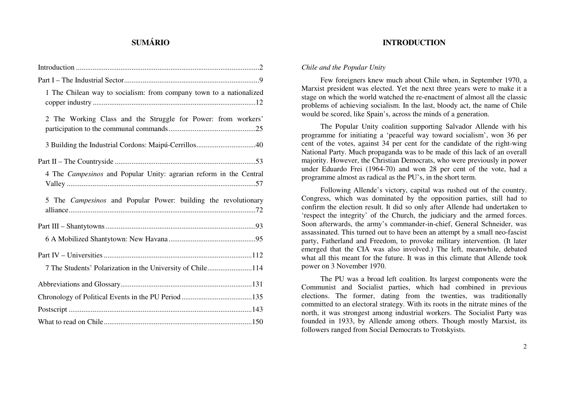# **SUMÁRIO**

| 1 The Chilean way to socialism: from company town to a nationalized   |
|-----------------------------------------------------------------------|
| 2 The Working Class and the Struggle for Power: from workers'         |
| 3 Building the Industrial Cordons: Maipú-Cerrillos40                  |
|                                                                       |
| 4 The Campesinos and Popular Unity: agrarian reform in the Central    |
| 5 The <i>Campesinos</i> and Popular Power: building the revolutionary |
|                                                                       |
|                                                                       |
|                                                                       |
| 7 The Students' Polarization in the University of Chile114            |
|                                                                       |
|                                                                       |
|                                                                       |
|                                                                       |

# **INTRODUCTION**

#### *Chile and the Popular Unity*

Few foreigners knew much about Chile when, in September 1970, a Marxist president was elected. Yet the next three years were to make it a stage on which the world watched the re-enactment of almost all the classic problems of achieving socialism. In the last, bloody act, the name of Chile would be scored, like Spain's, across the minds of a generation.

The Popular Unity coalition supporting Salvador Allende with his programme for initiating a 'peaceful way toward socialism', won 36 per cent of the votes, against 34 per cent for the candidate of the right-wing National Party. Much propaganda was to be made of this lack of an overall majority. However, the Christian Democrats, who were previously in power under Eduardo Frei (1964-70) and won 28 per cent of the vote, had a programme almost as radical as the PU's, in the short term.

Following Allende's victory, capital was rushed out of the country. Congress, which was dominated by the opposition parties, still had to confirm the election result. It did so only after Allende had undertaken to 'respect the integrity' of the Church, the judiciary and the armed forces. Soon afterwards, the army's commander-in-chief, General Schneider, was assassinated. This turned out to have been an attempt by a small neo-fascist party, Fatherland and Freedom, to provoke military intervention. (It later emerged that the CIA was also involved.) The left, meanwhile, debated what all this meant for the future. It was in this climate that Allende took power on 3 November 1970.

The PU was a broad left coalition. Its largest components were the Communist and Socialist parties, which had combined in previous elections. The former, dating from the twenties, was traditionally committed to an electoral strategy. With its roots in the nitrate mines of the north, it was strongest among industrial workers. The Socialist Party was founded in 1933, by Allende among others. Though mostly Marxist, its followers ranged from Social Democrats to Trotskyists.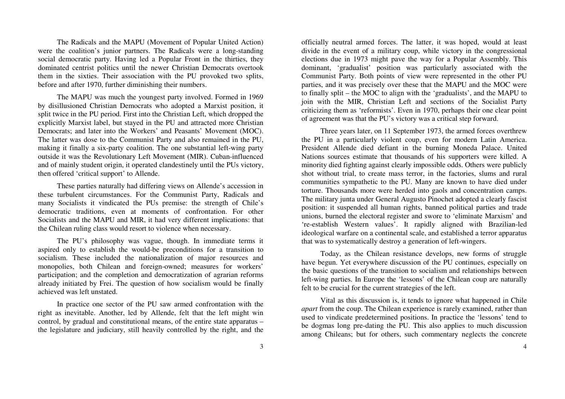The Radicals and the MAPU (Movement of Popular United Action) were the coalition's junior partners. The Radicals were a long-standing social democratic party. Having led a Popular Front in the thirties, they dominated centrist politics until the newer Christian Democrats overtook them in the sixties. Their association with the PU provoked two splits, before and after 1970, further diminishing their numbers.

The MAPU was much the youngest party involved. Formed in 1969 by disillusioned Christian Democrats who adopted a Marxist position, it split twice in the PU period. First into the Christian Left, which dropped the explicitly Marxist label, but stayed in the PU and attracted more Christian Democrats; and later into the Workers' and Peasants' Movement (MOC). The latter was dose to the Communist Party and also remained in the PU, making it finally a six-party coalition. The one substantial left-wing party outside it was the Revolutionary Left Movement (MIR). Cuban-influenced and of mainly student origin, it operated clandestinely until the PUs victory, then offered 'critical support' to Allende.

These parties naturally had differing views on Allende's accession in these turbulent circumstances. For the Communist Party, Radicals and many Socialists it vindicated the PUs premise: the strength of Chile's democratic traditions, even at moments of confrontation. For other Socialists and the MAPU and MIR, it had very different implications: that the Chilean ruling class would resort to violence when necessary.

The PU's philosophy was vague, though. In immediate terms it aspired only to establish the would-be preconditions for a transition to socialism. These included the nationalization of major resources and monopolies, both Chilean and foreign-owned; measures for workers' participation; and the completion and democratization of agrarian reforms already initiated by Frei. The question of how socialism would be finally achieved was left unstated.

In practice one sector of the PU saw armed confrontation with the right as inevitable. Another, led by Allende, felt that the left might win control, by gradual and constitutional means, of the entire state apparatus – the legislature and judiciary, still heavily controlled by the right, and the officially neutral armed forces. The latter, it was hoped, would at least divide in the event of a military coup, while victory in the congressional elections due in 1973 might pave the way for a Popular Assembly. This dominant, 'gradualist' position was particularly associated with the Communist Party. Both points of view were represented in the other PU parties, and it was precisely over these that the MAPU and the MOC were to finally split – the MOC to align with the 'gradualists', and the MAPU to join with the MIR, Christian Left and sections of the Socialist Party criticizing them as 'reformists'. Even in 1970, perhaps their one clear point of agreement was that the PU's victory was a critical step forward.

Three years later, on 11 September 1973, the armed forces overthrew the PU in a particularly violent coup, even for modern Latin America. President Allende died defiant in the burning Moneda Palace. United Nations sources estimate that thousands of his supporters were killed. A minority died fighting against clearly impossible odds. Others were publicly shot without trial, to create mass terror, in the factories, slums and rural communities sympathetic to the PU. Many are known to have died under torture. Thousands more were herded into gaols and concentration camps. The military junta under General Augusto Pinochet adopted a clearly fascist position: it suspended all human rights, banned political parties and trade unions, burned the electoral register and swore to 'eliminate Marxism' and 're-establish Western values'. It rapidly aligned with Brazilian-led ideological warfare on a continental scale, and established a terror apparatus that was to systematically destroy a generation of left-wingers.

Today, as the Chilean resistance develops, new forms of struggle have begun. Yet everywhere discussion of the PU continues, especially on the basic questions of the transition to socialism and relationships between left-wing parties. In Europe the 'lessons' of the Chilean coup are naturally felt to be crucial for the current strategies of the left.

Vital as this discussion is, it tends to ignore what happened in Chile *apar<sup>t</sup>*from the coup. The Chilean experience is rarely examined, rather than used to vindicate predetermined positions. In practice the 'lessons' tend to be dogmas long pre-dating the PU. This also applies to much discussion among Chileans; but for others, such commentary neglects the concrete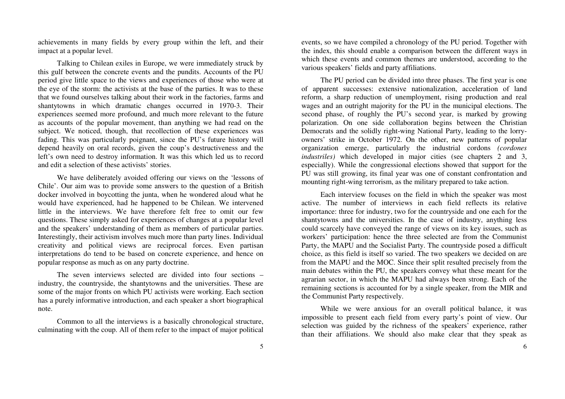achievements in many fields by every group within the left, and their impact at a popular level.

Talking to Chilean exiles in Europe, we were immediately struck by this gulf between the concrete events and the pundits. Accounts of the PU period give little space to the views and experiences of those who were at the eye of the storm: the activists at the base of the parties. It was to these that we found ourselves talking about their work in the factories, farms and shantytowns in which dramatic changes occurred in 1970-3. Their experiences seemed more profound, and much more relevant to the future as accounts of the popular movement, than anything we had read on the subject. We noticed, though, that recollection of these experiences was fading. This was particularly poignant, since the PU's future history will depend heavily on oral records, given the coup's destructiveness and the left's own need to destroy information. It was this which led us to record and edit a selection of these activists' stories.

We have deliberately avoided offering our views on the 'lessons of Chile'. Our aim was to provide some answers to the question of a British docker involved in boycotting the junta, when he wondered aloud what he would have experienced, had he happened to be Chilean. We intervened little in the interviews. We have therefore felt free to omit our few questions. These simply asked for experiences of changes at a popular level and the speakers' understanding of them as members of particular parties. Interestingly, their activism involves much more than party lines. Individual creativity and political views are reciprocal forces. Even partisan interpretations do tend to be based on concrete experience, and hence on popular response as much as on any party doctrine.

The seven interviews selected are divided into four sections – industry, the countryside, the shantytowns and the universities. These are some of the major fronts on which PU activists were working. Each section has a purely informative introduction, and each speaker a short biographical note.

Common to all the interviews is a basically chronological structure, culminating with the coup. All of them refer to the impact of major political events, so we have compiled a chronology of the PU period. Together with the index, this should enable a comparison between the different ways in which these events and common themes are understood, according to the various speakers' fields and party affiliations.

The PU period can be divided into three phases. The first year is one of apparent successes: extensive nationalization, acceleration of land reform, a sharp reduction of unemployment, rising production and real wages and an outright majority for the PU in the municipal elections. The second phase, of roughly the PU's second year, is marked by growing polarization. On one side collaboration begins between the Christian Democrats and the solidly right-wing National Party, leading to the lorryowners' strike in October 1972. On the other, new patterns of popular organization emerge, particularly the industrial cordons *(cordones industriles)* which developed in major cities (see chapters 2 and 3, especially). While the congressional elections showed that support for the PU was still growing, its final year was one of constant confrontation and mounting right-wing terrorism, as the military prepared to take action.

Each interview focuses on the field in which the speaker was most active. The number of interviews in each field reflects its relative importance: three for industry, two for the countryside and one each for the shantytowns and the universities. In the case of industry, anything less could scarcely have conveyed the range of views on its key issues, such as workers' participation: hence the three selected are from the Communist Party, the MAPU and the Socialist Party. The countryside posed a difficult choice, as this field is itself so varied. The two speakers we decided on are from the MAPU and the MOC. Since their split resulted precisely from the main debates within the PU, the speakers convey what these meant for the agrarian sector, in which the MAPU had always been strong. Each of the remaining sections is accounted for by a single speaker, from the MIR and the Communist Party respectively.

While we were anxious for an overall political balance, it was impossible to present each field from every party's point of view. Our selection was guided by the richness of the speakers' experience, rather than their affiliations. We should also make clear that they speak as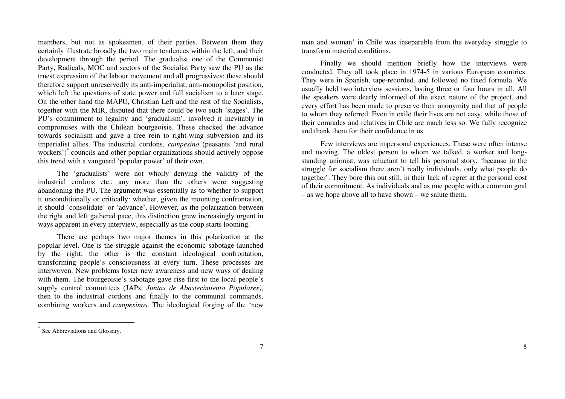members, but not as spokesmen, of their parties. Between them they certainly illustrate broadly the two main tendences within the left, and their development through the period. The gradualist one of the Communist Party, Radicals, MOC and sectors of the Socialist Party saw the PU as the truest expression of the labour movement and all progressives: these should therefore support unreservedly its anti-imperialist, anti-monopolist position, which left the questions of state power and full socialism to a later stage. On the other hand the MAPU, Christian Left and the rest of the Socialists, together with the MIR, disputed that there could be two such 'stages'. The PU's commitment to legality and 'gradualism', involved it inevitably in compromises with the Chilean bourgeoisie. These checked the advance towards socialism and gave a free rein to right-wing subversion and its imperialist allies. The industrial cordons, *campesino* (peasants 'and rural workers')<sup>\*</sup> councils and other popular organizations should actively oppose this trend with a vanguard 'popular power' of their own.

The 'gradualists' were not wholly denying the validity of the industrial cordons etc., any more than the others were suggesting abandoning the PU. The argument was essentially as to whether to support it unconditionally or critically: whether, given the mounting confrontation, it should 'consolidate' or 'advance'. However, as the polarization between the right and left gathered pace, this distinction grew increasingly urgent in ways apparent in every interview, especially as the coup starts looming.

There are perhaps two major themes in this polarization at the popular level. One is the struggle against the economic sabotage launched by the right; the other is the constant ideological confrontation, transforming people's consciousness at every turn. These processes are interwoven. New problems foster new awareness and new ways of dealing with them. The bourgeoisie's sabotage gave rise first to the local people's supply control committees (JAPs, *Juntas de Abastecimiento Populares),*  then to the industrial cordons and finally to the communal commands, combining workers and *campesinos.* The ideological forging of the 'new man and woman' in Chile was inseparable from the everyday struggle to transform material conditions.

Finally we should mention briefly how the interviews were conducted. They all took place in 1974-5 in various European countries. They were in Spanish, tape-recorded, and followed no fixed formula. We usually held two interview sessions, lasting three or four hours in all. All the speakers were dearly informed of the exact nature of the project, and every effort has been made to preserve their anonymity and that of people to whom they referred. Even in exile their lives are not easy, while those of their comrades and relatives in Chile are much less so. We fully recognize and thank them for their confidence in us.

Few interviews are impersonal experiences. These were often intense and moving. The oldest person to whom we talked, a worker and longstanding unionist, was reluctant to tell his personal story, 'because in the struggle for socialism there aren't really individuals, only what people do together'. They bore this out still, in their lack of regret at the personal cost of their commitment. As individuals and as one people with a common goal – as we hope above all to have shown – we salute them.

<sup>\*</sup>See Abbreviations and Glossary.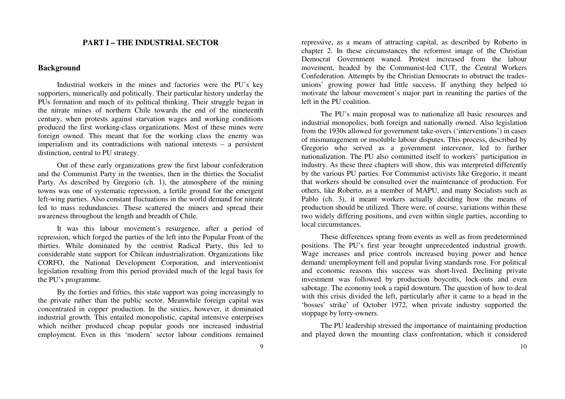# **PART I – THE INDUSTRIAL SECTOR**

# **Background**

Industrial workers in the mines and factories were the PU's key supporters, numerically and politically. Their particular history underlay the PUs formation and much of its political thinking. Their struggle began in the nitrate mines of northern Chile towards the end of the nineteenth century, when protests against starvation wages and working conditions produced the first working-class organizations. Most of these mines were foreign owned. This meant that for the working class the enemy was imperialism and its contradictions with national interests – a persistent distinction, central to PU strategy.

Out of these early organizations grew the first labour confederation and the Communist Party in the twenties, then in the thirties the Socialist Party. As described by Gregorio (ch. 1), the atmosphere of the mining towns was one of systematic repression, a fertile ground for the emergent left-wing parties. Also constant fluctuations in the world demand for nitrate led to mass redundancies. These scattered the miners and spread their awareness throughout the length and breadth of Chile.

It was this labour movement's resurgence, after a period of repression, which forged the parties of the left into the Popular Front of the thirties. While dominated by the centrist Radical Party, this led to considerable state support for Chilean industrialization. Organizations like CORFO, the National Development Corporation, and interventionist legislation resulting from this period provided much of the legal basis for the PU's programme.

By the forties and fifties, this state support was going increasingly to the private rather than the public sector. Meanwhile foreign capital was concentrated in copper production. In the sixties, however, it dominated industrial growth. This entailed monopolistic, capital intensive enterprises which neither produced cheap popular goods nor increased industrial employment. Even in this 'modern' sector labour conditions remained repressive, as a means of attracting capital, as described by Roberto in chapter 2. In these circumstances the reformist image of the Christian Democrat Government waned. Protest increased from the labour movement, headed by the Communist-led CUT, the Central Workers Confederation. Attempts by the Christian Democrats to obstruct the tradesunions' growing power had little success. If anything they helped to motivate the labour movement's major part in reuniting the parties of the left in the PU coalition.

The PU's main proposal was to nationalize all basic resources and industrial monopolies, both foreign and nationally owned. Also legislation from the 1930s allowed for government take-overs ('interventions') in cases of mismanagement or insoluble labour disputes. This process, described by Gregorio who served as a government intervenor, led to further nationalization. The PU also committed itself to workers' participation in industry. As these three chapters will show, this was interpreted differently by the various PU parties. For Communist activists like Gregorio, it meant that workers should be consulted over the maintenance of production. For others, like Roberto, as a member of MAPU, and many Socialists such as Pablo (ch. 3), it meant workers actually deciding how the means of production should be utilized. There were, of course, variations within these two widely differing positions, and even within single parties, according to local circumstances.

These differences sprang from events as well as from predetermined positions. The PU's first year brought unprecedented industrial growth. Wage increases and price controls increased buying power and hence demand: unemployment fell and popular living standards rose. For political and economic reasons this success was short-lived. Declining private investment was followed by production boycotts, lock-outs and even sabotage. The economy took a rapid downturn. The question of how to deal with this crisis divided the left, particularly after it carne to a head in the 'bosses' strike' of October 1972, when private industry supported the stoppage by lorry-owners.

The PU leadership stressed the importance of maintaining production and played down the mounting class confrontation, which it considered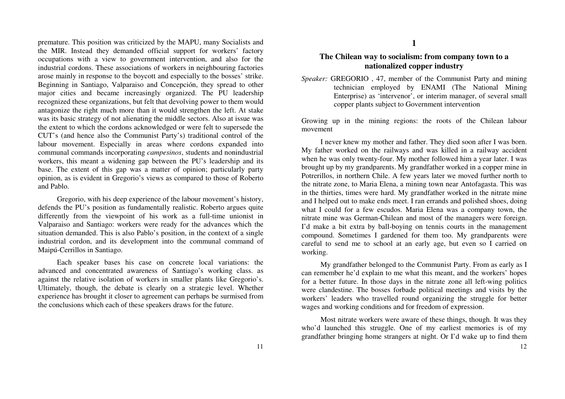premature. This position was criticized by the MAPU, many Socialists and the MIR. Instead they demanded official support for workers' factory occupations with a view to government intervention, and also for the industrial cordons. These associations of workers in neighbouring factories arose mainly in response to the boycott and especially to the bosses' strike. Beginning in Santiago, Valparaiso and Concepción, they spread to other major cities and became increasingly organized. The PU leadership recognized these organizations, but felt that devolving power to them would antagonize the right much more than it would strengthen the left. At stake was its basic strategy of not alienating the middle sectors. Also at issue was the extent to which the cordons acknowledged or were felt to supersede the CUT's (and hence also the Communist Party's) traditional control of the labour movement. Especially in areas where cordons expanded into communal commands incorporating *campesinos*, students and nonindustrial workers, this meant a widening gap between the PU's leadership and its base. The extent of this gap was a matter of opinion; particularly party opinion, as is evident in Gregorio's views as compared to those of Roberto and Pablo.

Gregorio, with his deep experience of the labour movement's history, defends the PU's position as fundamentally realistic. Roberto argues quite differently from the viewpoint of his work as a full-time unionist in Valparaiso and Santiago: workers were ready for the advances which the situation demanded. This is also Pablo's position, in the context of a single industrial cordon, and its development into the communal command of Maipú-Cerrillos in Santiago.

Each speaker bases his case on concrete local variations: the advanced and concentrated awareness of Santiago's working class. as against the relative isolation of workers in smaller plants like Gregorio's. Ultimately, though, the debate is clearly on a strategic level. Whether experience has brought it closer to agreement can perhaps be surmised from the conclusions which each of these speakers draws for the future.

# **The Chilean way to socialism: from company town to a nationalized copper industry**

*Speaker:* GREGORIO , 47, member of the Communist Party and mining technician employed by ENAMI (The National Mining Enterprise) as 'intervenor', or interim manager, of several small copper plants subject to Government intervention

Growing up in the mining regions: the roots of the Chilean labour movement

I never knew my mother and father. They died soon after I was born. My father worked on the railways and was killed in a railway accident when he was only twenty-four. My mother followed him a year later. I was brought up by my grandparents. My grandfather worked in a copper mine in Potrerillos, in northern Chile. A few years later we moved further north to the nitrate zone, to Maria Elena, a mining town near Antofagasta. This was in the thirties, times were hard. My grandfather worked in the nitrate mine and I helped out to make ends meet. I ran errands and polished shoes, doing what I could for a few escudos. Maria Elena was a company town, the nitrate mine was German-Chilean and most of the managers were foreign. I'd make a bit extra by ball-boying on tennis courts in the management compound. Sometimes I gardened for them too. My grandparents were careful to send me to school at an early age, but even so I carried on working.

My grandfather belonged to the Communist Party. From as early as I can remember he'd explain to me what this meant, and the workers' hopes for a better future. In those days in the nitrate zone all left-wing politics were clandestine. The bosses forbade political meetings and visits by the workers' leaders who travelled round organizing the struggle for better wages and working conditions and for freedom of expression.

Most nitrate workers were aware of these things, though. It was they who'd launched this struggle. One of my earliest memories is of my grandfather bringing home strangers at night. Or I'd wake up to find them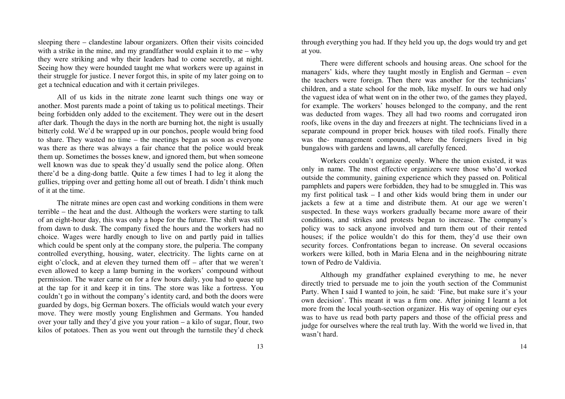sleeping there – clandestine labour organizers. Often their visits coincided with a strike in the mine, and my grandfather would explain it to me – why they were striking and why their leaders had to come secretly, at night. Seeing how they were hounded taught me what workers were up against in their struggle for justice. I never forgot this, in spite of my later going on to get a technical education and with it certain privileges.

All of us kids in the nitrate zone learnt such things one way or another. Most parents made a point of taking us to political meetings. Their being forbidden only added to the excitement. They were out in the desert after dark. Though the days in the north are burning hot, the night is usually bitterly cold. We'd be wrapped up in our ponchos, people would bring food to share. They wasted no time – the meetings began as soon as everyone was there as there was always a fair chance that the police would break them up. Sometimes the bosses knew, and ignored them, but when someone well known was due to speak they'd usually send the police along. Often there'd be a ding-dong battle. Quite a few times I had to leg it along the gullies, tripping over and getting home all out of breath. I didn't think much of it at the time.

The nitrate mines are open cast and working conditions in them were terrible – the heat and the dust. Although the workers were starting to talk of an eight-hour day, this was only a hope for the future. The shift was still from dawn to dusk. The company fixed the hours and the workers had no choice. Wages were hardly enough to live on and partly paid in tallies which could be spent only at the company store, the pulperia. The company controlled everything, housing, water, electricity. The lights carne on at eight o'clock, and at eleven they turned them off – after that we weren't even allowed to keep a lamp burning in the workers' compound without permission. The water carne on for a few hours daily, you had to queue up at the tap for it and keep it in tins. The store was like a fortress. You couldn't go in without the company's identity card, and both the doors were guarded by dogs, big German boxers. The officials would watch your every move. They were mostly young Englishmen and Germans. You handed over your tally and they'd give you your ration – a kilo of sugar, flour, two kilos of potatoes. Then as you went out through the turnstile they'd check

13

through everything you had. If they held you up, the dogs would try and get at you.

There were different schools and housing areas. One school for the managers' kids, where they taught mostly in English and German – even the teachers were foreign. Then there was another for the technicians' children, and a state school for the mob, like myself. In ours we had only the vaguest idea of what went on in the other two, of the games they played, for example. The workers' houses belonged to the company, and the rent was deducted from wages. They all had two rooms and corrugated iron roofs, like ovens in the day and freezers at night. The technicians lived in a separate compound in proper brick houses with tiled roofs. Finally there was the- management compound, where the foreigners lived in big bungalows with gardens and lawns, all carefully fenced.

Workers couldn't organize openly. Where the union existed, it was only in name. The most effective organizers were those who'd worked outside the community, gaining experience which they passed on. Political pamphlets and papers were forbidden, they had to be smuggled in. This was my first political task – I and other kids would bring them in under our jackets a few at a time and distribute them. At our age we weren't suspected. In these ways workers gradually became more aware of their conditions, and strikes and protests began to increase. The company's policy was to sack anyone involved and turn them out of their rented houses; if the police wouldn't do this for them, they'd use their own security forces. Confrontations began to increase. On several occasions workers were killed, both in Maria Elena and in the neighbouring nitrate town of Pedro de Valdivia.

Although my grandfather explained everything to me, he never directly tried to persuade me to join the youth section of the Communist Party. When I said I wanted to join, he said: 'Fine, but make sure it's your own decision'. This meant it was a firm one. After joining I learnt a lot more from the local youth-section organizer. His way of opening our eyes was to have us read both party papers and those of the official press and judge for ourselves where the real truth lay. With the world we lived in, that wasn't hard.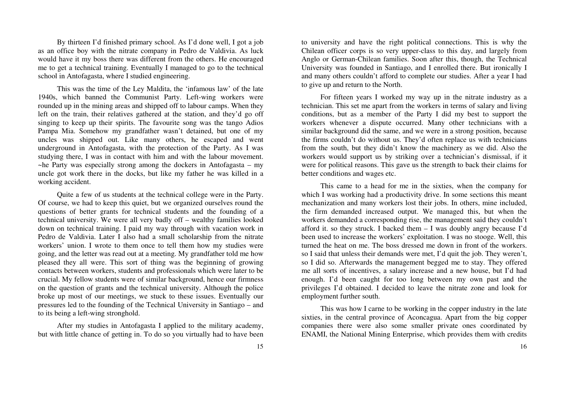By thirteen I'd finished primary school. As I'd done well, I got a job as an office boy with the nitrate company in Pedro de Valdivia. As luck would have it my boss there was different from the others. He encouraged me to get a technical training. Eventually I managed to go to the technical school in Antofagasta, where I studied engineering.

This was the time of the Ley Maldita, the 'infamous law' of the late 1940s, which banned the Communist Party. Left-wing workers were rounded up in the mining areas and shipped off to labour camps. When they left on the train, their relatives gathered at the station, and they'd go off singing to keep up their spirits. The favourite song was the tango Adios Pampa Mia. Somehow my grandfather wasn't detained, but one of my uncles was shipped out. Like many others, he escaped and went underground in Antofagasta, with the protection of the Party. As I was studying there, I was in contact with him and with the labour movement. ~he Party was especially strong among the dockers in Antofagasta – my uncle got work there in the docks, but like my father he was killed in a working accident.

Quite a few of us students at the technical college were in the Party. Of course, we had to keep this quiet, but we organized ourselves round the questions of better grants for technical students and the founding of a technical university. We were all very badly off – wealthy families looked down on technical training. I paid my way through with vacation work in Pedro de Valdivia. Later I also had a small scholarship from the nitrate workers' union. I wrote to them once to tell them how my studies were going, and the letter was read out at a meeting. My grandfather told me how pleased they all were. This sort of thing was the beginning of growing contacts between workers, students and professionals which were later to be crucial. My fellow students were of similar background, hence our firmness on the question of grants and the technical university. Although the police broke up most of our meetings, we stuck to these issues. Eventually our pressures led to the founding of the Technical University in Santiago – and to its being a left-wing stronghold.

After my studies in Antofagasta I applied to the military academy, but with little chance of getting in. To do so you virtually had to have been to university and have the right political connections. This is why the Chilean officer corps is so very upper-class to this day, and largely from Anglo or German-Chilean families. Soon after this, though, the Technical University was founded in Santiago, and I enrolled there. But ironically I and many others couldn't afford to complete our studies. After a year I had to give up and return to the North.

For fifteen years I worked my way up in the nitrate industry as a technician. This set me apart from the workers in terms of salary and living conditions, but as a member of the Party I did my best to support the workers whenever a dispute occurred. Many other technicians with a similar background did the same, and we were in a strong position, because the firms couldn't do without us. They'd often replace us with technicians from the south, but they didn't know the machinery as we did. Also the workers would support us by striking over a technician's dismissal, if it were for political reasons. This gave us the strength to back their claims for better conditions and wages etc.

This came to a head for me in the sixties, when the company for which I was working had a productivity drive. In some sections this meant mechanization and many workers lost their jobs. In others, mine included, the firm demanded increased output. We managed this, but when the workers demanded a corresponding rise, the management said they couldn't afford it. so they struck. I backed them – I was doubly angry because I'd been used to increase the workers' exploitation. I was no stooge. Well, this turned the heat on me. The boss dressed me down in front of the workers. so I said that unless their demands were met, I'd quit the job. They weren't, so I did so. Afterwards the management begged me to stay. They offered me all sorts of incentives, a salary increase and a new house, but I'd had enough. I'd been caught for too long between my own past and the privileges I'd obtained. I decided to leave the nitrate zone and look for employment further south.

This was how I carne to be working in the copper industry in the late sixties, in the central province of Aconcagua. Apart from the big copper companies there were also some smaller private ones coordinated by ENAMI, the National Mining Enterprise, which provides them with credits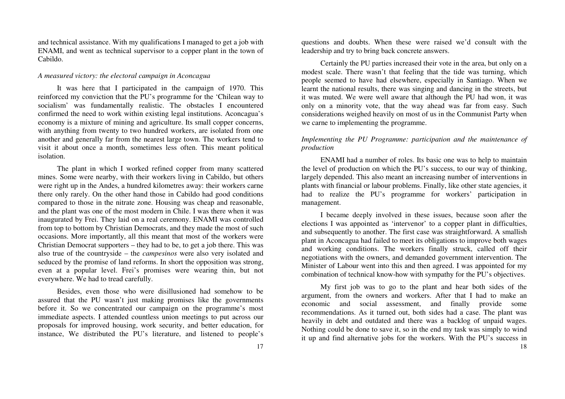and technical assistance. With my qualifications I managed to get a job with ENAMI, and went as technical supervisor to a copper plant in the town of Cabildo.

# *A measured victory: the electoral campaign in Aconcagua*

It was here that I participated in the campaign of 1970. This reinforced my conviction that the PU's programme for the 'Chilean way to socialism' was fundamentally realistic. The obstacles I encountered confirmed the need to work within existing legal institutions. Aconcagua's economy is a mixture of mining and agriculture. Its small copper concerns, with anything from twenty to two hundred workers, are isolated from one another and generally far from the nearest large town. The workers tend to visit it about once a month, sometimes less often. This meant political isolation.

The plant in which I worked refined copper from many scattered mines. Some were nearby, with their workers living in Cabildo, but others were right up in the Andes, a hundred kilometres away: their workers carne there only rarely. On the other hand those in Cabildo had good conditions compared to those in the nitrate zone. Housing was cheap and reasonable, and the plant was one of the most modern in Chile. I was there when it was inaugurated by Frei. They laid on a real ceremony. ENAMI was controlled from top to bottom by Christian Democrats, and they made the most of such occasions. More importantly, all this meant that most of the workers were Christian Democrat supporters – they had to be, to get a job there. This was also true of the countryside – the *campesinos* were also very isolated and seduced by the promise of land reforms. In short the opposition was strong, even at a popular level. Frei's promises were wearing thin, but not everywhere. We had to tread carefully.

Besides, even those who were disillusioned had somehow to be assured that the PU wasn't just making promises like the governments before it. So we concentrated our campaign on the programme's most immediate aspects. I attended countless union meetings to put across our proposals for improved housing, work security, and better education, for instance, We distributed the PU's literature, and listened to people's questions and doubts. When these were raised we'd consult with the leadership and try to bring back concrete answers.

Certainly the PU parties increased their vote in the area, but only on a modest scale. There wasn't that feeling that the tide was turning, which people seemed to have had elsewhere, especially in Santiago. When we learnt the national results, there was singing and dancing in the streets, but it was muted. We were well aware that although the PU had won, it was only on a minority vote, that the way ahead was far from easy. Such considerations weighed heavily on most of us in the Communist Party when we carne to implementing the programme.

# *Implementing the PU Programme: participation and the maintenance of production*

ENAMI had a number of roles. Its basic one was to help to maintain the level of production on which the PU's success, to our way of thinking, largely depended. This also meant an increasing number of interventions in plants with financial or labour problems. Finally, like other state agencies, it had to realize the PU's programme for workers' participation in management.

I became deeply involved in these issues, because soon after the elections I was appointed as 'intervenor' to a copper plant in difficulties, and subsequently to another. The first case was straightforward. A smallish plant in Aconcagua had failed to meet its obligations to improve both wages and working conditions. The workers finally struck, called off their negotiations with the owners, and demanded government intervention. The Minister of Labour went into this and then agreed. I was appointed for my combination of technical know-how with sympathy for the PU's objectives.

My first job was to go to the plant and hear both sides of the argument, from the owners and workers. After that I had to make an economic and social assessment, and finally provide some recommendations. As it turned out, both sides had a case. The plant was heavily in debt and outdated and there was a backlog of unpaid wages. Nothing could be done to save it, so in the end my task was simply to wind it up and find alternative jobs for the workers. With the PU's success in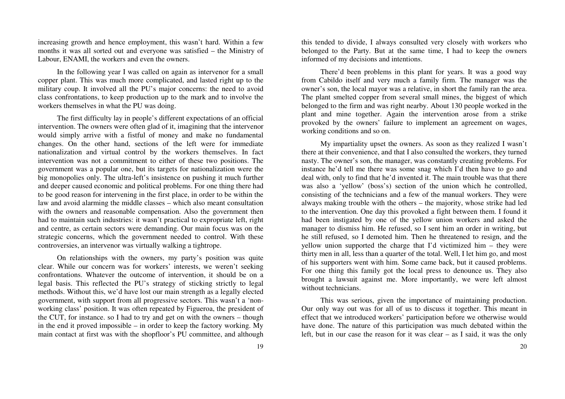increasing growth and hence employment, this wasn't hard. Within a few months it was all sorted out and everyone was satisfied – the Ministry of Labour, ENAMI, the workers and even the owners.

In the following year I was called on again as intervenor for a small copper plant. This was much more complicated, and lasted right up to the military coup. It involved all the PU's major concerns: the need to avoid class confrontations, to keep production up to the mark and to involve the workers themselves in what the PU was doing.

The first difficulty lay in people's different expectations of an official intervention. The owners were often glad of it, imagining that the intervenor would simply arrive with a fistful of money and make no fundamental changes. On the other hand, sections of the left were for immediate nationalization and virtual control by the workers themselves. In fact intervention was not a commitment to either of these two positions. The government was a popular one, but its targets for nationalization were the big monopolies only. The ultra-left's insistence on pushing it much further and deeper caused economic and political problems. For one thing there had to be good reason for intervening in the first place, in order to be within the law and avoid alarming the middle classes – which also meant consultation with the owners and reasonable compensation. Also the government then had to maintain such industries: it wasn't practical to expropriate left, right and centre, as certain sectors were demanding. Our main focus was on the strategic concerns, which the government needed to control. With these controversies, an intervenor was virtually walking a tightrope.

On relationships with the owners, my party's position was quite clear. While our concern was for workers' interests, we weren't seeking confrontations. Whatever the outcome of intervention, it should be on a legal basis. This reflected the PU's strategy of sticking strictly to legal methods. Without this, we'd have lost our main strength as a legally elected government, with support from all progressive sectors. This wasn't a 'nonworking class' position. It was often repeated by Figueroa, the president of the CUT, for instance. so I had to try and get on with the owners – though in the end it proved impossible – in order to keep the factory working. My main contact at first was with the shopfloor's PU committee, and although this tended to divide, I always consulted very closely with workers who belonged to the Party. But at the same time, I had to keep the owners informed of my decisions and intentions.

There'd been problems in this plant for years. It was a good way from Cabildo itself and very much a family firm. The manager was the owner's son, the local mayor was a relative, in short the family ran the area. The plant smelted copper from several small mines, the biggest of which belonged to the firm and was right nearby. About 130 people worked in the plant and mine together. Again the intervention arose from a strike provoked by the owners' failure to implement an agreement on wages, working conditions and so on.

My impartiality upset the owners. As soon as they realized I wasn't there at their convenience, and that I also consulted the workers, they turned nasty. The owner's son, the manager, was constantly creating problems. For instance he'd tell me there was some snag which I'd then have to go and deal with, only to find that he'd invented it. The main trouble was that there was also a 'yellow' (boss's) section of the union which he controlled, consisting of the technicians and a few of the manual workers. They were always making trouble with the others – the majority, whose strike had led to the intervention. One day this provoked a fight between them. I found it had been instigated by one of the yellow union workers and asked the manager to dismiss him. He refused, so I sent him an order in writing, but he still refused, so I demoted him. Then he threatened to resign, and the yellow union supported the charge that I'd victimized him – they were thirty men in all, less than a quarter of the total. Well, I let him go, and most of his supporters went with him. Some came back, but it caused problems. For one thing this family got the local press to denounce us. They also brought a lawsuit against me. More importantly, we were left almost without technicians.

This was serious, given the importance of maintaining production. Our only way out was for all of us to discuss it together. This meant in effect that we introduced workers' participation before we otherwise would have done. The nature of this participation was much debated within the left, but in our case the reason for it was clear – as I said, it was the only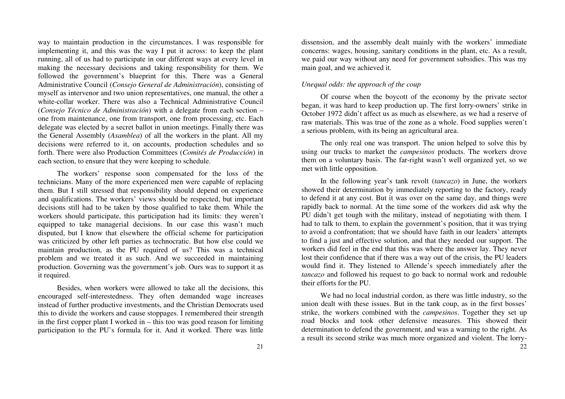way to maintain production in the circumstances. I was responsible for implementing it, and this was the way I put it across: to keep the plant running, all of us had to participate in our different ways at every level in making the necessary decisions and taking responsibility for them. We followed the government's blueprint for this. There was a General Administrative Council (*Consejo General de Administración*), consisting of myself as intervenor and two union representatives, one manual, the other a white-collar worker. There was also a Technical Administrative Council (*Consejo Técnico de Administración*) with a delegate from each section – one from maintenance, one from transport, one from processing, etc. Each delegate was elected by a secret ballot in union meetings. Finally there was the General Assembly (*Asamblea*) of all the workers in the plant. All my decisions were referred to it, on accounts, production schedules and so forth. There were also Production Committees (*Comités de Producción*) in each section, to ensure that they were keeping to schedule.

The workers' response soon compensated for the loss of the technicians. Many of the more experienced men were capable of replacing them. But I still stressed that responsibility should depend on experience and qualifications. The workers' views should be respected, but important decisions still had to be taken by those qualified to take them. While the workers should participate, this participation had its limits: they weren't equipped to take managerial decisions. In our case this wasn't much disputed, but I know that elsewhere the official scheme for participation was criticized by other left parties as technocratic. But how else could we maintain production, as the PU required of us? This was a technical problem and we treated it as such. And we succeeded in maintaining production. Governing was the government's job. Ours was to support it as it required.

Besides, when workers were allowed to take all the decisions, this encouraged self-interestedness. They often demanded wage increases instead of further productive investments, and the Christian Democrats used this to divide the workers and cause stoppages. I remembered their strength in the first copper plant I worked in – this too was good reason for limiting participation to the PU's formula for it. And it worked. There was little dissension, and the assembly dealt mainly with the workers' immediate concerns: wages, housing, sanitary conditions in the plant, etc. As a result, we paid our way without any need for government subsidies. This was my main goal, and we achieved it.

# *Unequal odds: the approach of the coup*

Of course when the boycott of the economy by the private sector began, it was hard to keep production up. The first lorry-owners' strike in October 1972 didn't affect us as much as elsewhere, as we had a reserve of raw materials. This was true of the zone as a whole. Food supplies weren't a serious problem, with its being an agricultural area.

The only real one was transport. The union helped to solve this by using our trucks to market the *campesinos* products. The workers drove them on a voluntary basis. The far-right wasn't well organized yet, so we met with little opposition.

In the following year's tank revolt (*tancazo*) in June, the workers showed their determination by immediately reporting to the factory, ready to defend it at any cost. But it was over on the same day, and things were rapidly back to normal. At the time some of the workers did ask why the PU didn't get tough with the military, instead of negotiating with them. I had to talk to them, to explain the government's position, that it was trying to avoid a confrontation; that we should have faith in our leaders' attempts to find a just and effective solution, and that they needed our support. The workers did feel in the end that this was where the answer lay. They never lost their confidence that if there was a way out of the crisis, the PU leaders would find it. They listened to Allende's speech immediately after the *tancazo* and followed his request to go back to normal work and redouble their efforts for the PU.

We had no local industrial cordon, as there was little industry, so the union dealt with these issues. But in the tank coup, as in the first bosses' strike, the workers combined with the *campesinos*. Together they set up road blocks and took other defensive measures. This showed their determination to defend the government, and was a warning to the right. As a result its second strike was much more organized and violent. The lorry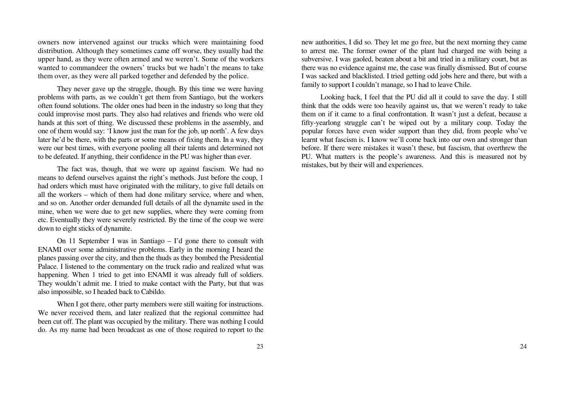owners now intervened against our trucks which were maintaining food distribution. Although they sometimes came off worse, they usually had the upper hand, as they were often armed and we weren't. Some of the workers wanted to commandeer the owners' trucks but we hadn't the means to take them over, as they were all parked together and defended by the police.

They never gave up the struggle, though. By this time we were having problems with parts, as we couldn't get them from Santiago, but the workers often found solutions. The older ones had been in the industry so long that they could improvise most parts. They also had relatives and friends who were old hands at this sort of thing. We discussed these problems in the assembly, and one of them would say: 'I know just the man for the job, up north'. A few days later he'd be there, with the parts or some means of fixing them. In a way, they were our best times, with everyone pooling all their talents and determined not to be defeated. If anything, their confidence in the PU was higher than ever.

The fact was, though, that we were up against fascism. We had no means to defend ourselves against the right's methods. Just before the coup, 1 had orders which must have originated with the military, to give full details on all the workers – which of them had done military service, where and when, and so on. Another order demanded full details of all the dynamite used in the mine, when we were due to get new supplies, where they were coming from etc. Eventually they were severely restricted. By the time of the coup we were down to eight sticks of dynamite.

On 11 September I was in Santiago – I'd gone there to consult with ENAMI over some administrative problems. Early in the morning I heard the planes passing over the city, and then the thuds as they bombed the Presidential Palace. I listened to the commentary on the truck radio and realized what was happening. When 1 tried to get into ENAMI it was already full of soldiers. They wouldn't admit me. I tried to make contact with the Party, but that was also impossible, so I headed back to Cabildo.

When I got there, other party members were still waiting for instructions. We never received them, and later realized that the regional committee had been cut off. The plant was occupied by the military. There was nothing I could do. As my name had been broadcast as one of those required to report to the new authorities, I did so. They let me go free, but the next morning they came to arrest me. The former owner of the plant had charged me with being a subversive. I was gaoled, beaten about a bit and tried in a military court, but as there was no evidence against me, the case was finally dismissed. But of course I was sacked and blacklisted. I tried getting odd jobs here and there, but with a family to support I couldn't manage, so I had to leave Chile.

Looking back, I feel that the PU did all it could to save the day. I still think that the odds were too heavily against us, that we weren't ready to take them on if it came to a final confrontation. It wasn't just a defeat, because a fifty-yearlong struggle can't be wiped out by a military coup. Today the popular forces have even wider support than they did, from people who've learnt what fascism is. I know we'll come back into our own and stronger than before. If there were mistakes it wasn't these, but fascism, that overthrew the PU. What matters is the people's awareness. And this is measured not by mistakes, but by their will and experiences.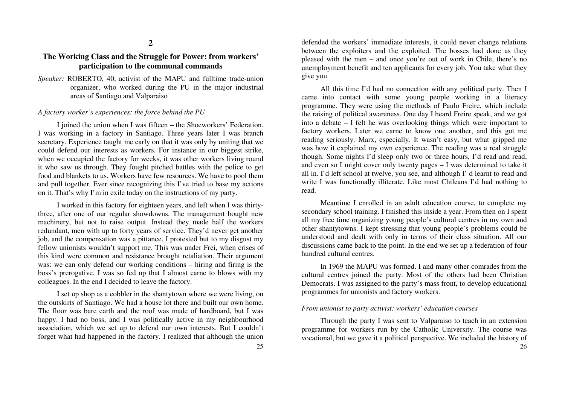# **The Working Class and the Struggle for Power: from workers' participation to the communal commands**

*Speaker:* ROBERTO, 40, activist of the MAPU and fulltime trade-union organizer, who worked during the PU in the major industrial areas of Santiago and Valparaiso

### *A factory worker's experiences: the force behind the PU*

I joined the union when I was fifteen – the Shoeworkers' Federation. I was working in a factory in Santiago. Three years later I was branch secretary. Experience taught me early on that it was only by uniting that we could defend our interests as workers. For instance in our biggest strike, when we occupied the factory for weeks, it was other workers living round it who saw us through. They fought pitched battles with the police to get food and blankets to us. Workers have few resources. We have to pool them and pull together. Ever since recognizing this I've tried to base my actions on it. That's why I'm in exile today on the instructions of my party.

I worked in this factory for eighteen years, and left when I was thirtythree, after one of our regular showdowns. The management bought new machinery, but not to raise output. Instead they made half the workers redundant, men with up to forty years of service. They'd never get another job, and the compensation was a pittance. I protested but to my disgust my fellow unionists wouldn't support me. This was under Frei, when crises of this kind were common and resistance brought retaliation. Their argument was: we can only defend our working conditions – hiring and firing is the boss's prerogative. I was so fed up that I almost carne to blows with my colleagues. In the end I decided to leave the factory.

I set up shop as a cobbler in the shantytown where we were living, on the outskirts of Santiago. We had a house lot there and built our own home. The floor was bare earth and the roof was made of hardboard, but I was happy. I had no boss, and I was politically active in my neighbourhood association, which we set up to defend our own interests. But I couldn't forget what had happened in the factory. I realized that although the union defended the workers' immediate interests, it could never change relations between the exploiters and the exploited. The bosses had done as they pleased with the men – and once you're out of work in Chile, there's no unemployment benefit and ten applicants for every job. You take what they give you.

All this time I'd had no connection with any political party. Then I came into contact with some young people working in a literacy programme. They were using the methods of Paulo Freire, which include the raising of political awareness. One day I heard Freire speak, and we got into a debate – I felt he was overlooking things which were important to factory workers. Later we carne to know one another, and this got me reading seriously. Marx, especially. It wasn't easy, but what gripped me was how it explained my own experience. The reading was a real struggle though. Some nights I'd sleep only two or three hours, I'd read and read, and even so I might cover only twenty pages – I was determined to take it all in. I'd left school at twelve, you see, and although I' d learnt to read and write I was functionally illiterate. Like most Chileans I'd had nothing to read.

Meantime I enrolled in an adult education course, to complete my secondary school training. I finished this inside a year. From then on I spent all my free time organizing young people's cultural centres in my own and other shantytowns. I kept stressing that young people's problems could be understood and dealt with only in terms of their class situation. All our discussions came back to the point. In the end we set up a federation of four hundred cultural centres.

In 1969 the MAPU was formed. I and many other comrades from the cultural centres joined the party. Most of the others had been Christian Democrats. I was assigned to the party's mass front, to develop educational programmes for unionists and factory workers.

# *From unionist to party activist: workers' education courses*

Through the party I was sent to Valparaiso to teach in an extension programme for workers run by the Catholic University. The course was vocational, but we gave it a political perspective. We included the history of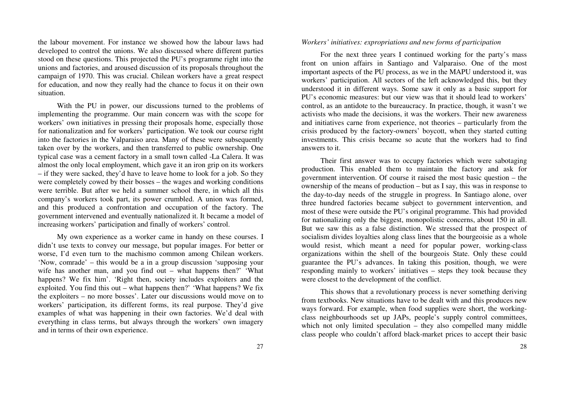the labour movement. For instance we showed how the labour laws had developed to control the unions. We also discussed where different parties stood on these questions. This projected the PU's programme right into the unions and factories, and aroused discussion of its proposals throughout the campaign of 1970. This was crucial. Chilean workers have a great respect for education, and now they really had the chance to focus it on their own situation.

With the PU in power, our discussions turned to the problems of implementing the programme. Our main concern was with the scope for workers' own initiatives in pressing their proposals home, especially those for nationalization and for workers' participation. We took our course right into the factories in the Valparaiso area. Many of these were subsequently taken over by the workers, and then transferred to public ownership. One typical case was a cement factory in a small town called -La Calera. It was almost the only local employment, which gave it an iron grip on its workers – if they were sacked, they'd have to leave home to look for a job. So they were completely cowed by their bosses – the wages and working conditions were terrible. But after we held a summer school there, in which all this company's workers took part, its power crumbled. A union was formed, and this produced a confrontation and occupation of the factory. The government intervened and eventually nationalized it. It became a model of increasing workers' participation and finally of workers' control.

My own experience as a worker came in handy on these courses. I didn't use texts to convey our message, but popular images. For better or worse, I'd even turn to the machismo common among Chilean workers. 'Now, comrade' – this would be a in a group discussion 'supposing your wife has another man, and you find out – what happens then?' 'What happens? We fix him'. 'Right then, society includes exploiters and the exploited. You find this out – what happens then?' 'What happens? We fix the exploiters – no more bosses'. Later our discussions would move on to workers' participation, its different forms, its real purpose. They'd give examples of what was happening in their own factories. We'd deal with everything in class terms, but always through the workers' own imagery and in terms of their own experience.

#### *Workers' initiatives: expropriations and new forms of participation*

For the next three years I continued working for the party's mass front on union affairs in Santiago and Valparaiso. One of the most important aspects of the PU process, as we in the MAPU understood it, was workers' participation. All sectors of the left acknowledged this, but they understood it in different ways. Some saw it only as a basic support for PU's economic measures: but our view was that it should lead to workers' control, as an antidote to the bureaucracy. In practice, though, it wasn't we activists who made the decisions, it was the workers. Their new awareness and initiatives carne from experience, not theories – particularly from the crisis produced by the factory-owners' boycott, when they started cutting investments. This crisis became so acute that the workers had to find answers to it.

Their first answer was to occupy factories which were sabotaging production. This enabled them to maintain the factory and ask for government intervention. Of course it raised the most basic question – the ownership of the means of production – but as I say, this was in response to the day-to-day needs of the struggle in progress. In Santiago alone, over three hundred factories became subject to government intervention, and most of these were outside the PU's original programme. This had provided for nationalizing only the biggest, monopolistic concerns, about 150 in all. But we saw this as a false distinction. We stressed that the prospect of socialism divides loyalties along class lines that the bourgeoisie as a whole would resist, which meant a need for popular power, working-class organizations within the shell of the bourgeois State. Only these could guarantee the PU's advances. In taking this position, though, we were responding mainly to workers' initiatives – steps they took because they were closest to the development of the conflict.

This shows that a revolutionary process is never something deriving from textbooks. New situations have to be dealt with and this produces new ways forward. For example, when food supplies were short, the workingclass neighbourhoods set up JAPs, people's supply control committees, which not only limited speculation – they also compelled many middle class people who couldn't afford black-market prices to accept their basic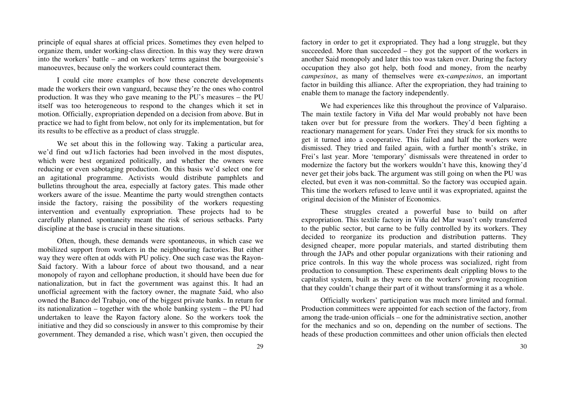principle of equal shares at official prices. Sometimes they even helped to organize them, under working-class direction. In this way they were drawn into the workers' battle – and on workers' terms against the bourgeoisie's manoeuvres, because only the workers could counteract them.

I could cite more examples of how these concrete developments made the workers their own vanguard, because they're the ones who control production. It was they who gave meaning to the PU's measures – the PU itself was too heterogeneous to respond to the changes which it set in motion. Officially, expropriation depended on a decision from above. But in practice we had to fight from below, not only for its implementation, but for its results to be effective as a product of class struggle.

We set about this in the following way. Taking a particular area, we'd find out wJ1ich factories had been involved in the most disputes, which were best organized politically, and whether the owners were reducing or even sabotaging production. On this basis we'd select one for an agitational programme. Activists would distribute pamphlets and bulletins throughout the area, especially at factory gates. This made other workers aware of the issue. Meantime the party would strengthen contacts inside the factory, raising the possibility of the workers requesting intervention and eventually expropriation. These projects had to be carefully planned. spontaneity meant the risk of serious setbacks. Party discipline at the base is crucial in these situations.

Often, though, these demands were spontaneous, in which case we mobilized support from workers in the neighbouring factories. But either way they were often at odds with PU policy. One such case was the Rayon-Said factory. With a labour force of about two thousand, and a near monopoly of rayon and cellophane production, it should have been due for nationalization, but in fact the government was against this. It had an unofficial agreement with the factory owner, the magnate 5aid, who also owned the Banco del Trabajo, one of the biggest private banks. In return for its nationalization – together with the whole banking system – the PU had undertaken to leave the Rayon factory alone. So the workers took the initiative and they did so consciously in answer to this compromise by their government. They demanded a rise, which wasn't given, then occupied the factory in order to get it expropriated. They had a long struggle, but they succeeded. More than succeeded – they got the support of the workers in another Said monopoly and later this too was taken over. During the factory occupation they also got help, both food and money, from the nearby *campesinos*, as many of themselves were ex-*campesinos*, an important factor in building this alliance. After the expropriation, they had training to enable them to manage the factory independently.

We had experiences like this throughout the province of Valparaiso. The main textile factory in Viña del Mar would probably not have been taken over but for pressure from the workers. They'd been fighting a reactionary management for years. Under Frei they struck for six months to get it turned into a cooperative. This failed and half the workers were dismissed. They tried and failed again, with a further month's strike, in Frei's last year. More 'temporary' dismissals were threatened in order to modernize the factory but the workers wouldn't have this, knowing they'd never get their jobs back. The argument was still going on when the PU was elected, but even it was non-committal. So the factory was occupied again. This time the workers refused to leave until it was expropriated, against the original decision of the Minister of Economics.

These struggles created a powerful base to build on after expropriation. This textile factory in Viña del Mar wasn't only transferred to the public sector, but carne to be fully controlled by its workers. They decided to reorganize its production and distribution patterns. They designed cheaper, more popular materials, and started distributing them through the JAPs and other popular organizations with their rationing and price controls. In this way the whole process was socialized, right from production to consumption. These experiments dealt crippling blows to the capitalist system, built as they were on the workers' growing recognition that they couldn't change their part of it without transforming it as a whole.

Officially workers' participation was much more limited and formal. Production committees were appointed for each section of the factory, from among the trade-union officials – one for the administrative section, another for the mechanics and so on, depending on the number of sections. The heads of these production committees and other union officials then elected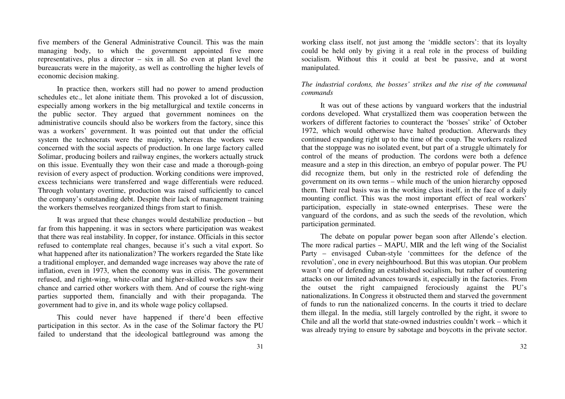five members of the General Administrative Council. This was the main managing body, to which the government appointed five more representatives, plus a director – six in all. So even at plant level the bureaucrats were in the majority, as well as controlling the higher levels of economic decision making.

In practice then, workers still had no power to amend production schedules etc., let alone initiate them. This provoked a lot of discussion, especially among workers in the big metallurgical and textile concerns in the public sector. They argued that government nominees on the administrative councils should also be workers from the factory, since this was a workers' government. It was pointed out that under the official system the technocrats were the majority, whereas the workers were concerned with the social aspects of production. In one large factory called Solimar, producing boilers and railway engines, the workers actually struck on this issue. Eventually they won their case and made a thorough-going revision of every aspect of production. Working conditions were improved, excess technicians were transferred and wage differentials were reduced. Through voluntary overtime, production was raised sufficiently to cancel the company's outstanding debt. Despite their lack of management training the workers themselves reorganized things from start to finish.

It was argued that these changes would destabilize production – but far from this happening. it was in sectors where participation was weakest that there was real instability. In copper, for instance. Officials in this sector refused to contemplate real changes, because it's such a vital export. So what happened after its nationalization? The workers regarded the State like a traditional employer, and demanded wage increases way above the rate of inflation, even in 1973, when the economy was in crisis. The government refused, and right-wing, white-collar and higher-skilled workers saw their chance and carried other workers with them. And of course the right-wing parties supported them, financially and with their propaganda. The government had to give in, and its whole wage policy collapsed.

This could never have happened if there'd been effective participation in this sector. As in the case of the Solimar factory the PU failed to understand that the ideological battleground was among the working class itself, not just among the 'middle sectors': that its loyalty could be held only by giving it a real role in the process of building socialism. Without this it could at best be passive, and at worst manipulated.

# *The industrial cordons, the bosses' strikes and the rise of the communal commands*

It was out of these actions by vanguard workers that the industrial cordons developed. What crystallized them was cooperation between the workers of different factories to counteract the 'bosses' strike' of October 1972, which would otherwise have halted production. Afterwards they continued expanding right up to the time of the coup. The workers realized that the stoppage was no isolated event, but part of a struggle ultimately for control of the means of production. The cordons were both a defence measure and a step in this direction, an embryo of popular power. The PU did recognize them, but only in the restricted role of defending the government on its own terms – while much of the union hierarchy opposed them. Their real basis was in the working class itself, in the face of a daily mounting conflict. This was the most important effect of real workers' participation, especially in state-owned enterprises. These were the vanguard of the cordons, and as such the seeds of the revolution, which participation germinated.

The debate on popular power began soon after Allende's election. The more radical parties – MAPU, MIR and the left wing of the Socialist Party – envisaged Cuban-style 'committees for the defence of the revolution', one in every neighbourhood. But this was utopian. Our problem wasn't one of defending an established socialism, but rather of countering attacks on our limited advances towards it, especially in the factories. From the outset the right campaigned ferociously against the PU's nationalizations. In Congress it obstructed them and starved the government of funds to run the nationalized concerns. In the courts it tried to declare them illegal. In the media, still largely controlled by the right, it swore to Chile and all the world that state-owned industries couldn't work – which it was already trying to ensure by sabotage and boycotts in the private sector.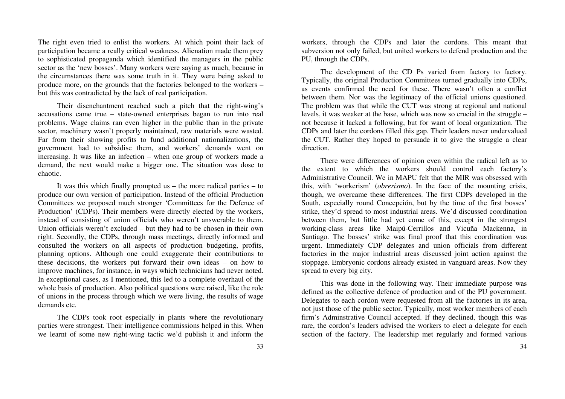The right even tried to enlist the workers. At which point their lack of participation became a really critical weakness. Alienation made them prey to sophisticated propaganda which identified the managers in the public sector as the 'new bosses'. Many workers were saying as much, because in the circumstances there was some truth in it. They were being asked to produce more, on the grounds that the factories belonged to the workers – but this was contradicted by the lack of real participation.

Their disenchantment reached such a pitch that the right-wing's accusations came true – state-owned enterprises began to run into real problems. Wage claims ran even higher in the public than in the private sector, machinery wasn't properly maintained, raw materials were wasted. Far from their showing profits to fund additional nationalizations, the government had to subsidise them, and workers' demands went on increasing. It was like an infection – when one group of workers made a demand, the next would make a bigger one. The situation was dose to chaotic.

It was this which finally prompted us – the more radical parties – to produce our own version of participation. Instead of the official Production Committees we proposed much stronger 'Committees for the Defence of Production' (CDPs). Their members were directly elected by the workers, instead of consisting of union officials who weren't answerable to them. Union officials weren't excluded – but they had to be chosen in their own right. Secondly, the CDPs, through mass meetings, directly informed and consulted the workers on all aspects of production budgeting, profits, planning options. Although one could exaggerate their contributions to these decisions, the workers put forward their own ideas – on how to improve machines, for instance, in ways which technicians had never noted. In exceptional cases, as I mentioned, this led to a complete overhaul of the whole basis of production. Also political questions were raised, like the role of unions in the process through which we were living, the results of wage demands etc.

The CDPs took root especially in plants where the revolutionary parties were strongest. Their intelligence commissions helped in this. When we learnt of some new right-wing tactic we'd publish it and inform the workers, through the CDPs and later the cordons. This meant that subversion not only failed, but united workers to defend production and the PU, through the CDPs.

The development of the CD Ps varied from factory to factory. Typically, the original Production Committees turned gradually into CDPs, as events confirmed the need for these. There wasn't often a conflict between them. Nor was the legitimacy of the official unions questioned. The problem was that while the CUT was strong at regional and national levels, it was weaker at the base, which was now so crucial in the struggle – not because it lacked a following, but for want of local organization. The CDPs and later the cordons filled this gap. Their leaders never undervalued the CUT. Rather they hoped to persuade it to give the struggle a clear direction.

There were differences of opinion even within the radical left as to the extent to which the workers should control each factory's Administrative Council. We in MAPU felt that the MIR was obsessed with this, with 'workerism' (*obrerismo*). In the face of the mounting crisis, though, we overcame these differences. The first CDPs developed in the South, especially round Concepción, but by the time of the first bosses' strike, they'd spread to most industrial areas. We'd discussed coordination between them, but little had yet come of this, except in the strongest working-class areas like Maipú-Cerrillos and Vicuña Mackenna, in Santiago. The bosses' strike was final proof that this coordination was urgent. Immediately CDP delegates and union officials from different factories in the major industrial areas discussed joint action against the stoppage. Embryonic cordons already existed in vanguard areas. Now they spread to every big city.

This was done in the following way. Their immediate purpose was defined as the collective defence of production and of the PU government. Delegates to each cordon were requested from all the factories in its area, not just those of the public sector. Typically, most worker members of each firm's Adminstrative Council accepted. If they declined, though this was rare, the cordon's leaders advised the workers to elect a delegate for each section of the factory. The leadership met regularly and formed various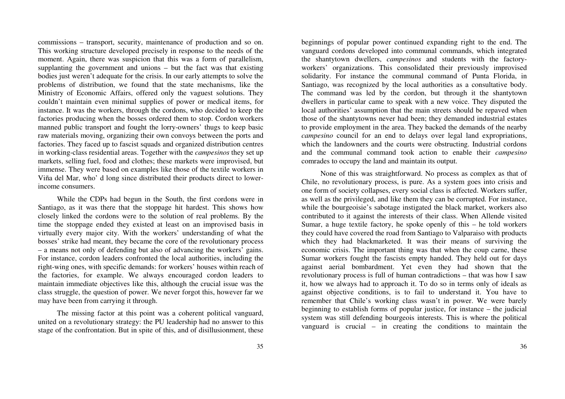commissions – transport, security, maintenance of production and so on. This working structure developed precisely in response to the needs of the moment. Again, there was suspicion that this was a form of parallelism, supplanting the government and unions – but the fact was that existing bodies just weren't adequate for the crisis. In our early attempts to solve the problems of distribution, we found that the state mechanisms, like the Ministry of Economic Affairs, offered only the vaguest solutions. They couldn't maintain even minimal supplies of power or medical items, for instance. It was the workers, through the cordons, who decided to keep the factories producing when the bosses ordered them to stop. Cordon workers manned public transport and fought the lorry-owners' thugs to keep basic raw materials moving, organizing their own convoys between the ports and factories. They faced up to fascist squads and organized distribution centres in working-class residential areas. Together with the *campesinos* they set up markets, selling fuel, food and clothes; these markets were improvised, but immense. They were based on examples like those of the textile workers in Viña del Mar, who' d long since distributed their products direct to lowerincome consumers.

While the CDPs had begun in the South, the first cordons were in Santiago, as it was there that the stoppage hit hardest. This shows how closely linked the cordons were to the solution of real problems. By the time the stoppage ended they existed at least on an improvised basis in virtually every major city. With the workers' understanding of what the bosses' strike had meant, they became the core of the revolutionary process – a means not only of defending but also of advancing the workers' gains. For instance, cordon leaders confronted the local authorities, including the right-wing ones, with specific demands: for workers' houses within reach of the factories, for example. We always encouraged cordon leaders to maintain immediate objectives like this, although the crucial issue was the class struggle, the question of power. We never forgot this, however far we may have been from carrying it through.

The missing factor at this point was a coherent political vanguard, united on a revolutionary strategy: the PU leadership had no answer to this stage of the confrontation. But in spite of this, and of disillusionment, these beginnings of popular power continued expanding right to the end. The vanguard cordons developed into communal commands, which integrated the shantytown dwellers, *campesinos* and students with the factoryworkers' organizations. This consolidated their previously improvised solidarity. For instance the communal command of Punta Florida, in Santiago, was recognized by the local authorities as a consultative body. The command was led by the cordon, but through it the shantytown dwellers in particular came to speak with a new voice. They disputed the local authorities' assumption that the main streets should be repaved when those of the shantytowns never had been; they demanded industrial estates to provide employment in the area. They backed the demands of the nearby *campesino* council for an end to delays over legal land expropriations, which the landowners and the courts were obstructing. Industrial cordons and the communal command took action to enable their *campesino*comrades to occupy the land and maintain its output.

None of this was straightforward. No process as complex as that of Chile, no revolutionary process, is pure. As a system goes into crisis and one form of society collapses, every social class is affected. Workers suffer, as well as the privileged, and like them they can be corrupted. For instance, while the bourgeoisie's sabotage instigated the black market, workers also contributed to it against the interests of their class. When Allende visited Sumar, a huge textile factory, he spoke openly of this – he told workers they could have covered the road from Santiago to Valparaiso with products which they had blackmarketed. It was their means of surviving the economic crisis. The important thing was that when the coup carne, these Sumar workers fought the fascists empty handed. They held out for days against aerial bombardment. Yet even they had shown that the revolutionary process is full of human contradictions – that was how I saw it, how we always had to approach it. To do so in terms only of ideals as against objective conditions, is to fail to understand it. You have to remember that Chile's working class wasn't in power. We were barely beginning to establish forms of popular justice, for instance – the judicial system was still defending bourgeois interests. This is where the political vanguard is crucial – in creating the conditions to maintain the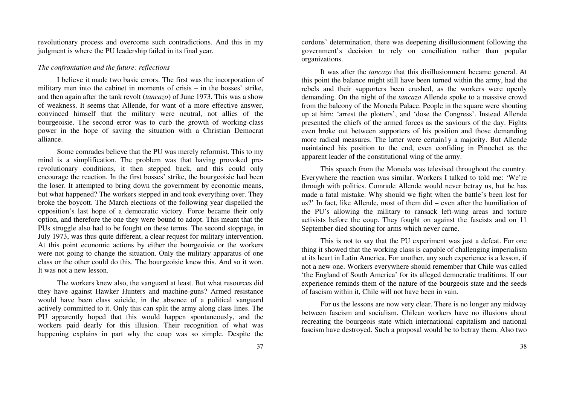revolutionary process and overcome such contradictions. And this in my judgment is where the PU leadership failed in its final year.

# *The confrontation and the future: reflections*

I believe it made two basic errors. The first was the incorporation of military men into the cabinet in moments of crisis – in the bosses' strike, and then again after the tank revolt (*tancazo*) of June 1973. This was a show of weakness. It seems that Allende, for want of a more effective answer, convinced himself that the military were neutral, not allies of the bourgeoisie. The second error was to curb the growth of working-class power in the hope of saving the situation with a Christian Democrat alliance.

Some comrades believe that the PU was merely reformist. This to my mind is a simplification. The problem was that having provoked prerevolutionary conditions, it then stepped back, and this could only encourage the reaction. In the first bosses' strike, the bourgeoisie had been the loser. It attempted to bring down the government by economic means, but what happened? The workers stepped in and took everything over. They broke the boycott. The March elections of the following year dispelled the opposition's last hope of a democratic victory. Force became their only option, and therefore the one they were bound to adopt. This meant that the PUs struggle also had to be fought on these terms. The second stoppage, in July 1973, was thus quite different, a clear request for military intervention. At this point economic actions by either the bourgeoisie or the workers were not going to change the situation. Only the military apparatus of one class or the other could do this. The bourgeoisie knew this. And so it won. It was not a new lesson.

The workers knew also, the vanguard at least. But what resources did they have against Hawker Hunters and machine-guns? Armed resistance would have been class suicide, in the absence of a political vanguard actively committed to it. Only this can split the army along class lines. The PU apparently hoped that this would happen spontaneously, and the workers paid dearly for this illusion. Their recognition of what was happening explains in part why the coup was so simple. Despite the cordons' determination, there was deepening disillusionment following the governmen<sup>t</sup>'s decision to rely on conciliation rather than popular organizations.

It was after the *tancazo* that this disillusionment became general. At this point the balance might still have been turned within the army, had the rebels and their supporters been crushed, as the workers were openly demanding. On the night of the *tancazo* Allende spoke to a massive crowd from the balcony of the Moneda Palace. People in the square were shouting up at him: 'arrest the plotters', and 'dose the Congress'. Instead Allende presented the chiefs of the armed forces as the saviours of the day. Fights even broke out between supporters of his position and those demanding more radical measures. The latter were certain1y a majority. But Allende maintained his position to the end, even confiding in Pinochet as the apparent leader of the constitutional wing of the army.

This speech from the Moneda was televised throughout the country. Everywhere the reaction was similar. Workers I talked to told me: 'We're through with politics. Comrade Allende would never betray us, but he has made a fatal mistake. Why should we fight when the battle's been lost for us?' In fact, like Allende, most of them did – even after the humiliation of the PU's allowing the military to ransack left-wing areas and torture activists before the coup. They fought on against the fascists and on 11 September died shouting for arms which never carne.

This is not to say that the PU experiment was just a defeat. For one thing it showed that the working class is capable of challenging imperialism at its heart in Latin America. For another, any such experience is a lesson, if not a new one. Workers everywhere should remember that Chile was called 'the England of South America' for its alleged democratic traditions. If our experience reminds them of the nature of the bourgeois state and the seeds of fascism within it, Chile will not have been in vain.

For us the lessons are now very clear. There is no longer any midway between fascism and socialism. Chilean workers have no illusions about recreating the bourgeois state which international capitalism and national fascism have destroyed. Such a proposal would be to betray them. Also two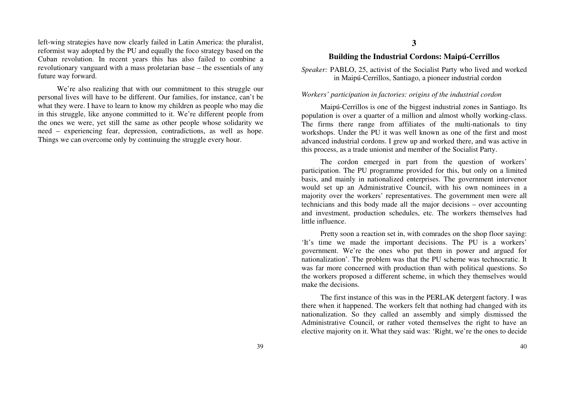left-wing strategies have now clearly failed in Latin America: the pluralist, reformist way adopted by the PU and equally the foco strategy based on the Cuban revolution. In recent years this has also failed to combine a revolutionary vanguard with a mass proletarian base – the essentials of any future way forward.

We're also realizing that with our commitment to this struggle our personal lives will have to be different. Our families, for instance, can't be what they were. I have to learn to know my children as people who may die in this struggle, like anyone committed to it. We're different people from the ones we were, yet still the same as other people whose solidarity we need – experiencing fear, depression, contradictions, as well as hope. Things we can overcome only by continuing the struggle every hour.

# **3**

# **Building the Industrial Cordons: Maipú-Cerrillos**

*Speaker:* PABLO, 25, activist of the Socialist Party who lived and worked in Maipú-Cerrillos, Santiago, a pioneer industrial cordon

# *Workers' participation in factories: origins of the industrial cordon*

Maipú-Cerrillos is one of the biggest industrial zones in Santiago. Its population is over a quarter of a million and almost wholly working-class. The firms there range from affiliates of the multi-nationals to tiny workshops. Under the PU it was well known as one of the first and most advanced industrial cordons. I grew up and worked there, and was active in this process, as a trade unionist and member of the Socialist Party.

The cordon emerged in part from the question of workers' participation. The PU programme provided for this, but only on a limited basis, and mainly in nationalized enterprises. The government intervenor would set up an Administrative Council, with his own nominees in a majority over the workers' representatives. The government men were all technicians and this body made all the major decisions – over accounting and investment, production schedules, etc. The workers themselves had little influence.

Pretty soon a reaction set in, with comrades on the shop floor saying: 'It's time we made the important decisions. The PU is a workers' government. We're the ones who put them in power and argued for nationalization'. The problem was that the PU scheme was technocratic. It was far more concerned with production than with political questions. So the workers proposed a different scheme, in which they themselves would make the decisions.

The first instance of this was in the PERLAK detergent factory. I was there when it happened. The workers felt that nothing had changed with its nationalization. So they called an assembly and simply dismissed the Administrative Council, or rather voted themselves the right to have an elective majority on it. What they said was: 'Right, we're the ones to decide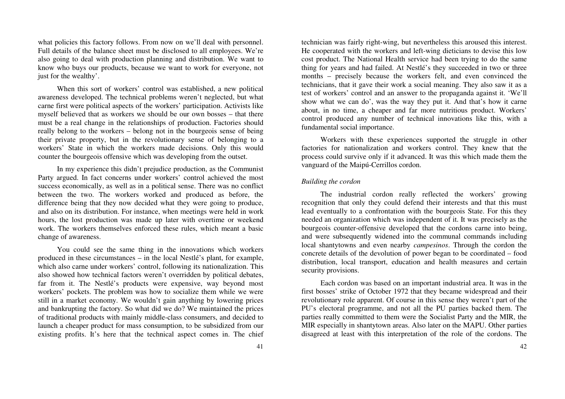what policies this factory follows. From now on we'll deal with personnel. Full details of the balance sheet must be disclosed to all employees. We're also going to deal with production planning and distribution. We want to know who buys our products, because we want to work for everyone, not just for the wealthy'.

When this sort of workers' control was established, a new political awareness developed. The technical problems weren't neglected, but what carne first were political aspects of the workers' participation. Activists like myself believed that as workers we should be our own bosses – that there must be a real change in the relationships of production. Factories should really belong to the workers – belong not in the bourgeois sense of being their private property, but in the revolutionary sense of belonging to a workers' State in which the workers made decisions. Only this would counter the bourgeois offensive which was developing from the outset.

In my experience this didn't prejudice production, as the Communist Party argued. In fact concerns under workers' control achieved the most success economically, as well as in a political sense. There was no conflict between the two. The workers worked and produced as before, the difference being that they now decided what they were going to produce, and also on its distribution. For instance, when meetings were held in work hours, the lost production was made up later with overtime or weekend work. The workers themselves enforced these rules, which meant a basic change of awareness.

You could see the same thing in the innovations which workers produced in these circumstances – in the local Nestlé's plant, for example, which also carne under workers' control, following its nationalization. This also showed how technical factors weren't overridden by political debates, far from it. The Nestlé's products were expensive, way beyond most workers' pockets. The problem was how to socialize them while we were still in a market economy. We wouldn't gain anything by lowering prices and bankrupting the factory. So what did we do? We maintained the prices of traditional products with mainly middle-class consumers, and decided to launch a cheaper product for mass consumption, to be subsidized from our existing profits. It's here that the technical aspect comes in. The chief technician was fairly right-wing, but nevertheless this aroused this interest. He cooperated with the workers and left-wing dieticians to devise this low cost product. The National Health service had been trying to do the same thing for years and had failed. At Nestlé's they succeeded in two or three months – precisely because the workers felt, and even convinced the technicians, that it gave their work a social meaning. They also saw it as a test of workers' control and an answer to the propaganda against it. 'We'll show what we can do', was the way they put it. And that's how it carne about, in no time, a cheaper and far more nutritious product. Workers' control produced any number of technical innovations like this, with a fundamental social importance.

Workers with these experiences supported the struggle in other factories for nationalization and workers control. They knew that the process could survive only if it advanced. It was this which made them the vanguard of the Maipú-Cerrillos cordon.

### *Building the cordon*

The industrial cordon really reflected the workers' growing recognition that only they could defend their interests and that this must lead eventually to a confrontation with the bourgeois State. For this they needed an organization which was independent of it. It was precisely as the bourgeois counter-offensive developed that the cordons carne into being, and were subsequently widened into the communal commands including local shantytowns and even nearby *campesinos*. Through the cordon the concrete details of the devolution of power began to be coordinated – food distribution, local transport, education and health measures and certain security provisions.

Each cordon was based on an important industrial area. It was in the first bosses' strike of October 1972 that they became widespread and their revolutionary role apparent. Of course in this sense they weren't part of the PU's electoral programme, and not all the PU parties backed them. The parties really committed to them were the Socialist Party and the MIR, the MIR especially in shantytown areas. Also later on the MAPU. Other parties disagreed at least with this interpretation of the role of the cordons. The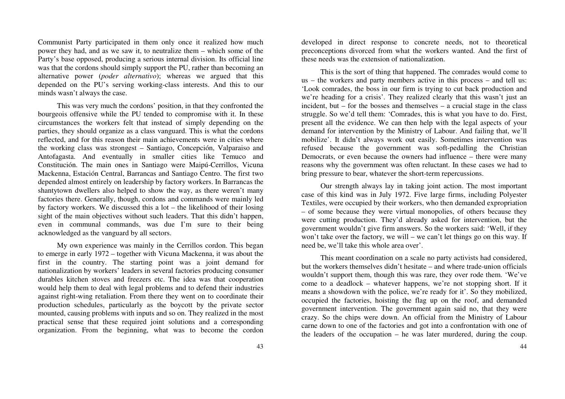Communist Party participated in them only once it realized how much power they had, and as we saw it, to neutralize them – which some of the Party's base opposed, producing a serious internal division. Its official line was that the cordons should simply support the PU, rather than becoming an alternative power (*poder alternativo*); whereas we argued that this depended on the PU's serving working-class interests. And this to our minds wasn't always the case.

This was very much the cordons' position, in that they confronted the bourgeois offensive while the PU tended to compromise with it. In these circumstances the workers felt that instead of simply depending on the parties, they should organize as a class vanguard. This is what the cordons reflected, and for this reason their main achievements were in cities where the working class was strongest – Santiago, Concepción, Valparaiso and Antofagasta. And eventually in smaller cities like Temuco and Constitución. The main ones in Santiago were Maipú-Cerrillos, Vicuna Mackenna, Estación Central, Barrancas and Santiago Centro. The first two depended almost entirely on leadership by factory workers. In Barrancas the shantytown dwellers also helped to show the way, as there weren't many factories there. Generally, though, cordons and commands were mainly led by factory workers. We discussed this a lot – the likelihood of their losing sight of the main objectives without such leaders. That this didn't happen, even in communal commands, was due I'm sure to their being acknowledged as the vanguard by all sectors.

My own experience was mainly in the Cerrillos cordon. This began to emerge in early 1972 – together with Vicuna Mackenna, it was about the first in the country. The starting point was a joint demand for nationalization by workers' leaders in several factories producing consumer durables kitchen stoves and freezers etc. The idea was that cooperation would help them to deal with legal problems and to defend their industries against right-wing retaliation. From there they went on to coordinate their production schedules, particularly as the boycott by the private sector mounted, causing problems with inputs and so on. They realized in the most practical sense that these required joint solutions and a corresponding organization. From the beginning, what was to become the cordon developed in direct response to concrete needs, not to theoretical preconceptions divorced from what the workers wanted. And the first of these needs was the extension of nationalization.

This is the sort of thing that happened. The comrades would come to us – the workers and party members active in this process – and tell us: 'Look comrades, the boss in our firm is trying to cut back production and we're heading for a crisis'. They realized clearly that this wasn't just an incident, but – for the bosses and themselves – a crucial stage in the class struggle. So we'd tell them: 'Comrades, this is what you have to do. First, present all the evidence. We can then help with the legal aspects of your demand for intervention by the Ministry of Labour. And failing that, we'll mobilize'. It didn't always work out easily. Sometimes intervention was refused because the government was soft-pedalling the Christian Democrats, or even because the owners had influence – there were many reasons why the government was often reluctant. In these cases we had to bring pressure to bear, whatever the short-term repercussions.

Our strength always lay in taking joint action. The most important case of this kind was in July 1972. Five large firms, including Polyester Textiles, were occupied by their workers, who then demanded expropriation – of some because they were virtual monopolies, of others because they were cutting production. They'd already asked for intervention, but the government wouldn't give firm answers. So the workers said: 'Well, if they won't take over the factory, we will – we can't let things go on this way. If need be, we'll take this whole area over'.

This meant coordination on a scale no party activists had considered, but the workers themselves didn't hesitate – and where trade-union officials wouldn't support them, though this was rare, they over rode them. 'We've come to a deadlock – whatever happens, we're not stopping short. If it means a showdown with the police, we're ready for it'. So they mobilized, occupied the factories, hoisting the flag up on the roof, and demanded government intervention. The government again said no, that they were crazy. So the chips were down. An official from the Ministry of Labour carne down to one of the factories and got into a confrontation with one of the leaders of the occupation – he was later murdered, during the coup.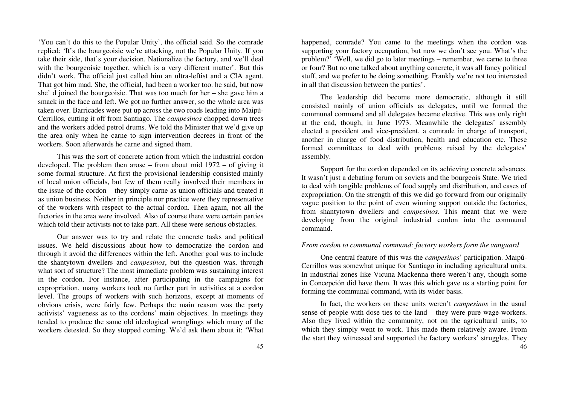'You can't do this to the Popular Unity', the official said. So the comrade replied: 'It's the bourgeoisie we're attacking, not the Popular Unity. If you take their side, that's your decision. Nationalize the factory, and we'll deal with the bourgeoisie together, which is a very different matter'. But this didn't work. The official just called him an ultra-leftist and a CIA agent. That got him mad. She, the official, had been a worker too. he said, but now she' d joined the bourgeoisie. That was too much for her – she gave him a smack in the face and left. We got no further answer, so the whole area was taken over. Barricades were put up across the two roads leading into Maipú-Cerrillos, cutting it off from Santiago. The *campesinos* chopped down trees and the workers added petrol drums. We told the Minister that we'd give up the area only when he carne to sign intervention decrees in front of the workers. Soon afterwards he carne and signed them.

This was the sort of concrete action from which the industrial cordon developed. The problem then arose – from about mid 1972 – of giving it some formal structure. At first the provisional leadership consisted mainly of local union officials, but few of them really involved their members in the issue of the cordon – they simply carne as union officials and treated it as union business. Neither in principle nor practice were they representative of the workers with respect to the actual cordon. Then again, not all the factories in the area were involved. Also of course there were certain parties which told their activists not to take part. All these were serious obstacles.

Our answer was to try and relate the concrete tasks and political issues. We held discussions about how to democratize the cordon and through it avoid the differences within the left. Another goal was to include the shantytown dwellers and *campesinos*, but the question was, through what sort of structure? The most immediate problem was sustaining interest in the cordon. For instance, after participating in the campaigns for expropriation, many workers took no further part in activities at a cordon level. The groups of workers with such horizons, except at moments of obvious crisis, were fairly few. Perhaps the main reason was the party activists' vagueness as to the cordons' main objectives. In meetings they tended to produce the same old ideological wranglings which many of the workers detested. So they stopped coming. We'd ask them about it: 'What happened, comrade? You came to the meetings when the cordon was supporting your factory occupation, but now we don't see you. What's the problem?' 'Well, we did go to later meetings – remember, we carne to three or four? But no one talked about anything concrete, it was all fancy political stuff, and we prefer to be doing something. Frankly we're not too interested in all that discussion between the parties'.

The leadership did become more democratic, although it still consisted mainly of union officials as delegates, until we formed the communal command and all delegates became elective. This was only right at the end, though, in June 1973. Meanwhile the delegates' assembly elected a president and vice-president, a comrade in charge of transport, another in charge of food distribution, health and education etc. These formed committees to deal with problems raised by the delegates' assembly.

Support for the cordon depended on its achieving concrete advances. It wasn't just a debating forum on soviets and the bourgeois State. We tried to deal with tangible problems of food supply and distribution, and cases of expropriation. On the strength of this we did go forward from our originally vague position to the point of even winning support outside the factories, from shantytown dwellers and *campesinos*. This meant that we were developing from the original industrial cordon into the communal command.

#### *From cordon to communal command: factory workers form the vanguard*

One central feature of this was the *campesinos*' participation. Maipú-Cerrillos was somewhat unique for Santiago in including agricultural units. In industrial zones like Vicuna Mackenna there weren't any, though some in Concepción did have them. It was this which gave us a starting point for forming the communal command, with its wider basis.

In fact, the workers on these units weren't *campesinos* in the usual sense of people with dose ties to the land – they were pure wage-workers. Also they lived within the community, not on the agricultural units, to which they simply went to work. This made them relatively aware. From the start they witnessed and supported the factory workers' struggles. They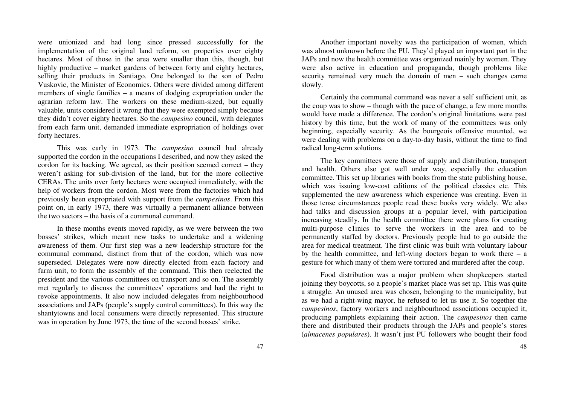were unionized and had long since pressed successfully for the implementation of the original land reform, on properties over eighty hectares. Most of those in the area were smaller than this, though, but highly productive – market gardens of between forty and eighty hectares, selling their products in Santiago. One belonged to the son of Pedro Vuskovic, the Minister of Economics. Others were divided among different members of single families – a means of dodging expropriation under the agrarian reform law. The workers on these medium-sized, but equally valuable, units considered it wrong that they were exempted simply because they didn't cover eighty hectares. So the *campesino* council, with delegates from each farm unit, demanded immediate expropriation of holdings over forty hectares.

This was early in 1973. The *campesino* council had already supported the cordon in the occupations I described, and now they asked the cordon for its backing. We agreed, as their position seemed correct – they weren't asking for sub-division of the land, but for the more collective CERAs. The units over forty hectares were occupied immediately, with the help of workers from the cordon. Most were from the factories which had previously been expropriated with support from the *campesinos*. From this point on, in early 1973, there was virtually a permanent alliance between the two sectors – the basis of a communal command.

In these months events moved rapidly, as we were between the two bosses' strikes, which meant new tasks to undertake and a widening awareness of them. Our first step was a new leadership structure for the communal command, distinct from that of the cordon, which was now superseded. Delegates were now directly elected from each factory and farm unit, to form the assembly of the command. This then reelected the president and the various committees on transport and so on. The assembly met regularly to discuss the committees' operations and had the right to revoke appointments. It also now included delegates from neighbourhood associations and JAPs (people's supply control committees). In this way the shantytowns and local consumers were directly represented. This structure was in operation by June 1973, the time of the second bosses' strike.

Another important novelty was the participation of women, which was almost unknown before the PU. They'd played an important part in the JAPs and now the health committee was organized mainly by women. They were also active in education and propaganda, though problems like security remained very much the domain of men – such changes carne slowly.

Certainly the communal command was never a self sufficient unit, as the coup was to show – though with the pace of change, a few more months would have made a difference. The cordon's original limitations were past history by this time, but the work of many of the committees was only beginning, especially security. As the bourgeois offensive mounted, we were dealing with problems on a day-to-day basis, without the time to find radical long-term solutions.

The key committees were those of supply and distribution, transport and health. Others also got well under way, especially the education committee. This set up libraries with books from the state publishing house, which was issuing low-cost editions of the political classics etc. This supplemented the new awareness which experience was creating. Even in those tense circumstances people read these books very widely. We also had talks and discussion groups at a popular level, with participation increasing steadily. In the health committee there were plans for creating multi-purpose c1inics to serve the workers in the area and to be permanently staffed by doctors. Previously people had to go outside the area for medical treatment. The first clinic was built with voluntary labour by the health committee, and left-wing doctors began to work there  $-$  a gesture for which many of them were tortured and murdered after the coup.

Food distribution was a major problem when shopkeepers started joining they boycotts, so a people's market place was set up. This was quite a struggle. An unused area was chosen, belonging to the municipality, but as we had a right-wing mayor, he refused to let us use it. So together the *campesinos*, factory workers and neighbourhood associations occupied it, producing pamphlets explaining their action. The *campesinos* then carne there and distributed their products through the JAPs and people's stores (*almacenes populares*). It wasn't just PU followers who bought their food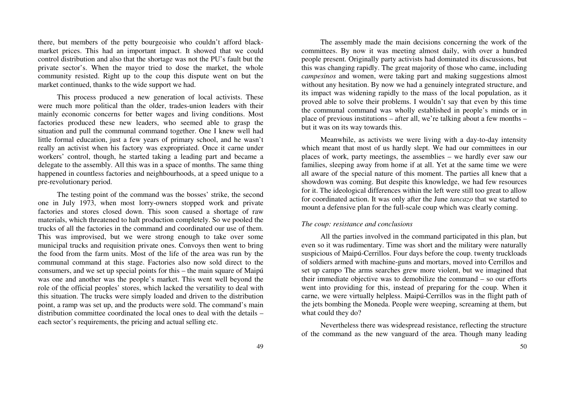there, but members of the petty bourgeoisie who couldn't afford blackmarket prices. This had an important impact. It showed that we could control distribution and also that the shortage was not the PU's fault but the private sector's. When the mayor tried to dose the market, the whole community resisted. Right up to the coup this dispute went on but the market continued, thanks to the wide support we had.

This process produced a new generation of local activists. These were much more political than the older, trades-union leaders with their mainly economic concerns for better wages and living conditions. Most factories produced these new leaders, who seemed able to grasp the situation and pull the communal command together. One I knew well had little formal education, just a few years of primary school, and he wasn't really an activist when his factory was expropriated. Once it carne under workers' control, though, he started taking a leading part and became a delegate to the assembly. All this was in a space of months. The same thing happened in countless factories and neighbourhoods, at a speed unique to a pre-revolutionary period.

The testing point of the command was the bosses' strike, the second one in July 1973, when most lorry-owners stopped work and private factories and stores closed down. This soon caused a shortage of raw materials, which threatened to halt production completely. So we pooled the trucks of all the factories in the command and coordinated our use of them. This was improvised, but we were strong enough to take over some municipal trucks and requisition private ones. Convoys then went to bring the food from the farm units. Most of the life of the area was run by the communal command at this stage. Factories also now sold direct to the consumers, and we set up special points for this – the main square of Maipú was one and another was the people's market. This went well beyond the role of the official peoples' stores, which lacked the versatility to deal with this situation. The trucks were simply loaded and driven to the distribution point, a ramp was set up, and the products were sold. The command's main distribution committee coordinated the local ones to deal with the details – each sector's requirements, the pricing and actual selling etc.

The assembly made the main decisions concerning the work of the committees. By now it was meeting almost daily, with over a hundred people present. Originally party activists had dominated its discussions, but this was changing rapidly. The great majority of those who came, including *campesinos* and women, were taking part and making suggestions almost without any hesitation. By now we had a genuinely integrated structure, and its impact was widening rapidly to the mass of the local population, as it proved able to solve their problems. I wouldn't say that even by this time the communal command was wholly established in people's minds or in place of previous institutions – after all, we're talking about a few months – but it was on its way towards this.

Meanwhile, as activists we were living with a day-to-day intensity which meant that most of us hardly slept. We had our committees in our places of work, party meetings, the assemblies – we hardly ever saw our families, sleeping away from home if at all. Yet at the same time we were all aware of the special nature of this moment. The parties all knew that a showdown was coming. But despite this knowledge, we had few resources for it. The ideological differences within the left were still too great to allow for coordinated action. It was only after the June *tancazo* that we started to mount a defensive plan for the full-scale coup which was clearly coming.

### *The coup: resistance and conclusions*

All the parties involved in the command participated in this plan, but even so it was rudimentary. Time was short and the military were naturally suspicious of Maipú-Cerrillos. Four days before the coup. twenty truckloads of soldiers armed with machine-guns and mortars, moved into Cerrillos and set up campo The arms searches grew more violent, but we imagined that their immediate objective was to demobilize the command – so our efforts went into providing for this, instead of preparing for the coup. When it carne, we were virtually helpless. Maipú-Cerrillos was in the flight path of the jets bombing the Moneda. People were weeping, screaming at them, but what could they do?

Nevertheless there was widespread resistance, reflecting the structure of the command as the new vanguard of the area. Though many leading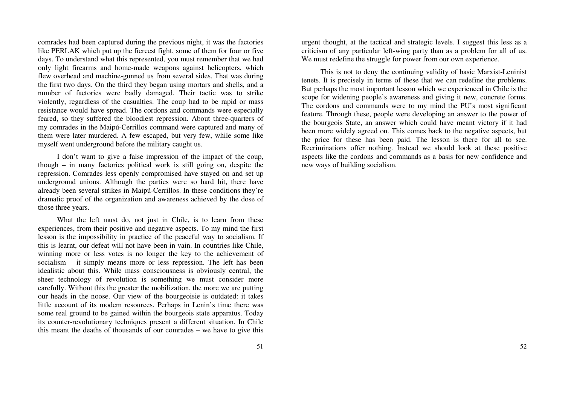comrades had been captured during the previous night, it was the factories like PERLAK which put up the fiercest fight, some of them for four or five days. To understand what this represented, you must remember that we had only light firearms and home-made weapons against helicopters, which flew overhead and machine-gunned us from several sides. That was during the first two days. On the third they began using mortars and shells, and a number of factories were badly damaged. Their tactic was to strike violently, regardless of the casualties. The coup had to be rapid or mass resistance would have spread. The cordons and commands were especially feared, so they suffered the bloodiest repression. About three-quarters of my comrades in the Maipú-Cerrillos command were captured and many of them were later murdered. A few escaped, but very few, while some like myself went underground before the military caught us.

I don't want to give a false impression of the impact of the coup, though – in many factories political work is still going on, despite the repression. Comrades less openly compromised have stayed on and set up underground unions. Although the parties were so hard hit, there have already been several strikes in Maipú-Cerrillos. In these conditions they're dramatic proof of the organization and awareness achieved by the dose of those three years.

What the left must do, not just in Chile, is to learn from these experiences, from their positive and negative aspects. To my mind the first lesson is the impossibility in practice of the peaceful way to socialism. If this is learnt, our defeat will not have been in vain. In countries like Chile, winning more or less votes is no longer the key to the achievement of socialism – it simply means more or less repression. The left has been idealistic about this. While mass consciousness is obviously central, the sheer technology of revolution is something we must consider more carefully. Without this the greater the mobilization, the more we are putting our heads in the noose. Our view of the bourgeoisie is outdated: it takes little account of its modem resources. Perhaps in Lenin's time there was some real ground to be gained within the bourgeois state apparatus. Today its counter-revolutionary techniques present a different situation. In Chile this meant the deaths of thousands of our comrades – we have to give this urgent thought, at the tactical and strategic levels. I suggest this less as a criticism of any particular left-wing party than as a problem for all of us. We must redefine the struggle for power from our own experience.

This is not to deny the continuing validity of basic Marxist-Leninist tenets. It is precisely in terms of these that we can redefine the problems. But perhaps the most important lesson which we experienced in Chile is the scope for widening people's awareness and giving it new, concrete forms. The cordons and commands were to my mind the PU's most significant feature. Through these, people were developing an answer to the power of the bourgeois State, an answer which could have meant victory if it had been more widely agreed on. This comes back to the negative aspects, but the price for these has been paid. The lesson is there for all to see. Recriminations offer nothing. Instead we should look at these positive aspects like the cordons and commands as a basis for new confidence and new ways of building socialism.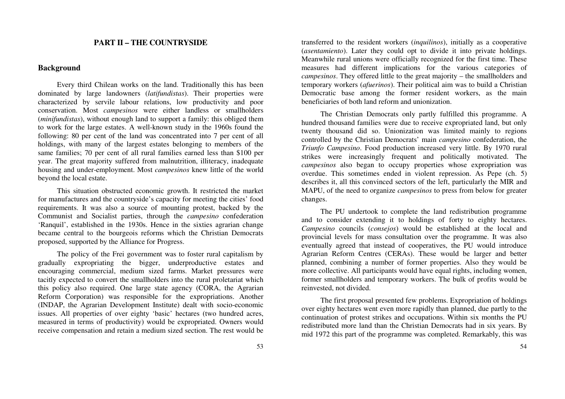# **PART II – THE COUNTRYSIDE**

# **Background**

Every third Chilean works on the land. Traditionally this has been dominated by large landowners (*latifundistas*). Their properties were characterized by servile labour relations, low productivity and poor conservation. Most *campesinos* were either landless or smallholders (*minifundistas*), without enough land to support a family: this obliged them to work for the large estates. A well-known study in the 1960s found the following: 80 per cent of the land was concentrated into 7 per cent of all holdings, with many of the largest estates belonging to members of the same families; 70 per cent of all rural families earned less than \$100 per year. The great majority suffered from malnutrition, illiteracy, inadequate housing and under-employment. Most *campesinos* knew little of the world beyond the local estate.

This situation obstructed economic growth. It restricted the market for manufactures and the countryside's capacity for meeting the cities' food requirements. It was also a source of mounting protest, backed by the Communist and Socialist parties, through the *campesino* confederation 'Ranquil', established in the 1930s. Hence in the sixties agrarian change became central to the bourgeois reforms which the Christian Democrats proposed, supported by the Alliance for Progress.

The policy of the Frei government was to foster rural capitalism by gradually expropriating the bigger, underproductive estates and encouraging commercial, medium sized farms. Market pressures were tacitly expected to convert the smallholders into the rural proletariat which this policy also required. One large state agency (CORA, the Agrarian Reform Corporation) was responsible for the expropriations. Another (INDAP, the Agrarian Development Institute) dealt with socio-economic issues. All properties of over eighty 'basic' hectares (two hundred acres, measured in terms of productivity) would be expropriated. Owners would receive compensation and retain a medium sized section. The rest would be transferred to the resident workers (*inquilinos*), initially as a cooperative (*asentamiento*). Later they could opt to divide it into private holdings. Meanwhile rural unions were officially recognized for the first time. These measures had different implications for the various categories of *campesinos*. They offered little to the great majority – the smallholders and temporary workers (*afuerinos*). Their political aim was to build a Christian Democratic base among the former resident workers, as the main beneficiaries of both land reform and unionization.

The Christian Democrats only partly fulfilled this programme. A hundred thousand families were due to receive expropriated land, but only twenty thousand did so. Unionization was limited mainly to regions controlled by the Christian Democrats' main *campesino* confederation, the *Triunfo Campesino*. Food production increased very little. By 1970 rural strikes were increasingly frequent and politically motivated. The *campesinos* also began to occupy properties whose expropriation was overdue. This sometimes ended in violent repression. As Pepe (ch. 5) describes it, all this convinced sectors of the left, particularly the MIR and MAPU, of the need to organize *campesinos* to press from below for greater changes.

The PU undertook to complete the land redistribution programme and to consider extending it to holdings of forty to eighty hectares. *Campesino* councils (*consejos*) would be established at the local and provincial levels for mass consultation over the programme. It was also eventually agreed that instead of cooperatives, the PU would introduce Agrarian Reform Centres (CERAs). These would be larger and better planned, combining a number of former properties. Also they would be more collective. All participants would have equal rights, including women, former smallholders and temporary workers. The bulk of profits would be reinvested, not divided.

The first proposal presented few problems. Expropriation of holdings over eighty hectares went even more rapidly than planned, due partly to the continuation of protest strikes and occupations. Within six months the PU redistributed more land than the Christian Democrats had in six years. By mid 1972 this part of the programme was completed. Remarkably, this was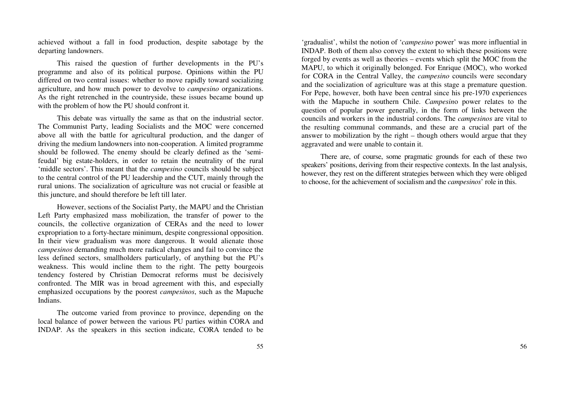achieved without a fall in food production, despite sabotage by the departing landowners.

This raised the question of further developments in the PU's programme and also of its political purpose. Opinions within the PU differed on two central issues: whether to move rapidly toward socializing agriculture, and how much power to devolve to *campesino* organizations. As the right retrenched in the countryside, these issues became bound up with the problem of how the PU should confront it.

This debate was virtually the same as that on the industrial sector. The Communist Party, leading Socialists and the MOC were concerned above all with the battle for agricultural production, and the danger of driving the medium landowners into non-cooperation. A limited programme should be followed. The enemy should be clearly defined as the 'semifeudal' big estate-holders, in order to retain the neutrality of the rural 'middle sectors'. This meant that the *campesino* councils should be subject to the central control of the PU leadership and the CUT, mainly through the rural unions. The socialization of agriculture was not crucial or feasible at this juncture, and should therefore be left till later.

However, sections of the Socialist Party, the MAPU and the Christian Left Party emphasized mass mobilization, the transfer of power to the councils, the collective organization of CERAs and the need to lower expropriation to a forty-hectare minimum, despite congressional opposition. In their view gradualism was more dangerous. It would alienate those *campesinos* demanding much more radical changes and fail to convince the less defined sectors, smallholders particularly, of anything but the PU's weakness. This would incline them to the right. The petty bourgeois tendency fostered by Christian Democrat reforms must be decisively confronted. The MIR was in broad agreement with this, and especially emphasized occupations by the poorest *campesinos*, such as the Mapuche Indians.

The outcome varied from province to province, depending on the local balance of power between the various PU parties within CORA and INDAP. As the speakers in this section indicate, CORA tended to be 'gradualist', whilst the notion of '*campesino* power' was more influential in INDAP. Both of them also convey the extent to which these positions were forged by events as well as theories – events which split the MOC from the MAPU, to which it originally belonged. For Enrique (MOC), who worked for CORA in the Central Valley, the *campesino* councils were secondary and the socialization of agriculture was at this stage a premature question. For Pepe, however, both have been central since his pre-1970 experiences with the Mapuche in southern Chile. *Campesin*o power relates to the question of popular power generally, in the form of links between the councils and workers in the industrial cordons. The *campesinos* are vital to the resulting communal commands, and these are a crucial part of the answer to mobilization by the right – though others would argue that they aggravated and were unable to contain it.

There are, of course, some pragmatic grounds for each of these two speakers' positions, deriving from their respective contexts. In the last analysis, however, they rest on the different strategies between which they were obliged to choose, for the achievement of socialism and the *campesinos*' role in this.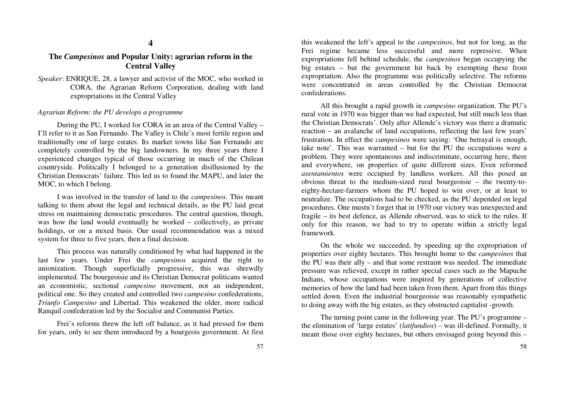## **4**

# **The** *Campesinos* **and Popular Unity: agrarian reform in the Central Valley**

*Speaker*: ENRIQUE, 28, a lawyer and activist of the MOC, who worked in CORA, the Agrarian Reform Corporation, dealing with land expropriations in the Central Valley

### *Agrarian Reform: the PU develops a programme*

During the PU, I worked for CORA in an area of the Central Valley – I'll refer to it as San Fernando. The Valley is Chile's most fertile region and traditionally one of large estates. Its market towns like San Fernando are completely controlled by the big landowners. In my three years there I experienced changes typical of those occurring in much of the Chilean countryside. Politically I belonged to a generation disillusioned by the Christian Democrats' failure. This led us to found the MAPU, and later the MOC, to which I belong.

I was involved in the transfer of land to the *campesinos*. This meant talking to them about the legal and technical details, as the PU laid great stress on maintaining democratic procedures. The central question, though, was how the land would eventually be worked – collectively, as private holdings, or on a mixed basis. Our usual recommendation was a mixed system for three to five years, then a final decision.

This process was naturally conditioned by what had happened in the last few years. Under Frei the *campesinos* acquired the right to unionization. Though superficially progressive, this was shrewdly implemented. The bourgeoisie and its Christian Democrat politicans wanted an economistic, sectional *campesino* movement, not an independent, political one. So they created and controlled two *campesino* confederations, *Triunfo Campesino* and Libertad. This weakened the older, more radical Ranquil confederation led by the Socialist and Communist Parties.

Frei's reforms threw the left off balance, as it had pressed for them for years, only to see them introduced by a bourgeois government. At first this weakened the left's appeal to the *campesinos*, but not for long, as the Frei regime became less successful and more repressive. When expropriations fell behind schedule, the *campesinos* began occupying the big estates – but the government hit back by exempting these from expropriation. Also the programme was politically selective. The reforms were concentrated in areas controlled by the Christian Democrat confederations.

All this brought a rapid growth in *campesino* organization. The PU's rural vote in 1970 was bigger than we had expected, but still much less than the Christian Democrats'. Only after Allende's victory was there a dramatic reaction – an avalanche of land occupations, reflecting the last few years' frustration. In effect the *campesinos* were saying: 'One betrayal is enough, take note'. This was warranted – but for the PU the occupations were a problem. They were spontaneous and indiscriminate, occurring here, there and everywhere, on properties of quite different sizes. Even reformed *asentamientos* were occupied by landless workers. All this posed an obvious threat to the medium-sized rural bourgeoisie – the twenty-toeighty-hectare-farmers whom the PU hoped to win over, or at least to neutralize. The occupations had to be checked, as the PU depended on legal procedures. One mustn't forget that in 1970 our victory was unexpected and fragile – its best defence, as Allende observed, was to stick to the rules. If only for this reason, we had to try to operate within a strictly legal framework.

On the whole we succeeded, by speeding up the expropriation of properties over eighty hectares. This brought home to the *campesinos* that the PU was their ally – and that some restraint was needed. The immediate pressure was relieved, except in rather special cases such as the Mapuche Indians, whose occupations were inspired by generations of collective memories of how the land had been taken from them. Apart from this things settled down. Even the industrial bourgeoisie was reasonably sympathetic to doing away with the big estates, as they obstructed capitalist -growth.

The turning point came in the following year. The PU's programme – the elimination of 'large estates' (*latifundios*) – was ill-defined. Formally, it meant those over eighty hectares, but others envisaged going beyond this –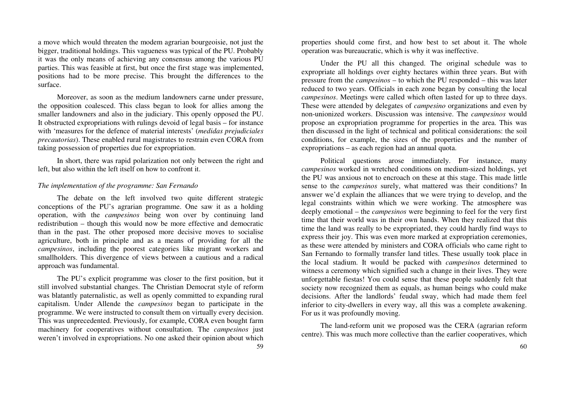a move which would threaten the modem agrarian bourgeoisie, not just the bigger, traditional holdings. This vagueness was typical of the PU. Probably it was the only means of achieving any consensus among the various PU parties. This was feasible at first, but once the first stage was implemented, positions had to be more precise. This brought the differences to the surface.

Moreover, as soon as the medium landowners carne under pressure, the opposition coalesced. This class began to look for allies among the smaller landowners and also in the judiciary. This openly opposed the PU. It obstructed expropriations with rulings devoid of legal basis – for instance with 'measures for the defence of material interests' (*medidas prejudiciales precautorias*). These enabled rural magistrates to restrain even CORA from taking possession of properties due for expropriation.

In short, there was rapid polarization not only between the right and left, but also within the left itself on how to confront it.

### *The implementation of the programme: San Fernando*

The debate on the left involved two quite different strategic conceptions of the PU's agrarian programme. One saw it as a holding operation, with the *campesinos* being won over by continuing land redistribution – though this would now be more effective and democratic than in the past. The other proposed more decisive moves to socialise agriculture, both in principle and as a means of providing for all the *campesinos*, including the poorest categories like migrant workers and smallholders. This divergence of views between a cautious and a radical approach was fundamental.

The PU's explicit programme was closer to the first position, but it still involved substantial changes. The Christian Democrat style of reform was blatantly paternalistic, as well as openly committed to expanding rural capitalism. Under Allende the *campesinos* began to participate in the programme. We were instructed to consult them on virtually every decision. This was unprecedented. Previously, for example, CORA even bought farm machinery for cooperatives without consultation. The *campesinos* just weren't involved in expropriations. No one asked their opinion about which properties should come first, and how best to set about it. The whole operation was bureaucratic, which is why it was ineffective.

Under the PU all this changed. The original schedule was to expropriate all holdings over eighty hectares within three years. But with pressure from the *campesinos* – to which the PU responded – this was later reduced to two years. Officials in each zone began by consulting the local *campesinos*. Meetings were called which often lasted for up to three days. These were attended by delegates of *campesino* organizations and even by non-unionized workers. Discussion was intensive. The *campesinos* would propose an expropriation programme for properties in the area. This was then discussed in the light of technical and political considerations: the soil conditions, for example, the sizes of the properties and the number of expropriations – as each region had an annual quota.

Political questions arose immediately. For instance, many *campesinos* worked in wretched conditions on medium-sized holdings, yet the PU was anxious not to encroach on these at this stage. This made little sense to the *campesinos* surely, what mattered was their conditions? In answer we'd explain the alliances that we were trying to develop, and the legal constraints within which we were working. The atmosphere was deeply emotional – the *campesinos* were beginning to feel for the very first time that their world was in their own hands. When they realized that this time the land was really to be expropriated, they could hardly find ways to express their joy. This was even more marked at expropriation ceremonies, as these were attended by ministers and CORA officials who came right to San Fernando to formally transfer land titles. These usually took place in the local stadium. It would be packed with *campesinos* determined to witness a ceremony which signified such a change in their lives. They were unforgettable fiestas! You could sense that these people suddenly felt that society now recognized them as equals, as human beings who could make decisions. After the landlords' feudal sway, which had made them feel inferior to city-dwellers in every way, all this was a complete awakening. For us it was profoundly moving.

The land-reform unit we proposed was the CERA (agrarian reform centre). This was much more collective than the earlier cooperatives, which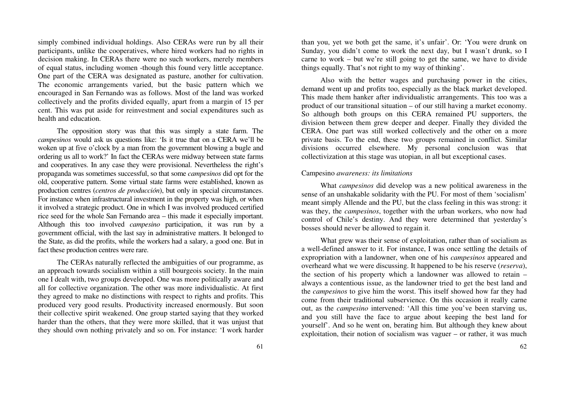simply combined individual holdings. Also CERAs were run by all their participants, unlike the cooperatives, where hired workers had no rights in decision making. In CERAs there were no such workers, merely members of equal status, including women -though this found very little acceptance. One part of the CERA was designated as pasture, another for cultivation. The economic arrangements varied, but the basic pattern which we encouraged in San Fernando was as follows. Most of the land was worked collectively and the profits divided equally, apart from a margin of 15 per cent. This was put aside for reinvestment and social expenditures such as health and education.

The opposition story was that this was simply a state farm. The *campesinos* would ask us questions like: 'Is it true that on a CERA we'll be woken up at five o'clock by a man from the government blowing a bugle and ordering us all to work?' In fact the CERAs were midway between state farms and cooperatives. In any case they were provisional. Nevertheless the right's propaganda was sometimes successful, so that some *campesinos* did opt for the old, cooperative pattern. Some virtual state farms were established, known as production centres (*centros de producción*), but only in special circumstances. For instance when infrastructural investment in the property was high, or when it involved a strategic product. One in which I was involved produced certified rice seed for the whole San Fernando area – this made it especially important. Although this too involved *campesino* participation, it was run by a government official, with the last say in administrative matters. It belonged to the State, as did the profits, while the workers had a salary, a good one. But in fact these production centres were rare.

The CERAs naturally reflected the ambiguities of our programme, as an approach towards socialism within a still bourgeois society. In the main one I dealt with, two groups developed. One was more politically aware and all for collective organization. The other was more individualistic. At first they agreed to make no distinctions with respect to rights and profits. This produced very good results. Productivity increased enormously. But soon their collective spirit weakened. One group started saying that they worked harder than the others, that they were more skilled, that it was unjust that they should own nothing privately and so on. For instance: 'I work harder than you, yet we both get the same, it's unfair'. Or: 'You were drunk on Sunday, you didn't come to work the next day, but I wasn't drunk, so I carne to work – but we're still going to get the same, we have to divide things equally. That's not right to my way of thinking'.

Also with the better wages and purchasing power in the cities, demand went up and profits too, especially as the black market developed. This made them hanker after individualistic arrangements. This too was a product of our transitional situation – of our still having a market economy. So although both groups on this CERA remained PU supporters, the division between them grew deeper and deeper. Finally they divided the CERA. One part was still worked collectively and the other on a more private basis. To the end, these two groups remained in conflict. Similar divisions occurred elsewhere. My personal conclusion was that collectivization at this stage was utopian, in all but exceptional cases.

#### Campesino *awareness: its limitations*

What *campesinos* did develop was a new political awareness in the sense of an unshakable solidarity with the PU. For most of them 'socialism' meant simply Allende and the PU, but the class feeling in this was strong: it was they, the *campesinos*, together with the urban workers, who now had control of Chile's destiny. And they were determined that yesterday's bosses should never be allowed to regain it.

What grew was their sense of exploitation, rather than of socialism as a well-defined answer to it. For instance, I was once settling the details of expropriation with a landowner, when one of his *campesinos* appeared and overheard what we were discussing. It happened to be his reserve (*reserva*), the section of his property which a landowner was allowed to retain – always a contentious issue, as the landowner tried to get the best land and the *campesinos* to give him the worst. This itself showed how far they had come from their traditional subservience. On this occasion it really carne out, as the *campesino* intervened: 'All this time you've been starving us, and you still have the face to argue about keeping the best land for yourself'. And so he went on, berating him. But although they knew about exploitation, their notion of socialism was vaguer – or rather, it was much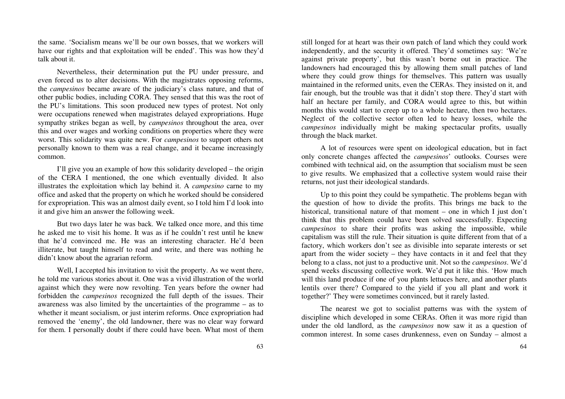the same. 'Socialism means we'll be our own bosses, that we workers will have our rights and that exploitation will be ended'. This was how they'd talk about it.

Nevertheless, their determination put the PU under pressure, and even forced us to alter decisions. With the magistrates opposing reforms, the *campesinos* became aware of the judiciary's class nature, and that of other public bodies, including CORA. They sensed that this was the root of the PU's limitations. This soon produced new types of protest. Not only were occupations renewed when magistrates delayed expropriations. Huge sympathy strikes began as well, by *campesinos* throughout the area, over this and over wages and working conditions on properties where they were worst. This solidarity was quite new. For *campesinos* to support others not personally known to them was a real change, and it became increasingly common.

I'll give you an example of how this solidarity developed – the origin of the CERA I mentioned, the one which eventually divided. It also illustrates the exploitation which lay behind it. A *campesino* carne to my office and asked that the property on which he worked should be considered for expropriation. This was an almost daily event, so I told him I'd look into it and give him an answer the following week.

But two days later he was back. We talked once more, and this time he asked me to visit his home. It was as if he couldn't rest until he knew that he'd convinced me. He was an interesting character. He'd been illiterate, but taught himself to read and write, and there was nothing he didn't know about the agrarian reform.

Well, I accepted his invitation to visit the property. As we went there, he told me various stories about it. One was a vivid illustration of the world against which they were now revolting. Ten years before the owner had forbidden the *campesinos* recognized the full depth of the issues. Their awareness was also limited by the uncertainties of the programme – as to whether it meant socialism, or just interim reforms. Once expropriation had removed the 'enemy', the old landowner, there was no clear way forward for them. I personally doubt if there could have been. What most of them still longed for at heart was their own patch of land which they could work independently, and the security it offered. They'd sometimes say: 'We're against private property', but this wasn't borne out in practice. The landowners had encouraged this by allowing them small patches of land where they could grow things for themselves. This pattern was usually maintained in the reformed units, even the CERAs. They insisted on it, and fair enough, but the trouble was that it didn't stop there. They'd start with half an hectare per family, and CORA would agree to this, but within months this would start to creep up to a whole hectare, then two hectares. Neglect of the collective sector often led to heavy losses, while the *campesinos* individually might be making spectacular profits, usually through the black market.

A lot of resources were spent on ideological education, but in fact only concrete changes affected the *campesinos*' outlooks. Courses were combined with technical aid, on the assumption that socialism must be seen to give results. We emphasized that a collective system would raise their returns, not just their ideological standards.

Up to this point they could be sympathetic. The problems began with the question of how to divide the profits. This brings me back to the historical, transitional nature of that moment – one in which I just don't think that this problem could have been solved successfully. Expecting *campesinos* to share their profits was asking the impossible, while capitalism was still the rule. Their situation is quite different from that of a factory, which workers don't see as divisible into separate interests or set apart from the wider society – they have contacts in it and feel that they belong to a class, not just to a productive unit. Not so the *campesinos*. We'd spend weeks discussing collective work. We'd put it like this. 'How much will this land produce if one of you plants lettuces here, and another plants lentils over there? Compared to the yield if you all plant and work it together?' They were sometimes convinced, but it rarely lasted.

The nearest we got to socialist patterns was with the system of discipline which developed in some CERAs. Often it was more rigid than under the old landlord, as the *campesinos* now saw it as a question of common interest. In some cases drunkenness, even on Sunday – almost a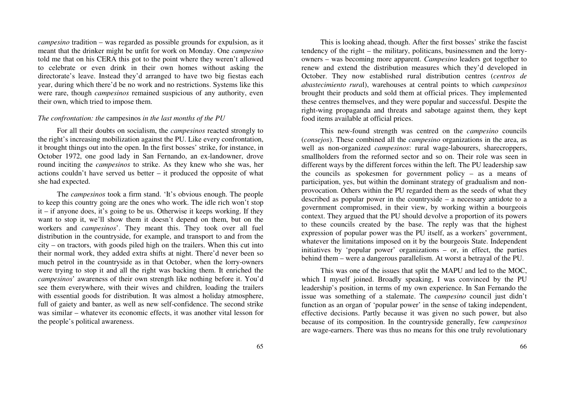*campesino* tradition – was regarded as possible grounds for expulsion, as it meant that the drinker might be unfit for work on Monday. One *campesino* told me that on his CERA this got to the point where they weren't allowed to celebrate or even drink in their own homes without asking the directorate's leave. Instead they'd arranged to have two big fiestas each year, during which there'd be no work and no restrictions. Systems like this were rare, though *campesinos* remained suspicious of any authority, even their own, which tried to impose them.

# *The confrontation: the* campesinos *in the last months of the PU*

For all their doubts on socialism, the *campesinos* reacted strongly to the right's increasing mobilization against the PU. Like every confrontation, it brought things out into the open. In the first bosses' strike, for instance, in October 1972, one good lady in San Fernando, an ex-landowner, drove round inciting the *campesinos* to strike. As they knew who she was, her actions couldn't have served us better – it produced the opposite of what she had expected.

The *campesinos* took a firm stand. 'It's obvious enough. The people to keep this country going are the ones who work. The idle rich won't stop it – if anyone does, it's going to be us. Otherwise it keeps working. If they want to stop it, we'll show them it doesn't depend on them, but on the workers and *campesinos*'. They meant this. They took over all fuel distribution in the countryside, for example, and transport to and from the city – on tractors, with goods piled high on the trailers. When this cut into their normal work, they added extra shifts at night. There'd never been so much petrol in the countryside as in that October, when the lorry-owners were trying to stop it and all the right was backing them. It enriched the *campesinos*' awareness of their own strength like nothing before it. You'd see them everywhere, with their wives and children, loading the trailers with essential goods for distribution. It was almost a holiday atmosphere, full of gaiety and banter, as well as new self-confidence. The second strike was similar – whatever its economic effects, it was another vital lesson for the people's political awareness.

This is looking ahead, though. After the first bosses' strike the fascist tendency of the right – the military, politicans, businessmen and the lorryowners – was becoming more apparent. *Campesino* leaders got together to renew and extend the distribution measures which they'd developed in October. They now established rural distribution centres (*centros de abastecimiento rura*l), warehouses at central points to which *campesinos* brought their products and sold them at official prices. They implemented these centres themselves, and they were popular and successful. Despite the right-wing propaganda and threats and sabotage against them, they kept food items available at official prices.

This new-found strength was centred on the *campesino* councils (*consejos*). These combined all the *campesino* organizations in the area, as well as non-organized *campesinos*: rural wage-labourers, sharecroppers, smallholders from the reformed sector and so on. Their role was seen in different ways by the different forces within the left. The PU leadership saw the councils as spokesmen for government policy – as a means of participation, yes, but within the dominant strategy of gradualism and nonprovocation. Others within the PU regarded them as the seeds of what they described as popular power in the countryside – a necessary antidote to a government compromised, in their view, by working within a bourgeois context. They argued that the PU should devolve a proportion of its powers to these councils created by the base. The reply was that the highest expression of popular power was the PU itself, as a workers' government, whatever the limitations imposed on it by the bourgeois State. Independent initiatives by 'popular power' organizations – or, in effect, the parties behind them – were a dangerous parallelism. At worst a betrayal of the PU.

This was one of the issues that split the MAPU and led to the MOC, which I myself joined. Broadly speaking, I was convinced by the PU leadership's position, in terms of my own experience. In San Fernando the issue was something of a stalemate. The *campesino* council just didn't function as an organ of 'popular power' in the sense of taking independent, effective decisions. Partly because it was given no such power, but also because of its composition. In the countryside generally, few *campesinos*are wage-earners. There was thus no means for this one truly revolutionary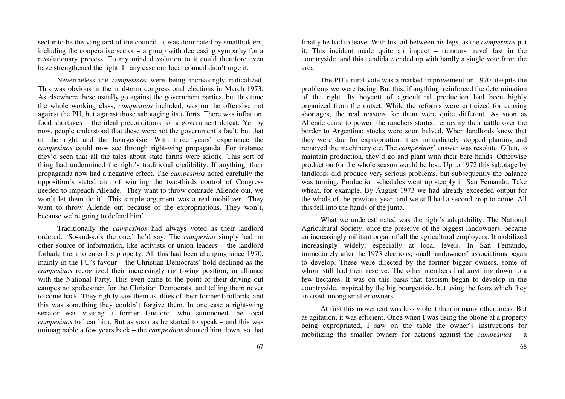sector to be the vanguard of the council. It was dominated by smallholders, including the cooperative sector – a group with decreasing sympathy for a revolutionary process. To my mind devolution to it could therefore even have strengthened the right. In any case our local council didn't urge it.

Nevertheless the *campesinos* were being increasingly radicalized. This was obvious in the mid-term congressional elections in March 1973. As elsewhere these usually go against the government parties, but this time the whole working class, *campesinos* included, was on the offensive not against the PU, but against those sabotaging its efforts. There was inflation, food shortages – the ideal preconditions for a government defeat. Yet by now, people understood that these were not the government's fault, but that of the right and the bourgeoisie. With three years' experience the *campesinos* could now see through right-wing propaganda. For instance they'd seen that all the tales about state farms were idiotic. This sort of thing had undermined the right's traditional credibility. If anything, their propaganda now had a negative effect. The *campesinos* noted carefully the opposition's stated aim of winning the two-thirds control of Congress needed to impeach Allende. 'They want to throw comrade Allende out, we won't let them do it'. This simple argument was a real mobilizer. 'They want to throw Allende out because of the expropriations. They won't, because we're going to defend him'.

Traditionally the *campesinos* had always voted as their landlord ordered. 'So-and-so's the one,' he'd say. The *campesino* simply had no other source of information, like activists or union leaders – the landlord forbade them to enter his property. All this had been changing since 1970, mainly in the PU's favour – the Christian Democrats' hold declined as the *campesinos* recognized their increasingly right-wing position, in alliance with the National Party. This even came to the point of their driving out campesino spokesmen for the Christian Democrats, and telling them never to come back. They rightly saw them as allies of their former landlords, and this was something they couldn't forgive them. In one case a right-wing senator was visiting a former landlord, who summoned the local *campesinos* to hear him. But as soon as he started to speak – and this was unimaginable a few years back – the *campesinos* shouted him down, so that finally he had to leave. With his tail between his legs, as the *campesinos* pu<sup>t</sup> it. This incident made quite an impact – rumours travel fast in the countryside, and this candidate ended up with hardly a single vote from the area.

The PU's rural vote was a marked improvement on 1970, despite the problems we were facing. But this, if anything, reinforced the determination of the right. Its boycott of agricultural production had been highly organized from the outset. While the reforms were criticized for causing shortages, the real reasons for them were quite different. As soon as Allende came to power, the ranchers started removing their cattle over the border to Argentina: stocks were soon halved. When landlords knew that they were due for expropriation, they immediately stopped planting and removed the machinery etc. The *campesinos*' answer was resolute. Often, to maintain production, they'd go and plant with their bare hands. Otherwise production for the whole season would be lost. Up to 1972 this sabotage by landlords did produce very serious problems, but subsequently the balance was turning. Production schedules went up steeply in San Femando. Take wheat, for example. By August 1973 we had already exceeded output for the whole of the previous year, and we still had a second crop to come. All this fell into the hands of the junta.

What we underestimated was the right's adaptability. The National Agricultural Society, once the preserve of the biggest landowners, became an increasingly militant organ of all the agricultural employers. It mobilized increasingly widely, especially at local levels. In San Femando, immediately after the 1973 elections, small landowners' associations began to develop. These were directed by the former bigger owners, some of whom still had their reserve. The other members had anything down to a few hectares. It was on this basis that fascism began to develop in the countryside, inspired by the big bourgeoisie, but using the fears which they aroused among smaller owners.

At first this movement was less violent than in many other areas. But as agitation, it was efficient. Once when I was using the phone at a property being expropriated, I saw on the table the owner's instructions for mobilizing the smaller owners for actions against the *campesinos* – a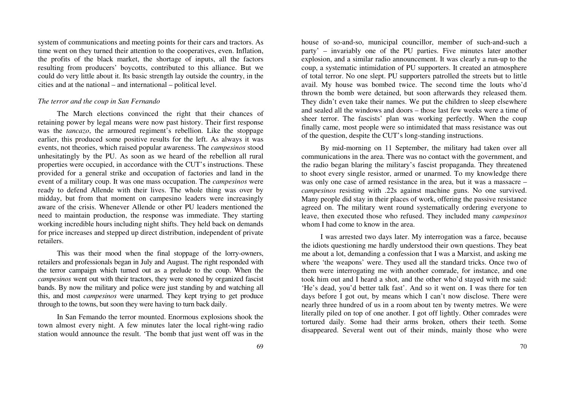system of communications and meeting points for their cars and tractors. As time went on they turned their attention to the cooperatives, even. Inflation, the profits of the black market, the shortage of inputs, all the factors resulting from producers' boycotts, contributed to this alliance. But we could do very little about it. Its basic strength lay outside the country, in the cities and at the national – and international – political level.

### *The terror and the coup in San Fernando*

The March elections convinced the right that their chances of retaining power by legal means were now past history. Their first response was the *tancazo*, the armoured regiment's rebellion. Like the stoppage earlier, this produced some positive results for the left. As always it was events, not theories, which raised popular awareness. The *campesinos* stood unhesitatingly by the PU. As soon as we heard of the rebellion all rural properties were occupied, in accordance with the CUT's instructions. These provided for a general strike and occupation of factories and land in the event of a military coup. It was one mass occupation. The *campesinos* were ready to defend Allende with their lives. The whole thing was over by midday, but from that moment on campesino leaders were increasingly aware of the crisis. Whenever Allende or other PU leaders mentioned the need to maintain production, the response was immediate. They starting working incredible hours including night shifts. They held back on demands for price increases and stepped up direct distribution, independent of private retailers.

This was their mood when the final stoppage of the lorry-owners, retailers and professionals began in July and August. The right responded with the terror campaign which turned out as a prelude to the coup. When the *campesinos* went out with their tractors, they were stoned by organized fascist bands. By now the military and police were just standing by and watching all this, and most *campesinos* were unarmed. They kept trying to get produce through to the towns, but soon they were having to turn back daily.

In San Femando the terror mounted. Enormous explosions shook the town almost every night. A few minutes later the local right-wing radio station would announce the result. 'The bomb that just went off was in the house of so-and-so, municipal councillor, member of such-and-such a party' – invariably one of the PU parties. Five minutes later another explosion, and a similar radio announcement. It was clearly a run-up to the coup, a systematic intimidation of PU supporters. It created an atmosphere of total terror. No one slept. PU supporters patrolled the streets but to little avail. My house was bombed twice. The second time the louts who'd thrown the bomb were detained, but soon afterwards they released them. They didn't even take their names. We put the children to sleep elsewhere and sealed all the windows and doors – those last few weeks were a time of sheer terror. The fascists' plan was working perfectly. When the coup finally came, most people were so intimidated that mass resistance was out of the question, despite the CUT's long-standing instructions.

By mid-morning on 11 September, the military had taken over all communications in the area. There was no contact with the government, and the radio began blaring the military's fascist propaganda. They threatened to shoot every single resistor, armed or unarmed. To my knowledge there was only one case of armed resistance in the area, but it was a massacre – *campesinos* resisting with .22s against machine guns. No one survived. Many people did stay in their places of work, offering the passive resistance agreed on. The military went round systematically ordering everyone to leave, then executed those who refused. They included many *campesinos*whom I had come to know in the area.

I was arrested two days later. My interrogation was a farce, because the idiots questioning me hardly understood their own questions. They beat me about a lot, demanding a confession that I was a Marxist, and asking me where 'the weapons' were. They used all the standard tricks. Once two of them were interrogating me with another comrade, for instance, and one took him out and I heard a shot, and the other who'd stayed with me said: 'He's dead, you'd better talk fast'. And so it went on. I was there for ten days before I got out, by means which I can't now disclose. There were nearly three hundred of us in a room about ten by twenty metres. We were literally piled on top of one another. I got off lightly. Other comrades were tortured daily. Some had their arms broken, others their teeth. Some disappeared. Several went out of their minds, mainly those who were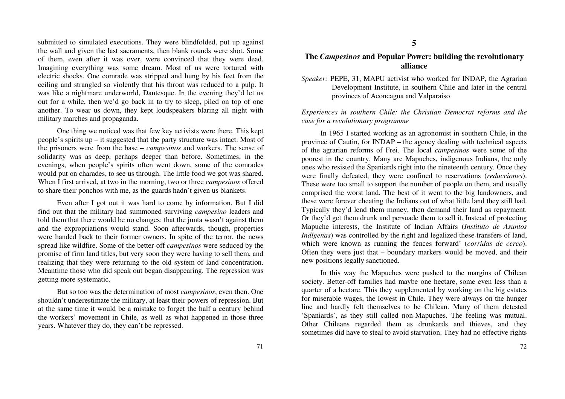submitted to simulated executions. They were blindfolded, put up against the wall and given the last sacraments, then blank rounds were shot. Some of them, even after it was over, were convinced that they were dead. Imagining everything was some dream. Most of us were tortured with electric shocks. One comrade was stripped and hung by his feet from the ceiling and strangled so violently that his throat was reduced to a pulp. It was like a nightmare underworld, Dantesque. In the evening they'd let us out for a while, then we'd go back in to try to sleep, piled on top of one another. To wear us down, they kept loudspeakers blaring all night with military marches and propaganda.

One thing we noticed was that few key activists were there. This kept people's spirits up – it suggested that the party structure was intact. Most of the prisoners were from the base – *campesinos* and workers. The sense of solidarity was as deep, perhaps deeper than before. Sometimes, in the evenings, when people's spirits often went down, some of the comrades would put on charades, to see us through. The little food we got was shared. When I first arrived, at two in the morning, two or three *campesinos* offered to share their ponchos with me, as the guards hadn't given us blankets.

Even after I got out it was hard to come by information. But I did find out that the military had summoned surviving *campesino* leaders and told them that there would be no changes: that the junta wasn't against them and the expropriations would stand. Soon afterwards, though, properties were handed back to their former owners. In spite of the terror, the news spread like wildfire. Some of the better-off *campesinos* were seduced by the promise of firm land titles, but very soon they were having to sell them, and realizing that they were returning to the old system of land concentration. Meantime those who did speak out began disappearing. The repression was getting more systematic.

But so too was the determination of most *campesinos*, even then. One shouldn't underestimate the military, at least their powers of repression. But at the same time it would be a mistake to forget the half a century behind the workers' movement in Chile, as well as what happened in those three years. Whatever they do, they can't be repressed.

# **The** *Campesinos* **and Popular Power: building the revolutionary alliance**

*Speaker:* PEPE, 31, MAPU activist who worked for INDAP, the Agrarian Development Institute, in southern Chile and later in the central provinces of Aconcagua and Valparaiso

# *Experiences in southern Chile: the Christian Democrat reforms and the case for a revolutionary programme*

In 1965 I started working as an agronomist in southern Chile, in the province of Cautin, for INDAP – the agency dealing with technical aspects of the agrarian reforms of Frei. The local *campesinos* were some of the poorest in the country. Many are Mapuches, indigenous Indians, the only ones who resisted the Spaniards right into the nineteenth century. Once they were finally defeated, they were confined to reservations (*reducciones*). These were too small to support the number of people on them, and usually comprised the worst land. The best of it went to the big landowners, and these were forever cheating the Indians out of what little land they still had. Typically they'd lend them money, then demand their land as repayment. Or they'd get them drunk and persuade them to sell it. Instead of protecting Mapuche interests, the Institute of Indian Affairs (*Instituto de Asuntos Indígenas*) was controlled by the right and legalized these transfers of land, which were known as running the fences forward' (*corridas de cerco*). Often they were just that – boundary markers would be moved, and their new positions legally sanctioned.

In this way the Mapuches were pushed to the margins of Chilean society. Better-off families had maybe one hectare, some even less than a quarter of a hectare. This they supplemented by working on the big estates for miserable wages, the lowest in Chile. They were always on the hunger line and hardly felt themselves to be Chilean. Many of them detested 'Spaniards', as they still called non-Mapuches. The feeling was mutual. Other Chileans regarded them as drunkards and thieves, and they sometimes did have to steal to avoid starvation. They had no effective rights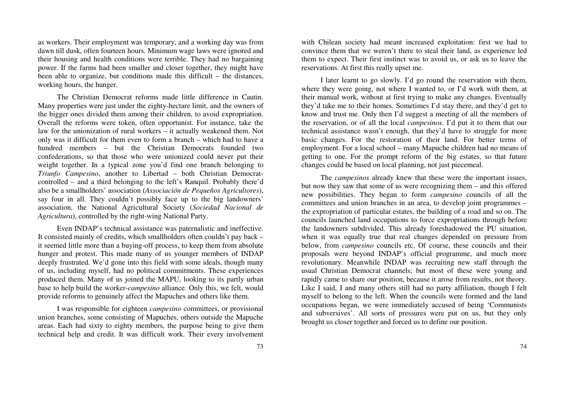as workers. Their employment was temporary, and a working day was from dawn till dusk, often fourteen hours. Minimum wage laws were ignored and their housing and health conditions were terrible. They had no bargaining power. If the farms had been smaller and closer together, they might have been able to organize, but conditions made this difficult – the distances, working hours, the hunger.

The Christian Democrat reforms made little difference in Cautin. Many properties were just under the eighty-hectare limit, and the owners of the bigger ones divided them among their children, to avoid expropriation. Overall the reforms were token, often opportunist. For instance, take the law for the unionization of rural workers – it actually weakened them. Not only was it difficult for them even to form a branch – which had to have a hundred members – but the Christian Democrats founded two confederations, so that those who were unionized could never put their weight together. In a typical zone you'd find one branch belonging to *Triunfo Campesino*, another to Libertad – both Christian Democratcontrolled – and a third belonging to the left's Ranquil. Probably there'd also be a smallholders' association (*Associación de Pequeños Agricultores*), say four in all. They couldn't possibly face up to the big landowners' association, the National Agricultural Society (*Sociedad Nacional de Agricultura*), controlled by the right-wing National Party.

Even INDAP's technical assistance was paternalistic and ineffective. It consisted mainly of credits, which smallholders often couldn't pay back – it seemed little more than a buying-off process, to keep them from absolute hunger and protest. This made many of us younger members of INDAP deeply frustrated. We'd gone into this field with some ideals, though many of us, including myself, had no political commitments. These experiences produced them. Many of us joined the MAPU, looking to its partly urban base to help build the worker-*campesino* alliance. Only this, we felt, would provide reforms to genuinely affect the Mapuches and others like them.

I was responsible for eighteen *campesino* committees, or provisional union branches, some consisting of Mapuches, others outside the Mapuche areas. Each had sixty to eighty members, the purpose being to give them technical help and credit. It was difficult work. Their every involvement with Chilean society had meant increased exploitation: first we had to convince them that we weren't there to steal their land, as experience led them to expect. Their first instinct was to avoid us, or ask us to leave the reservations. At first this really upset me.

I later learnt to go slowly. I'd go round the reservation with them, where they were going, not where I wanted to, or I'd work with them, at their manual work, without at first trying to make any changes. Eventually they'd take me to their homes. Sometimes I'd stay there, and they'd get to know and trust me. Only then I'd suggest a meeting of all the members of the reservation, or of all the local *campesinos*. I'd put it to them that our technical assistance wasn't enough, that they'd have to struggle for more basic changes. For the restoration of their land. For better terms of employment. For a local school – many Mapuche children had no means of getting to one. For the prompt reform of the big estates, so that future changes could be based on local planning, not just piecemeal.

The *campesinos* already knew that these were the important issues, but now they saw that some of us were recognizing them – and this offered new possibilities. They began to form *campesino* councils of all the committees and union branches in an area, to develop joint programmes – the expropriation of particular estates, the building of a road and so on. The councils launched land occupations to force expropriations through before the landowners subdivided. This already foreshadowed the PU situation, when it was equally true that real changes depended on pressure from below, from *campesino* councils etc. Of course, these councils and their proposals were beyond INDAP's official programme, and much more revolutionary. Meanwhile INDAP was recruiting new staff through the usual Christian Democrat channels; but most of these were young and rapidly came to share our position, because it arose from results, not theory. Like I said, I and many others still had no party affiliation, though I felt myself to belong to the left. When the councils were formed and the land occupations began, we were immediately accused of being 'Communists and subversives'. All sorts of pressures were put on us, but they only brought us closer together and forced us to define our position.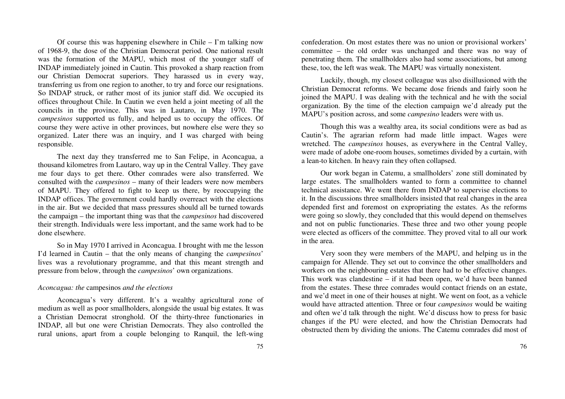Of course this was happening elsewhere in Chile – I'm talking now of 1968-9, the dose of the Christian Democrat period. One national result was the formation of the MAPU, which most of the younger staff of INDAP immediately joined in Cautin. This provoked a sharp reaction from our Christian Democrat superiors. They harassed us in every way, transferring us from one region to another, to try and force our resignations. So INDAP struck, or rather most of its junior staff did. We occupied its offices throughout Chile. In Cautin we even held a joint meeting of all the councils in the province. This was in Lautaro, in May 1970. The *campesinos* supported us fully, and helped us to occupy the offices. Of course they were active in other provinces, but nowhere else were they so organized. Later there was an inquiry, and I was charged with being responsible.

The next day they transferred me to San Felipe, in Aconcagua, a thousand kilometres from Lautaro, way up in the Central Valley. They gave me four days to get there. Other comrades were also transferred. We consulted with the *campesinos* – many of their leaders were now members of MAPU. They offered to fight to keep us there, by reoccupying the INDAP offices. The government could hardly overreact with the elections in the air. But we decided that mass pressures should all be turned towards the campaign – the important thing was that the *campesinos* had discovered their strength. Individuals were less important, and the same work had to be done elsewhere.

So in May 1970 I arrived in Aconcagua. I brought with me the lesson I'd learned in Cautin – that the only means of changing the *campesinos*' lives was a revolutionary programme, and that this meant strength and pressure from below, through the *campesinos*' own organizations.

#### *Aconcagua: the* campesinos *and the elections*

Aconcagua's very different. It's a wealthy agricultural zone of medium as well as poor smallholders, alongside the usual big estates. It was a Christian Democrat stronghold. Of the thirty-three functionaries in INDAP, all but one were Christian Democrats. They also controlled the rural unions, apart from a couple belonging to Ranquil, the left-wing confederation. On most estates there was no union or provisional workers' committee – the old order was unchanged and there was no way of penetrating them. The smallholders also had some associations, but among these, too, the left was weak. The MAPU was virtually nonexistent.

Luckily, though, my closest colleague was also disillusioned with the Christian Democrat reforms. We became dose friends and fairly soon he joined the MAPU. I was dealing with the technical and he with the social organization. By the time of the election campaign we'd already put the MAPU's position across, and some *campesino* leaders were with us.

Though this was a wealthy area, its social conditions were as bad as Cautin's. The agrarian reform had made little impact. Wages were wretched. The *campesinos* houses, as everywhere in the Central Valley, were made of adobe one-room houses, sometimes divided by a curtain, with a lean-to kitchen. In heavy rain they often collapsed.

Our work began in Catemu, a smallholders' zone still dominated by large estates. The smallholders wanted to form a committee to channel technical assistance. We went there from INDAP to supervise elections to it. In the discussions three smallholders insisted that real changes in the area depended first and foremost on expropriating the estates. As the reforms were going so slowly, they concluded that this would depend on themselves and not on public functionaries. These three and two other young people were elected as officers of the committee. They proved vital to all our work in the area.

Very soon they were members of the MAPU, and helping us in the campaign for Allende. They set out to convince the other smallholders and workers on the neighbouring estates that there had to be effective changes. This work was clandestine – if it had been open, we'd have been banned from the estates. These three comrades would contact friends on an estate, and we'd meet in one of their houses at night. We went on foot, as a vehicle would have attracted attention. Three or four *campesinos* would be waiting and often we'd talk through the night. We'd discuss how to press for basic changes if the PU were elected, and how the Christian Democrats had obstructed them by dividing the unions. The Catemu comrades did most of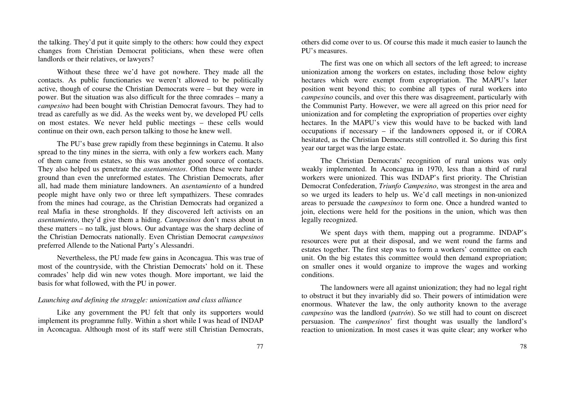the talking. They'd put it quite simply to the others: how could they expect changes from Christian Democrat politicians, when these were often landlords or their relatives, or lawyers?

Without these three we'd have got nowhere. They made all the contacts. As public functionaries we weren't allowed to be politically active, though of course the Christian Democrats were – but they were in power. But the situation was also difficult for the three comrades – many a *campesino* had been bought with Christian Democrat favours. They had to tread as carefully as we did. As the weeks went by, we developed PU cells on most estates. We never held public meetings – these cells would continue on their own, each person talking to those he knew well.

The PU's base grew rapidly from these beginnings in Catemu. It also spread to the tiny mines in the sierra, with only a few workers each. Many of them came from estates, so this was another good source of contacts. They also helped us penetrate the *asentamientos*. Often these were harder ground than even the unreformed estates. The Christian Democrats, after all, had made them miniature landowners. An *asentamiento* of a hundred people might have only two or three left sympathizers. These comrades from the mines had courage, as the Christian Democrats had organized a real Mafia in these strongholds. If they discovered left activists on an *asentamiento*, they'd give them a hiding. *Campesinos* don't mess about in these matters – no talk, just blows. Our advantage was the sharp decline of the Christian Democrats nationally. Even Christian Democrat *campesinos*preferred Allende to the National Party's Alessandri.

Nevertheless, the PU made few gains in Aconcagua. This was true of most of the countryside, with the Christian Democrats' hold on it. These comrades' help did win new votes though. More important, we laid the basis for what followed, with the PU in power.

# *Launching and defining the struggle: unionization and class alliance*

Like any government the PU felt that only its supporters would implement its programme fully. Within a short while I was head of INDAP in Aconcagua. Although most of its staff were still Christian Democrats, others did come over to us. Of course this made it much easier to launch the PU's measures.

The first was one on which all sectors of the left agreed; to increase unionization among the workers on estates, including those below eighty hectares which were exempt from expropriation. The MAPU's later position went beyond this; to combine all types of rural workers into *campesino* councils, and over this there was disagreement, particularly with the Communist Party. However, we were all agreed on this prior need for unionization and for completing the expropriation of properties over eighty hectares. In the MAPU's view this would have to be backed with land occupations if necessary – if the landowners opposed it, or if CORA hesitated, as the Christian Democrats still controlled it. So during this first year our target was the large estate.

The Christian Democrats' recognition of rural unions was only weakly implemented. In Aconcagua in 1970, less than a third of rural workers were unionized. This was INDAP's first priority. The Christian Democrat Confederation, *Triunfo Campesino*, was strongest in the area and so we urged its leaders to help us. We'd call meetings in non-unionized areas to persuade the *campesinos* to form one. Once a hundred wanted to join, elections were held for the positions in the union, which was then legally recognized.

We spent days with them, mapping out a programme. INDAP's resources were put at their disposal, and we went round the farms and estates together. The first step was to form a workers' committee on each unit. On the big estates this committee would then demand expropriation; on smaller ones it would organize to improve the wages and working conditions.

The landowners were all against unionization; they had no legal right to obstruct it but they invariably did so. Their powers of intimidation were enormous. Whatever the law, the only authority known to the average *campesino* was the landlord (*patrón*). So we still had to count on discreet persuasion. The *campesinos*' first thought was usually the landlord's reaction to unionization. In most cases it was quite clear; any worker who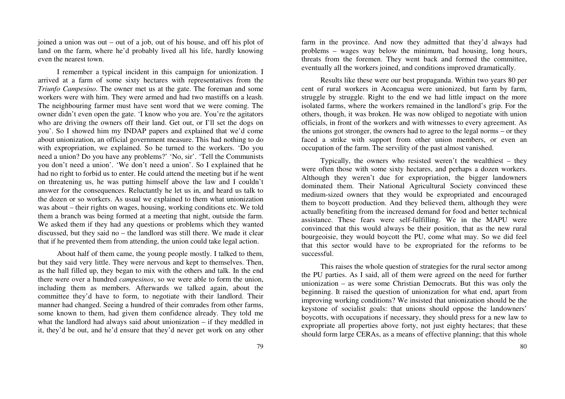joined a union was out – out of a job, out of his house, and off his plot of land on the farm, where he'd probably lived all his life, hardly knowing even the nearest town.

I remember a typical incident in this campaign for unionization. I arrived at a farm of some sixty hectares with representatives from the *Triunfo Campesino*. The owner met us at the gate. The foreman and some workers were with him. They were armed and had two mastiffs on a leash. The neighbouring farmer must have sent word that we were coming. The owner didn't even open the gate. 'I know who you are. You're the agitators who are driving the owners off their land. Get out, or I'll set the dogs on you'. So I showed him my INDAP papers and explained that we'd come about unionization, an official government measure. This had nothing to do with expropriation, we explained. So he turned to the workers. 'Do you need a union? Do you have any problems?' 'No, sir'. 'Tell the Communists you don't need a union'. 'We don't need a union'. So I explained that he had no right to forbid us to enter. He could attend the meeting but if he went on threatening us, he was putting himself above the law and I couldn't answer for the consequences. Reluctantly he let us in, and heard us talk to the dozen or so workers. As usual we explained to them what unionization was about – their rights on wages, housing, working conditions etc. We told them a branch was being formed at a meeting that night, outside the farm. We asked them if they had any questions or problems which they wanted discussed, but they said no – the landlord was still there. We made it clear that if he prevented them from attending, the union could take legal action.

About half of them came, the young people mostly. I talked to them, but they said very little. They were nervous and kept to themselves. Then, as the hall filled up, they began to mix with the others and talk. In the end there were over a hundred *campesinos*, so we were able to form the union, including them as members. Afterwards we talked again, about the committee they'd have to form, to negotiate with their landlord. Their manner had changed. Seeing a hundred of their comrades from other farms, some known to them, had given them confidence already. They told me what the landlord had always said about unionization – if they meddled in it, they'd be out, and he'd ensure that they'd never get work on any other farm in the province. And now they admitted that they'd always had problems – wages way below the minimum, bad housing, long hours, threats from the foremen. They went back and formed the committee, eventually all the workers joined, and conditions improved dramatically.

Results like these were our best propaganda. Within two years 80 per cent of rural workers in Aconcagua were unionized, but farm by farm, struggle by struggle. Right to the end we had little impact on the more isolated farms, where the workers remained in the landlord's grip. For the others, though, it was broken. He was now obliged to negotiate with union officials, in front of the workers and with witnesses to every agreement. As the unions got stronger, the owners had to agree to the legal norms – or they faced a strike with support from other union members, or even an occupation of the farm. The servility of the past almost vanished.

Typically, the owners who resisted weren't the wealthiest – they were often those with some sixty hectares, and perhaps a dozen workers. Although they weren't due for expropriation, the bigger landowners dominated them. Their National Agricultural Society convinced these medium-sized owners that they would be expropriated and encouraged them to boycott production. And they believed them, although they were actually benefiting from the increased demand for food and better technical assistance. These fears were self-fulfilling. We in the MAPU were convinced that this would always be their position, that as the new rural bourgeoisie, they would boycott the PU, come what may. So we did feel that this sector would have to be expropriated for the reforms to be successful.

This raises the whole question of strategies for the rural sector among the PU parties. As I said, all of them were agreed on the need for further unionization – as were some Christian Democrats. But this was only the beginning. It raised the question of unionization for what end, apart from improving working conditions? We insisted that unionization should be the keystone of socialist goals: that unions should oppose the landowners' boycotts, with occupations if necessary, they should press for a new law to expropriate all properties above forty, not just eighty hectares; that these should form large CERAs, as a means of effective planning; that this whole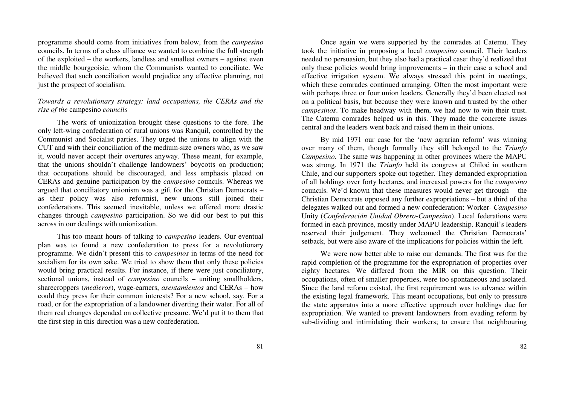programme should come from initiatives from below, from the *campesino* councils. In terms of a class alliance we wanted to combine the full strength of the exploited – the workers, landless and smallest owners – against even the middle bourgeoisie, whom the Communists wanted to conciliate. We believed that such conciliation would prejudice any effective planning, not just the prospect of socialism.

# *Towards a revolutionary strategy: land occupations, the CERAs and the rise of the* campesino *councils*

The work of unionization brought these questions to the fore. The only left-wing confederation of rural unions was Ranquil, controlled by the Communist and Socialist parties. They urged the unions to align with the CUT and with their conciliation of the medium-size owners who, as we saw it, would never accept their overtures anyway. These meant, for example, that the unions shouldn't challenge landowners' boycotts on production; that occupations should be discouraged, and less emphasis placed on CERAs and genuine participation by the *campesino* councils. Whereas we argued that conciliatory unionism was a gift for the Christian Democrats – as their policy was also reformist, new unions still joined their confederations. This seemed inevitable, unless we offered more drastic changes through *campesino* participation. So we did our best to put this across in our dealings with unionization.

This too meant hours of talking to *campesino* leaders. Our eventual plan was to found a new confederation to press for a revolutionary programme. We didn't present this to *campesinos* in terms of the need for socialism for its own sake. We tried to show them that only these policies would bring practical results. For instance, if there were just conciliatory, sectional unions, instead of *campesino* councils – uniting smallholders, sharecroppers (*medieros*), wage-earners, *asentamientos* and CERAs – how could they press for their common interests? For a new school, say. For a road, or for the expropriation of a landowner diverting their water. For all of them real changes depended on collective pressure. We'd put it to them that the first step in this direction was a new confederation.

Once again we were supported by the comrades at Catemu. They took the initiative in proposing a local *campesino* council. Their leaders needed no persuasion, but they also had a practical case: they'd realized that only these policies would bring improvements – in their case a school and effective irrigation system. We always stressed this point in meetings, which these comrades continued arranging. Often the most important were with perhaps three or four union leaders. Generally they'd been elected not on a political basis, but because they were known and trusted by the other *campesinos*. To make headway with them, we had now to win their trust. The Catemu comrades helped us in this. They made the concrete issues central and the leaders went back and raised them in their unions.

By mid 1971 our case for the 'new agrarian reform' was winning over many of them, though formally they still belonged to the *Triunfo Campesino*. The same was happening in other provinces where the MAPU was strong. In 1971 the *Triunfo* held its congress at Chiloé in southern Chile, and our supporters spoke out together. They demanded expropriation of all holdings over forty hectares, and increased powers for the *campesino* councils. We'd known that these measures would never get through – the Christian Democrats opposed any further expropriations – but a third of the delegates walked out and formed a new confederation: Worker- *Campesino* Unity (*Confederación Unidad Obrero-Campesino*). Local federations were formed in each province, mostly under MAPU leadership. Ranquil's leaders reserved their judgement. They welcomed the Christian Democrats' setback, but were also aware of the implications for policies within the left.

We were now better able to raise our demands. The first was for the rapid completion of the programme for the expropriation of properties over eighty hectares. We differed from the MIR on this question. Their occupations, often of smaller properties, were too spontaneous and isolated. Since the land reform existed, the first requirement was to advance within the existing legal framework. This meant occupations, but only to pressure the state apparatus into a more effective approach over holdings due for expropriation. We wanted to prevent landowners from evading reform by sub-dividing and intimidating their workers; to ensure that neighbouring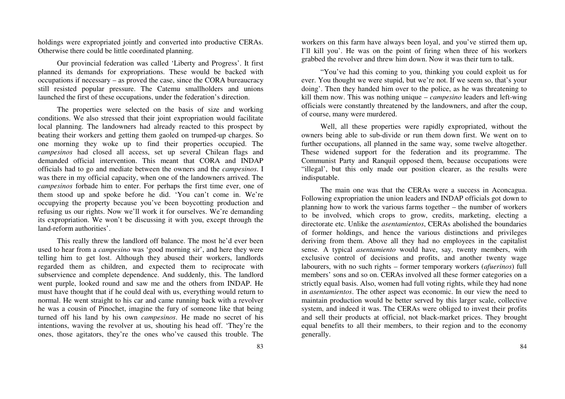holdings were expropriated jointly and converted into productive CERAs. Otherwise there could be little coordinated planning.

Our provincial federation was called 'Liberty and Progress'. It first planned its demands for expropriations. These would be backed with occupations if necessary – as proved the case, since the CORA bureaucracy still resisted popular pressure. The Catemu smallholders and unions launched the first of these occupations, under the federation's direction.

The properties were selected on the basis of size and working conditions. We also stressed that their joint expropriation would facilitate local planning. The landowners had already reacted to this prospect by beating their workers and getting them gaoled on trumped-up charges. So one morning they woke up to find their properties occupied. The *campesinos* had closed all access, set up several Chilean flags and demanded official intervention. This meant that CORA and INDAP officials had to go and mediate between the owners and the *campesinos*. I was there in my official capacity, when one of the landowners arrived. The *campesinos* forbade him to enter. For perhaps the first time ever, one of them stood up and spoke before he did. 'You can't come in. We're occupying the property because you've been boycotting production and refusing us our rights. Now we'll work it for ourselves. We're demanding its expropriation. We won't be discussing it with you, except through the land-reform authorities'.

This really threw the landlord off balance. The most he'd ever been used to hear from a *campesino* was 'good morning sir', and here they were telling him to get lost. Although they abused their workers, landlords regarded them as children, and expected them to reciprocate with subservience and complete dependence. And suddenly, this. The landlord went purple, looked round and saw me and the others from INDAP. He must have thought that if he could deal with us, everything would return to normal. He went straight to his car and came running back with a revolver he was a cousin of Pinochet, imagine the fury of someone like that being turned off his land by his own *campesinos*. He made no secret of his intentions, waving the revolver at us, shouting his head off. 'They're the ones, those agitators, they're the ones who've caused this trouble. The workers on this farm have always been loyal, and you've stirred them up, I'll kill you'. He was on the point of firing when three of his workers grabbed the revolver and threw him down. Now it was their turn to talk.

"You've had this coming to you, thinking you could exploit us for ever. You thought we were stupid, but we're not. If we seem so, that's your doing'. Then they handed him over to the police, as he was threatening to kill them now. This was nothing unique – *campesino* leaders and left-wing officials were constantly threatened by the landowners, and after the coup, of course, many were murdered.

Well, all these properties were rapidly expropriated, without the owners being able to sub-divide or run them down first. We went on to further occupations, all planned in the same way, some twelve altogether. These widened support for the federation and its programme. The Communist Party and Ranquil opposed them, because occupations were "illegal', but this only made our position clearer, as the results were indisputable.

The main one was that the CERAs were a success in Aconcagua. Following expropriation the union leaders and INDAP officials got down to planning how to work the various farms together – the number of workers to be involved, which crops to grow, credits, marketing, electing a directorate etc. Unlike the *asentamientos*, CERAs abolished the boundaries of former holdings, and hence the various distinctions and privileges deriving from them. Above all they had no employees in the capitalist sense. A typical *asentamiento* would have, say, twenty members, with exclusive control of decisions and profits, and another twenty wage labourers, with no such rights – former temporary workers (*afuerinos*) full members' sons and so on. CERAs involved all these former categories on a strictly equal basis. Also, women had full voting rights, while they had none in *asentamientos*. The other aspect was economic. In our view the need to maintain production would be better served by this larger scale, collective system, and indeed it was. The CERAs were obliged to invest their profits and sell their products at official, not black-market prices. They brought equal benefits to all their members, to their region and to the economy generally.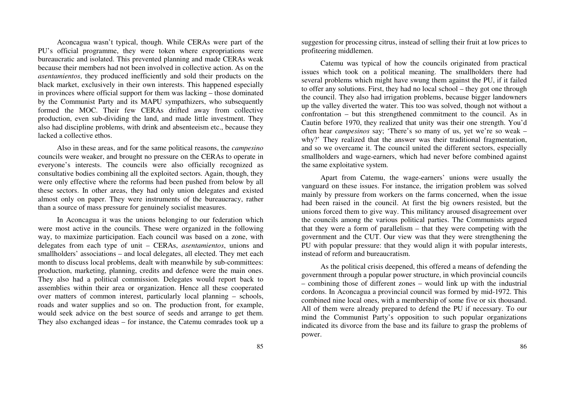Aconcagua wasn't typical, though. While CERAs were part of the PU's official programme, they were token where expropriations were bureaucratic and isolated. This prevented planning and made CERAs weak because their members had not been involved in collective action. As on the *asentamientos*, they produced inefficiently and sold their products on the black market, exclusively in their own interests. This happened especially in provinces where official support for them was lacking – those dominated by the Communist Party and its MAPU sympathizers, who subsequently formed the MOC. Their few CERAs drifted away from collective production, even sub-dividing the land, and made little investment. They also had discipline problems, with drink and absenteeism etc., because they lacked a collective ethos.

Also in these areas, and for the same political reasons, the *campesino* councils were weaker, and brought no pressure on the CERAs to operate in everyone's interests. The councils were also officially recognized as consultative bodies combining all the exploited sectors. Again, though, they were only effective where the reforms had been pushed from below by all these sectors. In other areas, they had only union delegates and existed almost only on paper. They were instruments of the bureaucracy, rather than a source of mass pressure for genuinely socialist measures.

In Aconcagua it was the unions belonging to our federation which were most active in the councils. These were organized in the following way, to maximize participation. Each council was based on a zone, with delegates from each type of unit – CERAs, *asentamientos*, unions and smallholders' associations – and local delegates, all elected. They met each month to discuss local problems, dealt with meanwhile by sub-committees: production, marketing, planning, credits and defence were the main ones. They also had a political commission. Delegates would report back to assemblies within their area or organization. Hence all these cooperated over matters of common interest, particularly local planning – schools, roads and water supplies and so on. The production front, for example, would seek advice on the best source of seeds and arrange to get them. They also exchanged ideas – for instance, the Catemu comrades took up a suggestion for processing citrus, instead of selling their fruit at low prices to profiteering middlemen.

Catemu was typical of how the councils originated from practical issues which took on a political meaning. The smallholders there had several problems which might have swung them against the PU, if it failed to offer any solutions. First, they had no local school – they got one through the council. They also had irrigation problems, because bigger landowners up the valley diverted the water. This too was solved, though not without a confrontation – but this strengthened commitment to the council. As in Cautin before 1970, they realized that unity was their one strength. You'd often hear *campesinos* say; 'There's so many of us, yet we're so weak – why?' They realized that the answer was their traditional fragmentation, and so we overcame it. The council united the different sectors, especially smallholders and wage-earners, which had never before combined against the same exploitative system.

Apart from Catemu, the wage-earners' unions were usually the vanguard on these issues. For instance, the irrigation problem was solved mainly by pressure from workers on the farms concerned, when the issue had been raised in the council. At first the big owners resisted, but the unions forced them to give way. This militancy aroused disagreement over the councils among the various political parties. The Communists argued that they were a form of parallelism – that they were competing with the government and the CUT. Our view was that they were strengthening the PU with popular pressure: that they would align it with popular interests, instead of reform and bureaucratism.

As the political crisis deepened, this offered a means of defending the government through a popular power structure, in which provincial councils – combining those of different zones – would link up with the industrial cordons. In Aconcagua a provincial council was formed by mid-1972. This combined nine local ones, with a membership of some five or six thousand. All of them were already prepared to defend the PU if necessary. To our mind the Communist Party's opposition to such popular organizations indicated its divorce from the base and its failure to grasp the problems of power.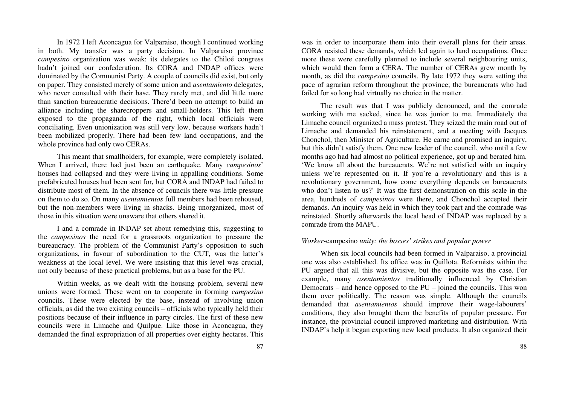In 1972 I left Aconcagua for Valparaiso, though I continued working in both. My transfer was a party decision. In Valparaiso province *campesino* organization was weak: its delegates to the Chiloé congress hadn't joined our confederation. Its CORA and INDAP offices were dominated by the Communist Party. A couple of councils did exist, but only on paper. They consisted merely of some union and *asentamiento* delegates, who never consulted with their base. They rarely met, and did little more than sanction bureaucratic decisions. There'd been no attempt to build an alliance including the sharecroppers and small-holders. This left them exposed to the propaganda of the right, which local officials were conciliating. Even unionization was still very low, because workers hadn't been mobilized properly. There had been few land occupations, and the whole province had only two CERAs.

This meant that smallholders, for example, were completely isolated. When I arrived, there had just been an earthquake. Many *campesinos*' houses had collapsed and they were living in appalling conditions. Some prefabricated houses had been sent for, but CORA and INDAP had failed to distribute most of them. In the absence of councils there was little pressure on them to do so. On many *asentamientos* full members had been rehoused, but the non-members were living in shacks. Being unorganized, most of those in this situation were unaware that others shared it.

I and a comrade in INDAP set about remedying this, suggesting to the *campesinos* the need for a grassroots organization to pressure the bureaucracy. The problem of the Communist Party's opposition to such organizations, in favour of subordination to the CUT, was the latter's weakness at the local level. We were insisting that this level was crucial, not only because of these practical problems, but as a base for the PU.

Within weeks, as we dealt with the housing problem, several new unions were formed. These went on to cooperate in forming *campesino* councils. These were elected by the base, instead of involving union officials, as did the two existing councils – officials who typically held their positions because of their influence in party circles. The first of these new councils were in Limache and Quilpue. Like those in Aconcagua, they demanded the final expropriation of all properties over eighty hectares. This was in order to incorporate them into their overall plans for their areas. CORA resisted these demands, which led again to land occupations. Once more these were carefully planned to include several neighbouring units, which would then form a CERA. The number of CERAs grew month by month, as did the *campesino* councils. By late 1972 they were setting the pace of agrarian reform throughout the province; the bureaucrats who had failed for so long had virtually no choice in the matter.

The result was that I was publicly denounced, and the comrade working with me sacked, since he was junior to me. Immediately the Limache council organized a mass protest. They seized the main road out of Limache and demanded his reinstatement, and a meeting with Jacques Chonchol, then Minister of Agriculture. He carne and promised an inquiry, but this didn't satisfy them. One new leader of the council, who until a few months ago had had almost no political experience, got up and berated him. 'We know all about the bureaucrats. We're not satisfied with an inquiry unless we're represented on it. If you're a revolutionary and this is a revolutionary government, how come everything depends on bureaucrats who don't listen to us?' It was the first demonstration on this scale in the area, hundreds of *campesinos* were there, and Chonchol accepted their demands. An inquiry was held in which they took part and the comrade was reinstated. Shortly afterwards the local head of INDAP was replaced by a comrade from the MAPU.

### *Worker-*campesino *unity: the bosses' strikes and popular power*

When six local councils had been formed in Valparaiso, a provincial one was also established. Its office was in Quillota. Reformists within the PU argued that all this was divisive, but the opposite was the case. For example, many *asentamientos* traditionally influenced by Christian Democrats – and hence opposed to the PU – joined the councils. This won them over politically. The reason was simple. Although the councils demanded that *asentamientos* should improve their wage-labourers' conditions, they also brought them the benefits of popular pressure. For instance, the provincial council improved marketing and distribution. With INDAP's help it began exporting new local products. It also organized their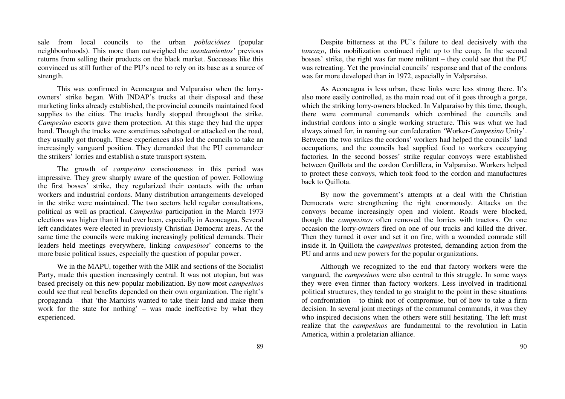sale from local councils to the urban *poblaciónes* (popular neighbourhoods). This more than outweighed the *asentamientos'* previous returns from selling their products on the black market. Successes like this convinced us still further of the PU's need to rely on its base as a source of strength.

This was confirmed in Aconcagua and Valparaiso when the lorryowners' strike began. With INDAP's trucks at their disposal and these marketing links already established, the provincial councils maintained food supplies to the cities. The trucks hardly stopped throughout the strike. *Campesino* escorts gave them protection. At this stage they had the upper hand. Though the trucks were sometimes sabotaged or attacked on the road, they usually got through. These experiences also led the councils to take an increasingly vanguard position. They demanded that the PU commandeer the strikers' lorries and establish a state transport system.

The growth of *campesino* consciousness in this period was impressive. They grew sharply aware of the question of power. Following the first bosses' strike, they regularized their contacts with the urban workers and industrial cordons. Many distribution arrangements developed in the strike were maintained. The two sectors held regular consultations, political as well as practical. *Campesino* participation in the March 1973 elections was higher than it had ever been, especially in Aconcagua. Several left candidates were elected in previously Christian Democrat areas. At the same time the councils were making increasingly political demands. Their leaders held meetings everywhere, linking *campesinos*' concerns to the more basic political issues, especially the question of popular power.

We in the MAPU, together with the MIR and sections of the Socialist Party, made this question increasingly central. It was not utopian, but was based precisely on this new popular mobilization. By now most *campesinos* could see that real benefits depended on their own organization. The right's propaganda – that 'the Marxists wanted to take their land and make them work for the state for nothing' – was made ineffective by what they experienced.

Despite bitterness at the PU's failure to deal decisively with the *tancazo*, this mobilization continued right up to the coup. In the second bosses' strike, the right was far more militant – they could see that the PU was retreating. Yet the provincial councils' response and that of the cordons was far more developed than in 1972, especially in Valparaiso.

As Aconcagua is less urban, these links were less strong there. It's also more easily controlled, as the main road out of it goes through a gorge, which the striking lorry-owners blocked. In Valparaiso by this time, though, there were communal commands which combined the councils and industrial cordons into a single working structure. This was what we had always aimed for, in naming our confederation 'Worker-*Campesino* Unity'. Between the two strikes the cordons' workers had helped the councils' land occupations, and the councils had supplied food to workers occupying factories. In the second bosses' strike regular convoys were established between Quillota and the cordon Cordillera, in Valparaiso. Workers helped to protect these convoys, which took food to the cordon and manufactures back to Quillota.

By now the government's attempts at a deal with the Christian Democrats were strengthening the right enormously. Attacks on the convoys became increasingly open and violent. Roads were blocked, though the *campesinos* often removed the lorries with tractors. On one occasion the lorry-owners fired on one of our trucks and killed the driver. Then they turned it over and set it on fire, with a wounded comrade still inside it. In Quillota the *campesinos* protested, demanding action from the PU and arms and new powers for the popular organizations.

Although we recognized to the end that factory workers were the vanguard, the *campesinos* were also central to this struggle. In some ways they were even firmer than factory workers. Less involved in traditional political structures, they tended to go straight to the point in these situations of confrontation – to think not of compromise, but of how to take a firm decision. In several joint meetings of the communal commands, it was they who inspired decisions when the others were still hesitating. The left must realize that the *campesinos* are fundamental to the revolution in Latin America, within a proletarian alliance.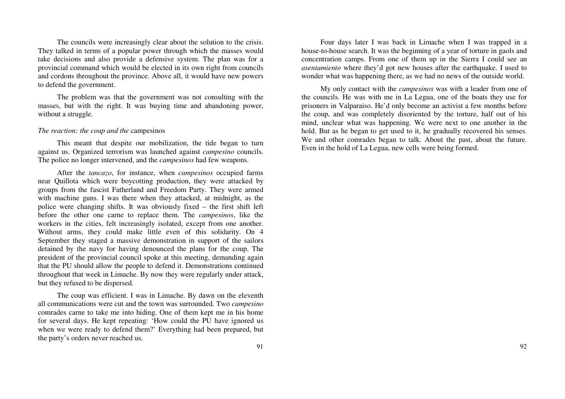The councils were increasingly clear about the solution to the crisis. They talked in terms of a popular power through which the masses would take decisions and also provide a defensive system. The plan was for a provincial command which would be elected in its own right from councils and cordons throughout the province. Above all, it would have new powers to defend the government.

The problem was that the government was not consulting with the masses, but with the right. It was buying time and abandoning power, without a struggle.

### *The reaction: the coup and the* campesinos

This meant that despite our mobilization, the tide began to turn against us. Organized terrorism was launched against *campesino* councils. The police no longer intervened, and the *campesinos* had few weapons.

After the *tancazo*, for instance, when *campesinos* occupied farms near Quillota which were boycotting production, they were attacked by groups from the fascist Fatherland and Freedom Party. They were armed with machine guns. I was there when they attacked, at midnight, as the police were changing shifts. It was obviously fixed – the first shift left before the other one carne to replace them. The *campesinos*, like the workers in the cities, felt increasingly isolated, except from one another. Without arms, they could make little even of this solidarity. On 4 September they staged a massive demonstration in support of the sailors detained by the navy for having denounced the plans for the coup. The president of the provincial council spoke at this meeting, demanding again that the PU should allow the people to defend it. Demonstrations continued throughout that week in Limache. By now they were regularly under attack, but they refused to be dispersed.

The coup was efficient. I was in Limache. By dawn on the eleventh all communications were cut and the town was surrounded. Two *campesino* comrades carne to take me into hiding. One of them kept me in his home for several days. He kept repeating: 'How could the PU have ignored us when we were ready to defend them?' Everything had been prepared, but the party's orders never reached us.

Four days later I was back in Limache when I was trapped in a house-to-house search. It was the beginning of a year of torture in gaols and concentration camps. From one of them up in the Sierra I could see an *asentamiento* where they'd got new houses after the earthquake. I used to wonder what was happening there, as we had no news of the outside world.

My only contact with the *campesinos* was with a leader from one of the councils. He was with me in La Legua, one of the boats they use for prisoners in Valparaiso. He'd only become an activist a few months before the coup, and was completely disoriented by the torture, half out of his mind, unclear what was happening. We were next to one another in the hold. But as he began to get used to it, he gradually recovered his senses. We and other comrades began to talk. About the past, about the future. Even in the hold of La Legua, new cells were being formed.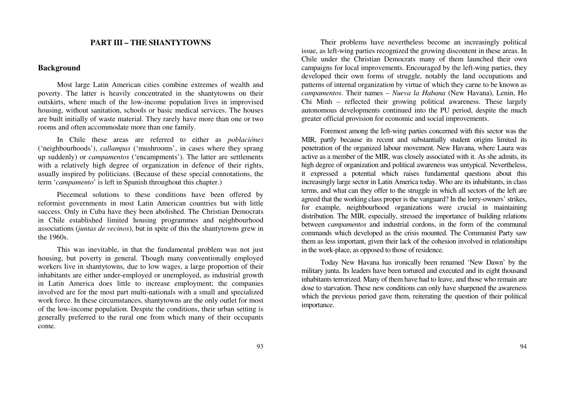# **PART III – THE SHANTYTOWNS**

### **Background**

Most large Latin American cities combine extremes of wealth and poverty. The latter is heavily concentrated in the shantytowns on their outskirts, where much of the low-income population lives in improvised housing, without sanitation, schools or basic medical services. The houses are built initially of waste material. They rarely have more than one or two rooms and often accommodate more than one family.

In Chile these areas are referred to either as *poblaciónes* ('neighbourhoods'), *callampas* ('mushrooms', in cases where they sprang up suddenly) or *campamentos* ('encampments'). The latter are settlements with a relatively high degree of organization in defence of their rights, usually inspired by politicians. (Because of these special connotations, the term '*campamento*' is left in Spanish throughout this chapter.)

Piecemeal solutions to these conditions have been offered by reformist governments in most Latin American countries but with little success. Only in Cuba have they been abolished. The Christian Democrats in Chile established limited housing programmes and neighbourhood associations (*juntas de vecinos*), but in spite of this the shantytowns grew in the 1960s.

This was inevitable, in that the fundamental problem was not just housing, but poverty in general. Though many conventionally employed workers live in shantytowns, due to low wages, a large proportion of their inhabitants are either under-employed or unemployed, as industrial growth in Latin America does little to increase employment; the companies involved are for the most part multi-nationals with a small and specialized work force. In these circumstances, shantytowns are the only outlet for most of the low-income population. Despite the conditions, their urban setting is generally preferred to the rural one from which many of their occupants come.

Their problems have nevertheless become an increasingly political issue, as left-wing parties recognized the growing discontent in these areas. In Chile under the Christian Democrats many of them launched their own campaigns for local improvements. Encouraged by the left-wing parties, they developed their own forms of struggle, notably the land occupations and patterns of internal organization by virtue of which they carne to be known as *campamentos*. Their names – *Nueva la Habana* (New Havana), Lenin, Ho Chi Minh – reflected their growing political awareness. These largely autonomous developments continued into the PU period, despite the much greater official provision for economic and social improvements.

Foremost among the left-wing parties concerned with this sector was the MIR, partly because its recent and substantially student origins limited its penetration of the organized labour movement. New Havana, where Laura was active as a member of the MIR, was closely associated with it. As she admits, its high degree of organization and political awareness was untypical. Nevertheless, it expressed a potential which raises fundamental questions about this increasingly large sector in Latin America today. Who are its inhabitants, in class terms, and what can they offer to the struggle in which all sectors of the left are agreed that the working class proper is the vanguard? In the lorry-owners' strikes, for example, neighbourhood organizations were crucial in maintaining distribution. The MIR, especially, stressed the importance of building relations between *campamentos* and industrial cordons, in the form of the communal commands which developed as the crisis mounted. The Communist Party saw them as less important, given their lack of the cohesion involved in relationships in the work-place, as opposed to those of residence.

Today New Havana has ironically been renamed 'New Dawn' by the military junta. Its leaders have been tortured and executed and its eight thousand inhabitants terrorized. Many of them have had to leave, and those who remain are dose to starvation. These new conditions can only have sharpened the awareness which the previous period gave them, reiterating the question of their political importance.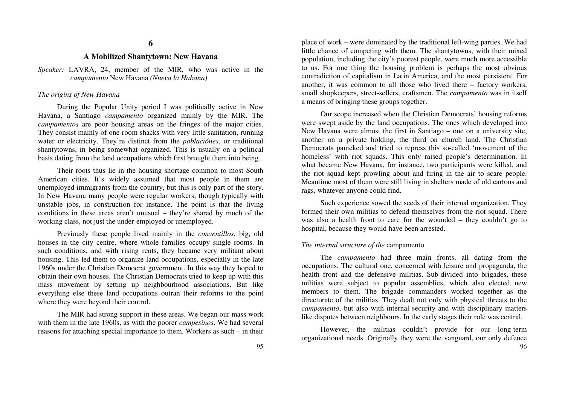### **6**

### **A Mobilized Shantytown: New Havana**

*Speaker:* LAVRA, 24, member of the MIR, who was active in the*campamento* New Havana *(Nueva la Habana)* 

# *The origins of New Havana*

During the Popular Unity period I was politically active in New Havana, a Santiago *campamento* organized mainly by the MIR. The *campamentos* are poor housing areas on the fringes of the major cities. They consist mainly of one-room shacks with very little sanitation, running water or electricity. They're distinct from the *poblaciónes*, or traditional shantytowns, in being somewhat organized. This is usually on a political basis dating from the land occupations which first brought them into being.

Their roots thus lie in the housing shortage common to most South American cities. It's widely assumed that most people in them are unemployed immigrants from the country, but this is only part of the story. In New Havana many people were regular workers, though typically with unstable jobs, in construction for instance. The point is that the living conditions in these areas aren't unusual – they're shared by much of the working class, not just the under-employed or unemployed.

Previously these people lived mainly in the *conventillos*, big, old houses in the city centre, where whole families occupy single rooms. In such conditions, and with rising rents, they became very militant about housing. This led them to organize land occupations, especially in the late 1960s under the Christian Democrat government. In this way they hoped to obtain their own houses. The Christian Democrats tried to keep up with this mass movement by setting up neighbourhood associations. But like everything else these land occupations outran their reforms to the point where they were beyond their control.

The MIR had strong support in these areas. We began our mass work with them in the late 1960s, as with the poorer *campesinos*. We had several reasons for attaching special importance to them. Workers as such – in their place of work – were dominated by the traditional left-wing parties. We had little chance of competing with them. The shantytowns, with their mixed population, including the city's poorest people, were much more accessible to us. For one thing the housing problem is perhaps the most obvious contradiction of capitalism in Latin America, and the most persistent. For another, it was common to all those who lived there – factory workers, small shopkeepers, street-sellers, craftsmen. The *campamento* was in itself a means of bringing these groups together.

Our scope increased when the Christian Democrats' housing reforms were swept aside by the land occupations. The ones which developed into New Havana were almost the first in Santiago – one on a university site, another on a private holding, the third on church land. The Christian Democrats panicked and tried to repress this so-called 'movement of the homeless' with riot squads. This only raised people's determination. In what became New Havana, for instance, two participants were killed, and the riot squad kept prowling about and firing in the air to scare people. Meantime most of them were still living in shelters made of old cartons and rags, whatever anyone could find.

Such experience sowed the seeds of their internal organization. They formed their own militias to defend themselves from the riot squad. There was also a health front to care for the wounded – they couldn't go to hospital, because they would have been arrested.

### *The internal structure of the* campamento

The *campamento* had three main fronts, all dating from the occupations. The cultural one, concerned with leisure and propaganda, the health front and the defensive militias. Sub-divided into brigades, these militias were subject to popular assemblies, which also elected new members to them. The brigade commanders worked together as the directorate of the militias. They dealt not only with physical threats to the *campamento*, but also with internal security and with disciplinary matters like disputes between neighbours. In the early stages their role was central.

However, the militias couldn't provide for our long-term organizational needs. Originally they were the vanguard, our only defence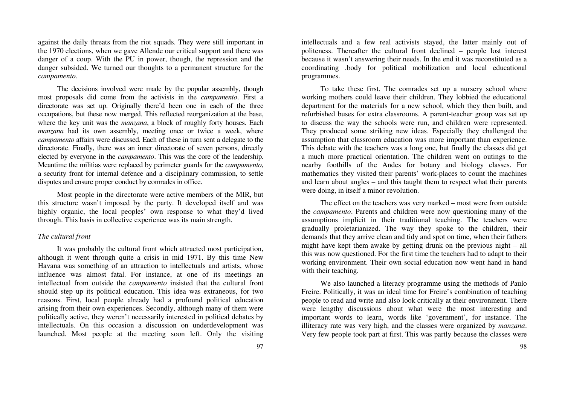against the daily threats from the riot squads. They were still important in the 1970 elections, when we gave Allende our critical support and there was danger of a coup. With the PU in power, though, the repression and the danger subsided. We turned our thoughts to a permanent structure for the *campamento*.

The decisions involved were made by the popular assembly, though most proposals did come from the activists in the *campamento*. First a directorate was set up. Originally there'd been one in each of the three occupations, but these now merged. This reflected reorganization at the base, where the key unit was the *manzana*, a block of roughly forty houses. Each *manzana* had its own assembly, meeting once or twice a week, where *campamento* affairs were discussed. Each of these in turn sent a delegate to the directorate. Finally, there was an inner directorate of seven persons, directly elected by everyone in the *campamento*. This was the core of the leadership. Meantime the militias were replaced by perimeter guards for the *campamento*, a security front for internal defence and a disciplinary commission, to settle disputes and ensure proper conduct by comrades in office.

Most people in the directorate were active members of the MIR, but this structure wasn't imposed by the party. It developed itself and was highly organic, the local peoples' own response to what they'd lived through. This basis in collective experience was its main strength.

# *The cultural front*

It was probably the cultural front which attracted most participation, although it went through quite a crisis in mid 1971. By this time New Havana was something of an attraction to intellectuals and artists, whose influence was almost fatal. For instance, at one of its meetings an intellectual from outside the *campamento* insisted that the cultural front should step up its political education. This idea was extraneous, for two reasons. First, local people already had a profound political education arising from their own experiences. Secondly, although many of them were politically active, they weren't necessarily interested in political debates by intellectuals. On this occasion a discussion on underdevelopment was launched. Most people at the meeting soon left. Only the visiting intellectuals and a few real activists stayed, the latter mainly out of politeness. Thereafter the cultural front declined – people lost interest because it wasn't answering their needs. In the end it was reconstituted as a coordinating .body for political mobilization and local educational programmes.

To take these first. The comrades set up a nursery school where working mothers could leave their children. They lobbied the educational department for the materials for a new school, which they then built, and refurbished buses for extra classrooms. A parent-teacher group was set up to discuss the way the schools were run, and children were represented. They produced some striking new ideas. Especially they challenged the assumption that classroom education was more important than experience. This debate with the teachers was a long one, but finally the classes did get a much more practical orientation. The children went on outings to the nearby foothills of the Andes for botany and biology classes. For mathematics they visited their parents' work-places to count the machines and learn about angles – and this taught them to respect what their parents were doing, in itself a minor revolution.

The effect on the teachers was very marked – most were from outside the *campamento*. Parents and children were now questioning many of the assumptions implicit in their traditional teaching. The teachers were gradually proletarianized. The way they spoke to the children, their demands that they arrive clean and tidy and spot on time, when their fathers might have kept them awake by getting drunk on the previous night – all this was now questioned. For the first time the teachers had to adapt to their working environment. Their own social education now went hand in hand with their teaching.

We also launched a literacy programme using the methods of Paulo Freire. Politically, it was an ideal time for Freire's combination of teaching people to read and write and also look critically at their environment. There were lengthy discussions about what were the most interesting and important words to learn, words like 'government', for instance. The illiteracy rate was very high, and the classes were organized by *manzana*. Very few people took part at first. This was partly because the classes were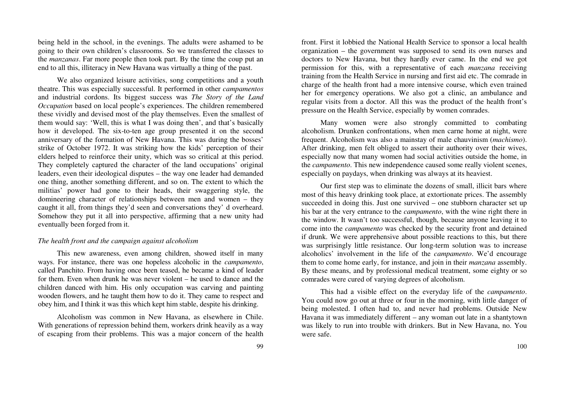being held in the school, in the evenings. The adults were ashamed to be going to their own children's classrooms. So we transferred the classes to the *manzanas*. Far more people then took part. By the time the coup put an end to all this, illiteracy in New Havana was virtually a thing of the past.

We also organized leisure activities, song competitions and a youth theatre. This was especially successful. It performed in other *campamentos* and industrial cordons. Its biggest success was *The Story of the Land Occupation* based on local people's experiences. The children remembered these vividly and devised most of the play themselves. Even the smallest of them would say: 'Well, this is what I was doing then', and that's basically how it developed. The six-to-ten age group presented it on the second anniversary of the formation of New Havana. This was during the bosses' strike of October 1972. It was striking how the kids' perception of their elders helped to reinforce their unity, which was so critical at this period. They completely captured the character of the land occupations' original leaders, even their ideological disputes – the way one leader had demanded one thing, another something different, and so on. The extent to which the militias' power had gone to their heads, their swaggering style, the domineering character of relationships between men and women – they caught it all, from things they'd seen and conversations they' d overheard. Somehow they put it all into perspective, affirming that a new unity had eventually been forged from it.

### *The health front and the campaign against alcoholism*

This new awareness, even among children, showed itself in many ways. For instance, there was one hopeless alcoholic in the *campamento*, called Panchito. From having once been teased, he became a kind of leader for them. Even when drunk he was never violent – he used to dance and the children danced with him. His only occupation was carving and painting wooden flowers, and he taught them how to do it. They came to respect and obey him, and I think it was this which kept him stable, despite his drinking.

Alcoholism was common in New Havana, as elsewhere in Chile. With generations of repression behind them, workers drink heavily as a way of escaping from their problems. This was a major concern of the health front. First it lobbied the National Health Service to sponsor a local health organization – the government was supposed to send its own nurses and doctors to New Havana, but they hardly ever came. In the end we got permission for this, with a representative of each *manzana* receiving training from the Health Service in nursing and first aid etc. The comrade in charge of the health front had a more intensive course, which even trained her for emergency operations. We also got a clinic, an ambulance and regular visits from a doctor. All this was the product of the health front's pressure on the Health Service, especially by women comrades.

Many women were also strongly committed to combating alcoholism. Drunken confrontations, when men carne home at night, were frequent. Alcoholism was also a mainstay of male chauvinism (*machismo*). After drinking, men felt obliged to assert their authority over their wives, especially now that many women had social activities outside the home, in the *campamento*. This new independence caused some really violent scenes, especially on paydays, when drinking was always at its heaviest.

Our first step was to eliminate the dozens of small, illicit bars where most of this heavy drinking took place, at extortionate prices. The assembly succeeded in doing this. Just one survived – one stubborn character set up his bar at the very entrance to the *campamento*, with the wine right there in the window. It wasn't too successful, though, because anyone leaving it to come into the *campamento* was checked by the security front and detained if drunk. We were apprehensive about possible reactions to this, but there was surprisingly little resistance. Our long-term solution was to increase alcoholics' involvement in the life of the *campamento*. We'd encourage them to come home early, for instance, and join in their *manzana* assembly. By these means, and by professional medical treatment, some eighty or so comrades were cured of varying degrees of alcoholism.

This had a visible effect on the everyday life of the *campamento*. You could now go out at three or four in the morning, with little danger of being molested. I often had to, and never had problems. Outside New Havana it was immediately different – any woman out late in a shantytown was likely to run into trouble with drinkers. But in New Havana, no. You were safe.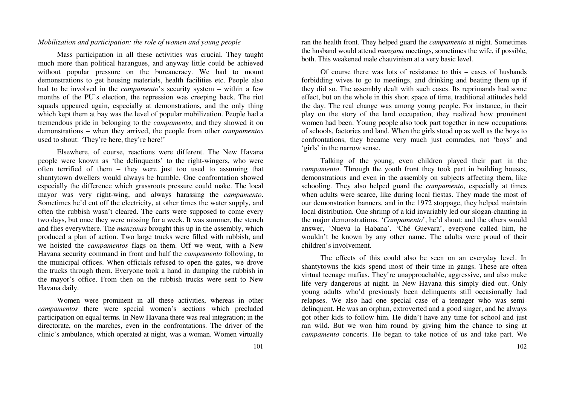### *Mobilization and participation: the role of women and young people*

Mass participation in all these activities was crucial. They taught much more than political harangues, and anyway little could be achieved without popular pressure on the bureaucracy. We had to mount demonstrations to get housing materials, health facilities etc. People also had to be involved in the *campamento*'s security system – within a few months of the PU's election, the repression was creeping back. The riot squads appeared again, especially at demonstrations, and the only thing which kept them at bay was the level of popular mobilization. People had a tremendous pride in belonging to the *campamento*, and they showed it on demonstrations – when they arrived, the people from other *campamentos*used to shout: 'They're here, they're here!'

Elsewhere, of course, reactions were different. The New Havana people were known as 'the delinquents' to the right-wingers, who were often terrified of them – they were just too used to assuming that shantytown dwellers would always be humble. One confrontation showed especially the difference which grassroots pressure could make. The local mayor was very right-wing, and always harassing the *campamento*. Sometimes he'd cut off the electricity, at other times the water supply, and often the rubbish wasn't cleared. The carts were supposed to come every two days, but once they were missing for a week. It was summer, the stench and flies everywhere. The *manzanas* brought this up in the assembly, which produced a plan of action. Two large trucks were filled with rubbish, and we hoisted the *campamentos* flags on them. Off we went, with a New Havana security command in front and half the *campamento* following, to the municipal offices. When officials refused to open the gates, we drove the trucks through them. Everyone took a hand in dumping the rubbish in the mayor's office. From then on the rubbish trucks were sent to New Havana daily.

Women were prominent in all these activities, whereas in other *campamentos* there were special women's sections which precluded participation on equal terms. In New Havana there was real integration; in the directorate, on the marches, even in the confrontations. The driver of the clinic's ambulance, which operated at night, was a woman. Women virtually ran the health front. They helped guard the *campamento* at night. Sometimes the husband would attend *manzana* meetings, sometimes the wife, if possible, both. This weakened male chauvinism at a very basic level.

Of course there was lots of resistance to this – cases of husbands forbidding wives to go to meetings, and drinking and beating them up if they did so. The assembly dealt with such cases. Its reprimands had some effect, but on the whole in this short space of time, traditional attitudes held the day. The real change was among young people. For instance, in their play on the story of the land occupation, they realized how prominent women had been. Young people also took part together in new occupations of schools, factories and land. When the girls stood up as well as the boys to confrontations, they became very much just comrades, not 'boys' and 'girls' in the narrow sense.

Talking of the young, even children played their part in the *campamento*. Through the youth front they took part in building houses, demonstrations and even in the assembly on subjects affecting them, like schooling. They also helped guard the *campamento*, especially at times when adults were scarce, like during local fiestas. They made the most of our demonstration banners, and in the 1972 stoppage, they helped maintain local distribution. One shrimp of a kid invariably led our slogan-chanting in the major demonstrations. '*Campamento*', he'd shout: and the others would answer, 'Nueva la Habana'. 'Ché Guevara', everyone called him, he wouldn't be known by any other name. The adults were proud of their children's involvement.

The effects of this could also be seen on an everyday level. In shantytowns the kids spend most of their time in gangs. These are often virtual teenage mafias. They're unapproachable, aggressive, and also make life very dangerous at night. In New Havana this simply died out. Only young adults who'd previously been delinquents still occasionally had relapses. We also had one special case of a teenager who was semidelinquent. He was an orphan, extroverted and a good singer, and he always got other kids to follow him. He didn't have any time for school and just ran wild. But we won him round by giving him the chance to sing at *campamento* concerts. He began to take notice of us and take part. We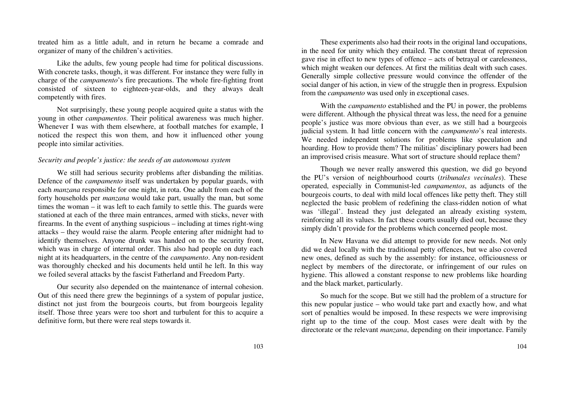treated him as a little adult, and in return he became a comrade and organizer of many of the children's activities.

Like the adults, few young people had time for political discussions. With concrete tasks, though, it was different. For instance they were fully in charge of the *campamento*'s fire precautions. The whole fire-fighting front consisted of sixteen to eighteen-year-olds, and they always dealt competently with fires.

Not surprisingly, these young people acquired quite a status with the young in other *campamentos*. Their political awareness was much higher. Whenever I was with them elsewhere, at football matches for example, I noticed the respect this won them, and how it influenced other young people into similar activities.

### *Security and people's justice: the seeds of an autonomous system*

We still had serious security problems after disbanding the militias. Defence of the *campamento* itself was undertaken by popular guards, with each *manzana* responsible for one night, in rota. One adult from each of the forty households per *manzana* would take part, usually the man, but some times the woman – it was left to each family to settle this. The guards were stationed at each of the three main entrances, armed with sticks, never with firearms. In the event of anything suspicious – including at times right-wing attacks – they would raise the alarm. People entering after midnight had to identify themselves. Anyone drunk was handed on to the security front, which was in charge of internal order. This also had people on duty each night at its headquarters, in the centre of the *campamento*. Any non-resident was thoroughly checked and his documents held until he left. In this way we foiled several attacks by the fascist Fatherland and Freedom Party.

Our security also depended on the maintenance of internal cohesion. Out of this need there grew the beginnings of a system of popular justice, distinct not just from the bourgeois courts, but from bourgeois legality itself. Those three years were too short and turbulent for this to acquire a definitive form, but there were real steps towards it.

These experiments also had their roots in the original land occupations, in the need for unity which they entailed. The constant threat of repression gave rise in effect to new types of offence – acts of betrayal or carelessness, which might weaken our defences. At first the militias dealt with such cases. Generally simple collective pressure would convince the offender of the social danger of his action, in view of the struggle then in progress. Expulsion from the *campamento* was used only in exceptional cases.

With the *campamento* established and the PU in power, the problems were different. Although the physical threat was less, the need for a genuine people's justice was more obvious than ever, as we still had a bourgeois judicial system. It had little concern with the *campamento*'s real interests. We needed independent solutions for problems like speculation and hoarding. How to provide them? The militias' disciplinary powers had been an improvised crisis measure. What sort of structure should replace them?

Though we never really answered this question, we did go beyond the PU's version of neighbourhood courts (*tribunales vecinales*). These operated, especially in Communist-led *campamentos*, as adjuncts of the bourgeois courts, to deal with mild local offences like petty theft. They still neglected the basic problem of redefining the class-ridden notion of what was 'illegal'. Instead they just delegated an already existing system, reinforcing all its values. In fact these courts usually died out, because they simply didn't provide for the problems which concerned people most.

In New Havana we did attempt to provide for new needs. Not only did we deal locally with the traditional petty offences, but we also covered new ones, defined as such by the assembly: for instance, officiousness or neglect by members of the directorate, or infringement of our rules on hygiene. This allowed a constant response to new problems like hoarding and the black market, particularly.

So much for the scope. But we still had the problem of a structure for this new popular justice – who would take part and exactly how, and what sort of penalties would be imposed. In these respects we were improvising right up to the time of the coup. Most cases were dealt with by the directorate or the relevant *manzana*, depending on their importance. Family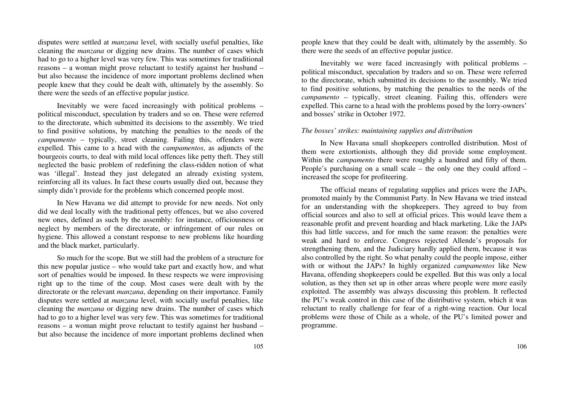disputes were settled at *manzana* level, with socially useful penalties, like cleaning the *manzana* or digging new drains. The number of cases which had to go to a higher level was very few. This was sometimes for traditional reasons – a woman might prove reluctant to testify against her husband – but also because the incidence of more important problems declined when people knew that they could be dealt with, ultimately by the assembly. So there were the seeds of an effective popular justice.

Inevitably we were faced increasingly with political problems – political misconduct, speculation by traders and so on. These were referred to the directorate, which submitted its decisions to the assembly. We tried to find positive solutions, by matching the penalties to the needs of the *campamento* – typically, street cleaning. Failing this, offenders were expelled. This came to a head with the *campamentos*, as adjuncts of the bourgeois courts, to deal with mild local offences like petty theft. They still neglected the basic problem of redefining the class-ridden notion of what was 'illegal'. Instead they just delegated an already existing system, reinforcing all its values. In fact these courts usually died out, because they simply didn't provide for the problems which concerned people most.

In New Havana we did attempt to provide for new needs. Not only did we deal locally with the traditional petty offences, but we also covered new ones, defined as such by the assembly: for instance, officiousness or neglect by members of the directorate, or infringement of our rules on hygiene. This allowed a constant response to new problems like hoarding and the black market, particularly.

So much for the scope. But we still had the problem of a structure for this new popular justice – who would take part and exactly how, and what sort of penalties would be imposed. In these respects we were improvising right up to the time of the coup. Most cases were dealt with by the directorate or the relevant *manzana*, depending on their importance. Family disputes were settled at *manzana* level, with socially useful penalties, like cleaning the *manzana* or digging new drains. The number of cases which had to go to a higher level was very few. This was sometimes for traditional reasons – a woman might prove reluctant to testify against her husband – but also because the incidence of more important problems declined when people knew that they could be dealt with, ultimately by the assembly. So there were the seeds of an effective popular justice.

Inevitably we were faced increasingly with political problems – political misconduct, speculation by traders and so on. These were referred to the directorate, which submitted its decisions to the assembly. We tried to find positive solutions, by matching the penalties to the needs of the *campamento* – typically, street cleaning. Failing this, offenders were expelled. This carne to a head with the problems posed by the lorry-owners' and bosses' strike in October 1972.

### *The bosses' strikes: maintaining supplies and distribution*

In New Havana small shopkeepers controlled distribution. Most of them were extortionists, although they did provide some employment. Within the *campamento* there were roughly a hundred and fifty of them. People's purchasing on a small scale – the only one they could afford – increased the scope for profiteering.

The official means of regulating supplies and prices were the JAPs, promoted mainly by the Communist Party. In New Havana we tried instead for an understanding with the shopkeepers. They agreed to buy from official sources and also to sell at official prices. This would leave them a reasonable profit and prevent hoarding and black marketing. Like the JAPs this had little success, and for much the same reason: the penalties were weak and hard to enforce. Congress rejected Allende's proposals for strengthening them, and the Judiciary hardly applied them, because it was also controlled by the right. So what penalty could the people impose, either with or without the JAPs? In highly organized *campamentos* like New Havana, offending shopkeepers could be expelled. But this was only a local solution, as they then set up in other areas where people were more easily exploited. The assembly was always discussing this problem. It reflected the PU's weak control in this case of the distributive system, which it was reluctant to really challenge for fear of a right-wing reaction. Our local problems were those of Chile as a whole, of the PU's limited power and programme.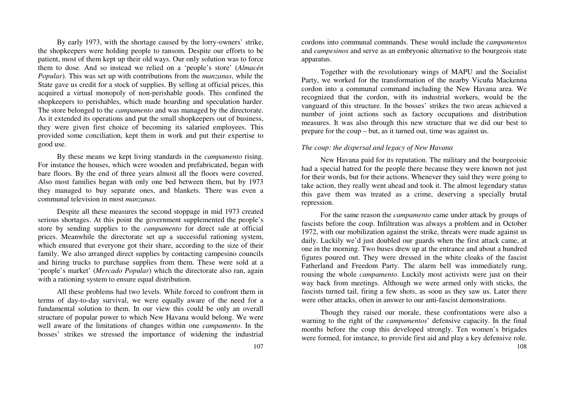By early 1973, with the shortage caused by the lorry-owners' strike, the shopkeepers were holding people to ransom. Despite our efforts to be patient, most of them kept up their old ways. Our only solution was to force them to dose. And so instead we relied on a 'people's store' (*Almacén Popular*). This was set up with contributions from the *manzanas*, while the State gave us credit for a stock of supplies. By selling at official prices, this acquired a virtual monopoly of non-perishable goods. This confined the shopkeepers to perishables, which made hoarding and speculation harder. The store belonged to the *campamento* and was managed by the directorate. As it extended its operations and put the small shopkeepers out of business, they were given first choice of becoming its salaried employees. This provided some conciliation, kept them in work and put their expertise to good use.

By these means we kept living standards in the *campamento* rising. For instance the houses, which were wooden and prefabricated, began with bare floors. By the end of three years almost all the floors were covered. Also most families began with only one bed between them, but by 1973 they managed to buy separate ones, and blankets. There was even a communal television in most *manzanas*.

Despite all these measures the second stoppage in mid 1973 created serious shortages. At this point the government supplemented the people's store by sending supplies to the *campamento* for direct sale at official prices. Meanwhile the directorate set up a successful rationing system, which ensured that everyone got their share, according to the size of their family. We also arranged direct supplies by contacting campesino councils and hiring trucks to purchase supplies from them. These were sold at a 'people's market' (*Mercado Popular*) which the directorate also ran, again with a rationing system to ensure equal distribution.

All these problems had two levels. While forced to confront them in terms of day-to-day survival, we were equally aware of the need for a fundamental solution to them. In our view this could be only an overall structure of popular power to which New Havana would belong. We were well aware of the limitations of changes within one *campamento*. In the bosses' strikes we stressed the importance of widening the industrial

cordons into communal commands. These would include the *campamentos* and *campesinos* and serve as an embryonic alternative to the bourgeois state apparatus.

Together with the revolutionary wings of MAPU and the Socialist Party, we worked for the transformation of the nearby Vicuña Mackenna cordon into a communal command including the New Havana area. We recognized that the cordon, with its industrial workers, would be the vanguard of this structure. In the bosses' strikes the two areas achieved a number of joint actions such as factory occupations and distribution measures. It was also through this new structure that we did our best to prepare for the coup – but, as it turned out, time was against us.

# *The coup: the dispersal and legacy of New Havana*

New Havana paid for its reputation. The military and the bourgeoisie had a special hatred for the people there because they were known not just for their words, but for their actions. Whenever they said they were going to take action, they really went ahead and took it. The almost legendary status this gave them was treated as a crime, deserving a specially brutal repression.

For the same reason the *campamento* came under attack by groups of fascists before the coup. Infiltration was always a problem and in October 1972, with our mobilization against the strike, threats were made against us daily. Luckily we'd just doubled our guards when the first attack came, at one in the morning. Two buses drew up at the entrance and about a hundred figures poured out. They were dressed in the white cloaks of the fascist Fatherland and Freedom Party. The alarm bell was immediately rung, rousing the whole *campamento*. Luckily most activists were just on their way back from meetings. Although we were armed only with sticks, the fascists turned tail, firing a few shots, as soon as they saw us. Later there were other attacks, often in answer to our anti-fascist demonstrations.

Though they raised our morale, these confrontations were also a warning to the right of the *campamentos*' defensive capacity. In the final months before the coup this developed strongly. Ten women's brigades were formed, for instance, to provide first aid and play a key defensive role.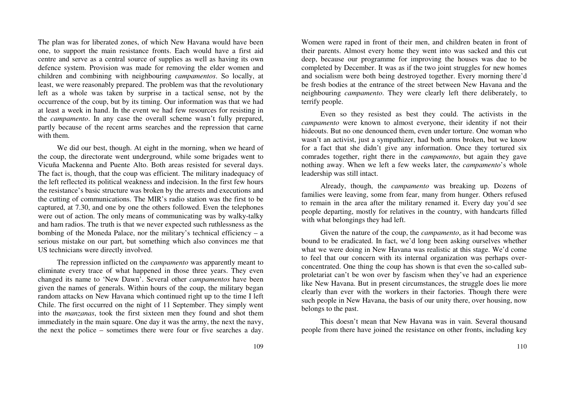The plan was for liberated zones, of which New Havana would have been one, to support the main resistance fronts. Each would have a first aid centre and serve as a central source of supplies as well as having its own defence system. Provision was made for removing the elder women and children and combining with neighbouring *campamentos*. So locally, at least, we were reasonably prepared. The problem was that the revolutionary left as a whole was taken by surprise in a tactical sense, not by the occurrence of the coup, but by its timing. Our information was that we had at least a week in hand. In the event we had few resources for resisting in the *campamento*. In any case the overall scheme wasn't fully prepared, partly because of the recent arms searches and the repression that carne with them.

We did our best, though. At eight in the morning, when we heard of the coup, the directorate went underground, while some brigades went to Vicuña Mackenna and Puente Alto. Both areas resisted for several days. The fact is, though, that the coup was efficient. The military inadequacy of the left reflected its political weakness and indecision. In the first few hours the resistance's basic structure was broken by the arrests and executions and the cutting of communications. The MIR's radio station was the first to be captured, at 7.30, and one by one the others followed. Even the telephones were out of action. The only means of communicating was by walky-talky and ham radios. The truth is that we never expected such ruthlessness as the bombing of the Moneda Palace, nor the military's technical efficiency – a serious mistake on our part, but something which also convinces me that US technicians were directly involved.

The repression inflicted on the *campamento* was apparently meant to eliminate every trace of what happened in those three years. They even changed its name to 'New Dawn'. Several other *campamentos* have been given the names of generals. Within hours of the coup, the military began random attacks on New Havana which continued right up to the time I left Chile. The first occurred on the night of 11 September. They simply went into the *manzanas*, took the first sixteen men they found and shot them immediately in the main square. One day it was the army, the next the navy, the next the police – sometimes there were four or five searches a day. Women were raped in front of their men, and children beaten in front of their parents. Almost every home they went into was sacked and this cut deep, because our programme for improving the houses was due to be completed by December. It was as if the two joint struggles for new homes and socialism were both being destroyed together. Every morning there'd be fresh bodies at the entrance of the street between New Havana and the neighbouring *campamento*. They were clearly left there deliberately, to terrify people.

Even so they resisted as best they could. The activists in the *campamento* were known to almost everyone, their identity if not their hideouts. But no one denounced them, even under torture. One woman who wasn't an activist, just a sympathizer, had both arms broken, but we know for a fact that she didn't give any information. Once they tortured six comrades together, right there in the *campamento*, but again they gave nothing away. When we left a few weeks later, the *campamento*'s whole leadership was still intact.

Already, though, the *campamento* was breaking up. Dozens of families were leaving, some from fear, many from hunger. Others refused to remain in the area after the military renamed it. Every day you'd see people departing, mostly for relatives in the country, with handcarts filled with what belongings they had left.

Given the nature of the coup, the *campamento*, as it had become was bound to be eradicated. In fact, we'd long been asking ourselves whether what we were doing in New Havana was realistic at this stage. We'd come to feel that our concern with its internal organization was perhaps overconcentrated. One thing the coup has shown is that even the so-called subproletariat can't be won over by fascism when they've had an experience like New Havana. But in present circumstances, the struggle does lie more clearly than ever with the workers in their factories. Though there were such people in New Havana, the basis of our unity there, over housing, now belongs to the past.

This doesn't mean that New Havana was in vain. Several thousand people from there have joined the resistance on other fronts, including key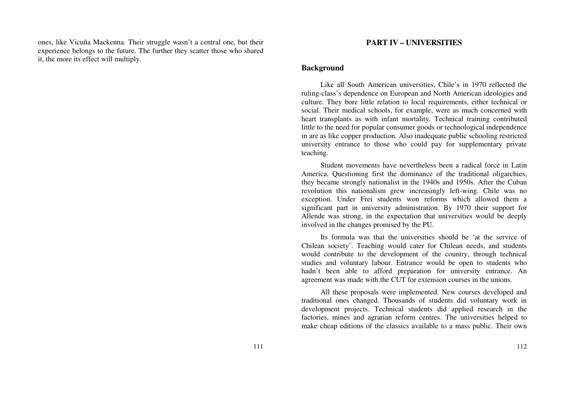ones, like Vicuña Mackenna. Their struggle wasn't a central one, but their experience belongs to the future. The further they scatter those who shared it, the more its effect will multiply.

### **PART IV – UNIVERSITIES**

## **Background**

Like all South American universities, Chile's in 1970 reflected the ruling-class's dependence on European and North American ideologies and culture. They bore little relation to local requirements, either technical or social. Their medical schools, for example, were as much concerned with heart transplants as with infant mortality. Technical training contributed little to the need for popular consumer goods or technological independence in are as like copper production. Also inadequate public schooling restricted university entrance to those who could pay for supplementary private teaching.

Student movements have nevertheless been a radical force in Latin America. Questioning first the dominance of the traditional oligarchies, they became strongly nationalist in the 1940s and 1950s. After the Cuban revolution this nationalism grew increasingly left-wing. Chile was no exception. Under Frei students won reforms which allowed them a significant part in university administration. By 1970 their support for Allende was strong, in the expectation that universities would be deeply involved in the changes promised by the PU.

Its formula was that the universities should be 'at the service of Chilean society'. Teaching would cater for Chilean needs, and students would contribute to the development of the country, through technical studies and voluntary labour. Entrance would be open to students who hadn't been able to afford preparation for university entrance. An agreement was made with the CUT for extension courses in the unions.

All these proposals were implemented. New courses developed and traditional ones changed. Thousands of students did voluntary work in development projects. Technical students did applied research in the factories, mines and agrarian reform centres. The universities helped to make cheap editions of the classics available to a mass public. Their own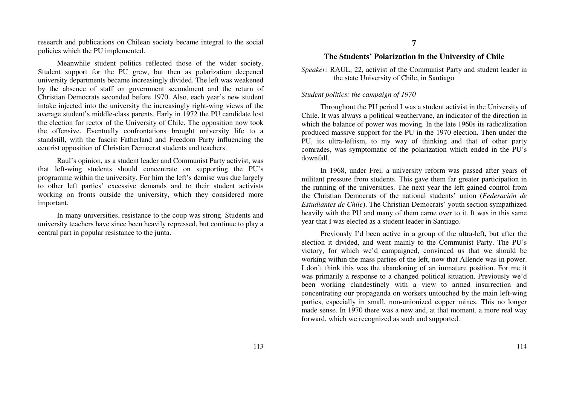research and publications on Chilean society became integral to the social policies which the PU implemented.

Meanwhile student politics reflected those of the wider society. Student support for the PU grew, but then as polarization deepened university departments became increasingly divided. The left was weakened by the absence of staff on government secondment and the return of Christian Democrats seconded before 1970. Also, each year's new student intake injected into the university the increasingly right-wing views of the average student's middle-class parents. Early in 1972 the PU candidate lost the election for rector of the University of Chile. The opposition now took the offensive. Eventually confrontations brought university life to a standstill, with the fascist Fatherland and Freedom Party influencing the centrist opposition of Christian Democrat students and teachers.

Raul's opinion, as a student leader and Communist Party activist, was that left-wing students should concentrate on supporting the PU's programme within the university. For him the left's demise was due largely to other left parties' excessive demands and to their student activists working on fronts outside the university, which they considered more important.

In many universities, resistance to the coup was strong. Students and university teachers have since been heavily repressed, but continue to play a central part in popular resistance to the junta.

# **7**

# **The Students' Polarization in the University of Chile**

*Speaker:* RAUL, 22, activist of the Communist Party and student leader in the state University of Chile, in Santiago

# *Student politics: the campaign of 1970*

Throughout the PU period I was a student activist in the University of Chile. It was always a political weathervane, an indicator of the direction in which the balance of power was moving. In the late 1960s its radicalization produced massive support for the PU in the 1970 election. Then under the PU, its ultra-leftism, to my way of thinking and that of other party comrades, was symptomatic of the polarization which ended in the PU's downfall.

In 1968, under Frei, a university reform was passed after years of militant pressure from students. This gave them far greater participation in the running of the universities. The next year the left gained control from the Christian Democrats of the national students' union (*Federación de Estudiantes de Chile*). The Christian Democrats' youth section sympathized heavily with the PU and many of them carne over to it. It was in this same year that I was elected as a student leader in Santiago.

Previously I'd been active in a group of the ultra-left, but after the election it divided, and went mainly to the Communist Party. The PU's victory, for which we'd campaigned, convinced us that we should be working within the mass parties of the left, now that Allende was in power. I don't think this was the abandoning of an immature position. For me it was primarily a response to a changed political situation. Previously we'd been working clandestinely with a view to armed insurrection and concentrating our propaganda on workers untouched by the main left-wing parties, especially in small, non-unionized copper mines. This no longer made sense. In 1970 there was a new and, at that moment, a more real way forward, which we recognized as such and supported.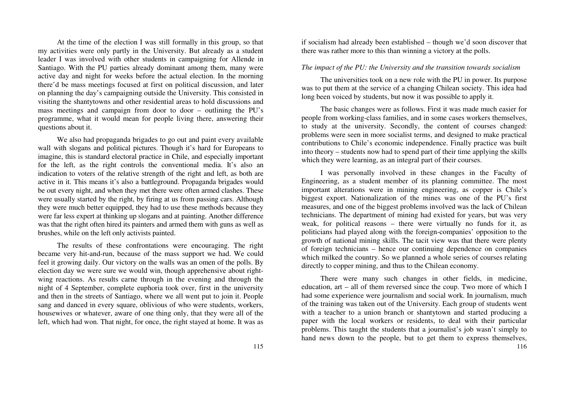At the time of the election I was still formally in this group, so that my activities were only partly in the University. But already as a student leader I was involved with other students in campaigning for Allende in Santiago. With the PU parties already dominant among them, many were active day and night for weeks before the actual election. In the morning there'd be mass meetings focused at first on political discussion, and later on planning the day's campaigning outside the University. This consisted in visiting the shantytowns and other residential areas to hold discussions and mass meetings and campaign from door to door – outlining the PU's programme, what it would mean for people living there, answering their questions about it.

We also had propaganda brigades to go out and paint every available wall with slogans and political pictures. Though it's hard for Europeans to imagine, this is standard electoral practice in Chile, and especially important for the left, as the right controls the conventional media. It's also an indication to voters of the relative strength of the right and left, as both are active in it. This means it's also a battleground. Propaganda brigades would be out every night, and when they met there were often armed clashes. These were usually started by the right, by firing at us from passing cars. Although they were much better equipped, they had to use these methods because they were far less expert at thinking up slogans and at painting. Another difference was that the right often hired its painters and armed them with guns as well as brushes, while on the left only activists painted.

The results of these confrontations were encouraging. The right became very hit-and-run, because of the mass support we had. We could feel it growing daily. Our victory on the walls was an omen of the polls. By election day we were sure we would win, though apprehensive about rightwing reactions. As results carne through in the evening and through the night of 4 September, complete euphoria took over, first in the university and then in the streets of Santiago, where we all went put to join it. People sang and danced in every square, oblivious of who were students, workers, housewives or whatever, aware of one thing only, that they were all of the left, which had won. That night, for once, the right stayed at home. It was as if socialism had already been established – though we'd soon discover that there was rather more to this than winning a victory at the polls.

# *The impact of the PU: the University and the transition towards socialism*

The universities took on a new role with the PU in power. Its purpose was to put them at the service of a changing Chilean society. This idea had long been voiced by students, but now it was possible to apply it.

The basic changes were as follows. First it was made much easier for people from working-class families, and in some cases workers themselves, to study at the university. Secondly, the content of courses changed: problems were seen in more socialist terms, and designed to make practical contributions to Chile's economic independence. Finally practice was built into theory – students now had to spend part of their time applying the skills which they were learning, as an integral part of their courses.

I was personally involved in these changes in the Faculty of Engineering, as a student member of its planning committee. The most important alterations were in mining engineering, as copper is Chile's biggest export. Nationalization of the mines was one of the PU's first measures, and one of the biggest problems involved was the lack of Chilean technicians. The department of mining had existed for years, but was very weak, for political reasons – there were virtually no funds for it, as politicians had played along with the foreign-companies' opposition to the growth of national mining skills. The tacit view was that there were plenty of foreign technicians – hence our continuing dependence on companies which milked the country. So we planned a whole series of courses relating directly to copper mining, and thus to the Chilean economy.

There were many such changes in other fields, in medicine, education, art – all of them reversed since the coup. Two more of which I had some experience were journalism and social work. In journalism, much of the training was taken out of the University. Each group of students went with a teacher to a union branch or shantytown and started producing a paper with the local workers or residents, to deal with their particular problems. This taught the students that a journalist's job wasn't simply to hand news down to the people, but to get them to express themselves,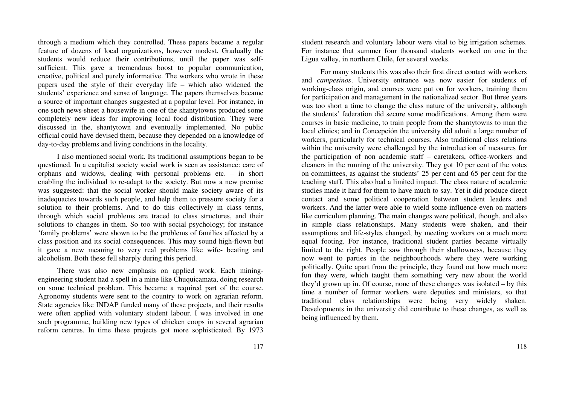through a medium which they controlled. These papers became a regular feature of dozens of local organizations, however modest. Gradually the students would reduce their contributions, until the paper was selfsufficient. This gave a tremendous boost to popular communication, creative, political and purely informative. The workers who wrote in these papers used the style of their everyday life – which also widened the students' experience and sense of language. The papers themselves became a source of important changes suggested at a popular level. For instance, in one such news-sheet a housewife in one of the shantytowns produced some completely new ideas for improving local food distribution. They were discussed in the, shantytown and eventually implemented. No public official could have devised them, because they depended on a knowledge of day-to-day problems and living conditions in the locality.

I also mentioned social work. Its traditional assumptions began to be questioned. In a capitalist society social work is seen as assistance: care of orphans and widows, dealing with personal problems etc. – in short enabling the individual to re-adapt to the society. But now a new premise was suggested: that the social worker should make society aware of its inadequacies towards such people, and help them to pressure society for a solution to their problems. And to do this collectively in class terms, through which social problems are traced to class structures, and their solutions to changes in them. So too with social psychology; for instance 'family problems' were shown to be the problems of families affected by a class position and its social consequences. This may sound high-flown but it gave a new meaning to very real problems like wife- beating and alcoholism. Both these fell sharply during this period.

There was also new emphasis on applied work. Each miningengineering student had a spell in a mine like Chuquicamata, doing research on some technical problem. This became a required part of the course. Agronomy students were sent to the country to work on agrarian reform. State agencies like INDAP funded many of these projects, and their results were often applied with voluntary student labour. I was involved in one such programme, building new types of chicken coops in several agrarian reform centres. In time these projects got more sophisticated. By 1973 was too short a time to change the class nature of the university, although

Ligua valley, in northern Chile, for several weeks.

 the students' federation did secure some modifications. Among them were courses in basic medicine, to train people from the shantytowns to man the local clinics; and in Concepción the university did admit a large number of workers, particularly for technical courses. Also traditional class relations within the university were challenged by the introduction of measures for the participation of non academic staff – caretakers, office-workers and cleaners in the running of the university. They got 10 per cent of the votes on committees, as against the students' 25 per cent and 65 per cent for the teaching staff. This also had a limited impact. The class nature of academic studies made it hard for them to have much to say. Yet it did produce direct contact and some political cooperation between student leaders and workers. And the latter were able to wield some influence even on matters like curriculum planning. The main changes were political, though, and also in simple class relationships. Many students were shaken, and their assumptions and life-styles changed, by meeting workers on a much more equal footing. For instance, traditional student parties became virtually limited to the right. People saw through their shallowness, because they now went to parties in the neighbourhoods where they were working politically. Quite apart from the principle, they found out how much more fun they were, which taught them something very new about the world they'd grown up in. Of course, none of these changes was isolated – by this time a number of former workers were deputies and ministers, so that traditional class relationships were being very widely shaken. Developments in the university did contribute to these changes, as well as being influenced by them.

student research and voluntary labour were vital to big irrigation schemes. For instance that summer four thousand students worked on one in the

For many students this was also their first direct contact with workers and *campesinos*. University entrance was now easier for students of working-class origin, and courses were put on for workers, training them for participation and management in the nationalized sector. But three years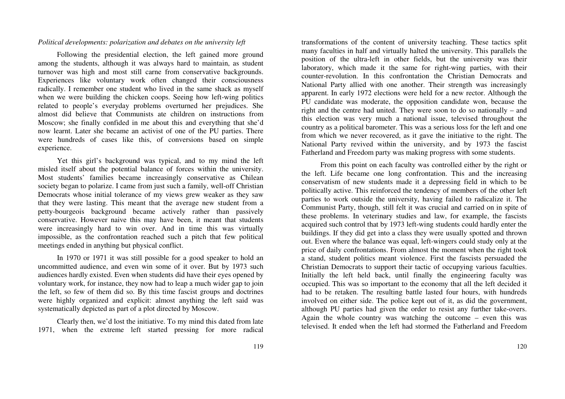## *Political developments: polarization and debates on the university left*

Following the presidential election, the left gained more ground among the students, although it was always hard to maintain, as student turnover was high and most still carne from conservative backgrounds. Experiences like voluntary work often changed their consciousness radically. I remember one student who lived in the same shack as myself when we were building the chicken coops. Seeing how left-wing politics related to people's everyday problems overturned her prejudices. She almost did believe that Communists ate children on instructions from Moscow; she finally confided in me about this and everything that she'd now learnt. Later she became an activist of one of the PU parties. There were hundreds of cases like this, of conversions based on simple experience.

Yet this girl's background was typical, and to my mind the left misled itself about the potential balance of forces within the university. Most students' families became increasingly conservative as Chilean society began to polarize. I came from just such a family, well-off Christian Democrats whose initial tolerance of my views grew weaker as they saw that they were lasting. This meant that the average new student from a petty-bourgeois background became actively rather than passively conservative. However naive this may have been, it meant that students were increasingly hard to win over. And in time this was virtually impossible, as the confrontation reached such a pitch that few political meetings ended in anything but physical conflict.

In 1970 or 1971 it was still possible for a good speaker to hold an uncommitted audience, and even win some of it over. But by 1973 such audiences hardly existed. Even when students did have their eyes opened by voluntary work, for instance, they now had to leap a much wider gap to join the left, so few of them did so. By this time fascist groups and doctrines were highly organized and explicit: almost anything the left said was systematically depicted as part of a plot directed by Moscow.

Clearly then, we'd lost the initiative. To my mind this dated from late 1971, when the extreme left started pressing for more radical transformations of the content of university teaching. These tactics split many faculties in half and virtually halted the university. This parallels the position of the ultra-left in other fields, but the university was their laboratory, which made it the same for right-wing parties, with their counter-revolution. In this confrontation the Christian Democrats and National Party allied with one another. Their strength was increasingly apparent. In early 1972 elections were held for a new rector. Although the PU candidate was moderate, the opposition candidate won, because the right and the centre had united. They were soon to do so nationally – and this election was very much a national issue, televised throughout the country as a political barometer. This was a serious loss for the left and one from which we never recovered, as it gave the initiative to the right. The National Party revived within the university, and by 1973 the fascist Fatherland and Freedom party was making progress with some students.

From this point on each faculty was controlled either by the right or the left. Life became one long confrontation. This and the increasing conservatism of new students made it a depressing field in which to be politically active. This reinforced the tendency of members of the other left parties to work outside the university, having failed to radicalize it. The Communist Party, though, still felt it was crucial and carried on in spite of these problems. In veterinary studies and law, for example, the fascists acquired such control that by 1973 left-wing students could hardly enter the buildings. If they did get into a class they were usually spotted and thrown out. Even where the balance was equal, left-wingers could study only at the price of daily confrontations. From almost the moment when the right took a stand, student politics meant violence. First the fascists persuaded the Christian Democrats to support their tactic of occupying various faculties. Initially the left held back, until finally the engineering faculty was occupied. This was so important to the economy that all the left decided it had to be retaken. The resulting battle lasted four hours, with hundreds involved on either side. The police kept out of it, as did the government, although PU parties had given the order to resist any further take-overs. Again the whole country was watching the outcome – even this was televised. It ended when the left had stormed the Fatherland and Freedom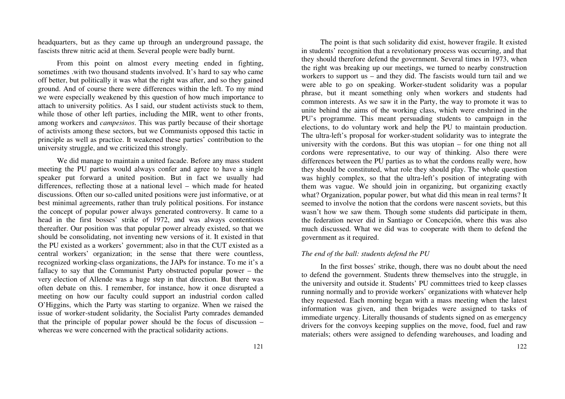headquarters, but as they came up through an underground passage, the fascists threw nitric acid at them. Several people were badly burnt.

From this point on almost every meeting ended in fighting, sometimes .with two thousand students involved. It's hard to say who came off better, but politically it was what the right was after, and so they gained ground. And of course there were differences within the left. To my mind we were especially weakened by this question of how much importance to attach to university politics. As I said, our student activists stuck to them, while those of other left parties, including the MIR, went to other fronts, among workers and *campesinos*. This was partly because of their shortage of activists among these sectors, but we Communists opposed this tactic in principle as well as practice. It weakened these parties' contribution to the university struggle, and we criticized this strongly.

We did manage to maintain a united facade. Before any mass student meeting the PU parties would always confer and agree to have a single speaker put forward a united position. But in fact we usually had differences, reflecting those at a national level – which made for heated discussions. Often our so-called united positions were just informative, or at best minimal agreements, rather than truly political positions. For instance the concept of popular power always generated controversy. It came to a head in the first bosses' strike of 1972, and was always contentious thereafter. Our position was that popular power already existed, so that we should be consolidating, not inventing new versions of it. It existed in that the PU existed as a workers' government; also in that the CUT existed as a central workers' organization; in the sense that there were countless, recognized working-class organizations, the JAPs for instance. To me it's a fallacy to say that the Communist Party obstructed popular power – the very election of Allende was a huge step in that direction. But there was often debate on this. I remember, for instance, how it once disrupted a meeting on how our faculty could support an industrial cordon called O'Higgins, which the Party was starting to organize. When we raised the issue of worker-student solidarity, the Socialist Party comrades demanded that the principle of popular power should be the focus of discussion – whereas we were concerned with the practical solidarity actions.

The point is that such solidarity did exist, however fragile. It existed in students' recognition that a revolutionary process was occurring, and that they should therefore defend the government. Several times in 1973, when the right was breaking up our meetings, we turned to nearby construction workers to support us – and they did. The fascists would turn tail and we were able to go on speaking. Worker-student solidarity was a popular phrase, but it meant something only when workers and students had common interests. As we saw it in the Party, the way to promote it was to unite behind the aims of the working class, which were enshrined in the PU's programme. This meant persuading students to campaign in the elections, to do voluntary work and help the PU to maintain production. The ultra-left's proposal for worker-student solidarity was to integrate the university with the cordons. But this was utopian – for one thing not all cordons were representative, to our way of thinking. Also there were differences between the PU parties as to what the cordons really were, how they should be constituted, what role they should play. The whole question was highly complex, so that the ultra-left's position of integrating with them was vague. We should join in organizing, but organizing exactly what? Organization, popular power, but what did this mean in real terms? It seemed to involve the notion that the cordons were nascent soviets, but this wasn't how we saw them. Though some students did participate in them, the federation never did in Santiago or Concepción, where this was also much discussed. What we did was to cooperate with them to defend the government as it required.

# *The end of the ball: students defend the PU*

In the first bosses' strike, though, there was no doubt about the need to defend the government. Students threw themselves into the struggle, in the university and outside it. Students' PU committees tried to keep classes running normally and to provide workers' organizations with whatever help they requested. Each morning began with a mass meeting when the latest information was given, and then brigades were assigned to tasks of immediate urgency. Literally thousands of students signed on as emergency drivers for the convoys keeping supplies on the move, food, fuel and raw materials; others were assigned to defending warehouses, and loading and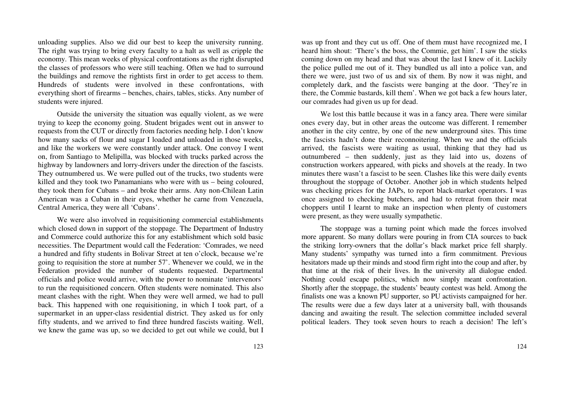unloading supplies. Also we did our best to keep the university running. The right was trying to bring every faculty to a halt as well as cripple the economy. This mean weeks of physical confrontations as the right disrupted the classes of professors who were still teaching. Often we had to surround the buildings and remove the rightists first in order to get access to them. Hundreds of students were involved in these confrontations, with everything short of firearms – benches, chairs, tables, sticks. Any number of students were injured.

Outside the university the situation was equally violent, as we were trying to keep the economy going. Student brigades went out in answer to requests from the CUT or directly from factories needing help. I don't know how many sacks of flour and sugar I loaded and unloaded in those weeks, and like the workers we were constantly under attack. One convoy I went on, from Santiago to Melipilla, was blocked with trucks parked across the highway by landowners and lorry-drivers under the direction of the fascists. They outnumbered us. We were pulled out of the trucks, two students were killed and they took two Panamanians who were with us – being coloured, they took them for Cubans – and broke their arms. Any non-Chilean Latin American was a Cuban in their eyes, whether he carne from Venezuela, Central America, they were all 'Cubans'.

We were also involved in requisitioning commercial establishments which closed down in support of the stoppage. The Department of Industry and Commerce could authorize this for any establishment which sold basic necessities. The Department would call the Federation: 'Comrades, we need a hundred and fifty students in Bolivar Street at ten o'clock, because we're going to requisition the store at number 57'. Whenever we could, we in the Federation provided the number of students requested. Departmental officials and police would arrive, with the power to nominate 'intervenors' to run the requisitioned concern. Often students were nominated. This also meant clashes with the right. When they were well armed, we had to pull back. This happened with one requisitioning, in which I took part, of a supermarket in an upper-class residential district. They asked us for only fifty students, and we arrived to find three hundred fascists waiting. Well, we knew the game was up, so we decided to get out while we could, but I was up front and they cut us off. One of them must have recognized me, I heard him shout: 'There's the boss, the Commie, get him'. I saw the sticks coming down on my head and that was about the last I knew of it. Luckily the police pulled me out of it. They bundled us all into a police van, and there we were, just two of us and six of them. By now it was night, and completely dark, and the fascists were banging at the door. 'They're in there, the Commie bastards, kill them'. When we got back a few hours later, our comrades had given us up for dead.

We lost this battle because it was in a fancy area. There were similar ones every day, but in other areas the outcome was different. I remember another in the city centre, by one of the new underground sites. This time the fascists hadn't done their reconnoitering. When we and the officials arrived, the fascists were waiting as usual, thinking that they had us outnumbered – then suddenly, just as they laid into us, dozens of construction workers appeared, with picks and shovels at the ready. In two minutes there wasn't a fascist to be seen. Clashes like this were daily events throughout the stoppage of October. Another job in which students helped was checking prices for the JAPs, to report black-market operators. I was once assigned to checking butchers, and had to retreat from their meat choppers until I learnt to make an inspection when plenty of customers were present, as they were usually sympathetic.

The stoppage was a turning point which made the forces involved more apparent. So many dollars were pouring in from CIA sources to back the striking lorry-owners that the dollar's black market price fell sharply. Many students' sympathy was turned into a firm commitment. Previous hesitators made up their minds and stood firm right into the coup and after, by that time at the risk of their lives. In the university all dialogue ended. Nothing could escape politics, which now simply meant confrontation. Shortly after the stoppage, the students' beauty contest was held. Among the finalists one was a known PU supporter, so PU activists campaigned for her. The results were due a few days later at a university ball, with thousands dancing and awaiting the result. The selection committee included several political leaders. They took seven hours to reach a decision! The left's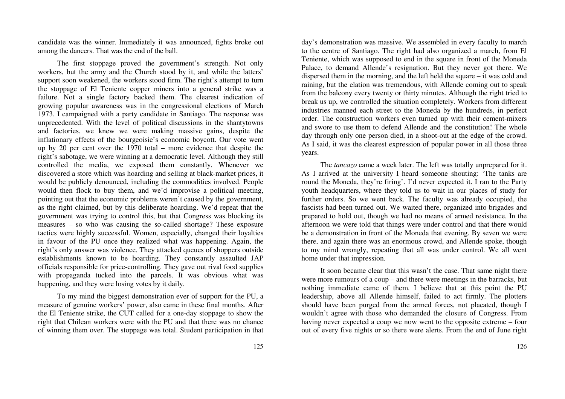candidate was the winner. Immediately it was announced, fights broke out among the dancers. That was the end of the ball.

The first stoppage proved the government's strength. Not only workers, but the army and the Church stood by it, and while the latters' support soon weakened, the workers stood firm. The right's attempt to turn the stoppage of El Teniente copper miners into a general strike was a failure. Not a single factory backed them. The clearest indication of growing popular awareness was in the congressional elections of March 1973. I campaigned with a party candidate in Santiago. The response was unprecedented. With the level of political discussions in the shantytowns and factories, we knew we were making massive gains, despite the inflationary effects of the bourgeoisie's economic boycott. Our vote went up by 20 per cent over the 1970 total – more evidence that despite the right's sabotage, we were winning at a democratic level. Although they still controlled the media, we exposed them constantly. Whenever we discovered a store which was hoarding and selling at black-market prices, it would be publicly denounced, including the commodities involved. People would then flock to buy them, and we'd improvise a political meeting, pointing out that the economic problems weren't caused by the government, as the right claimed, but by this deliberate hoarding. We'd repeat that the government was trying to control this, but that Congress was blocking its measures – so who was causing the so-called shortage? These exposure tactics were highly successful. Women, especially, changed their loyalties in favour of the PU once they realized what was happening. Again, the right's only answer was violence. They attacked queues of shoppers outside establishments known to be hoarding. They constantly assaulted JAP officials responsible for price-controlling. They gave out rival food supplies with propaganda tucked into the parcels. It was obvious what was happening, and they were losing votes by it daily.

To my mind the biggest demonstration ever of support for the PU, a measure of genuine workers' power, also came in these final months. After the El Teniente strike, the CUT called for a one-day stoppage to show the right that Chilean workers were with the PU and that there was no chance of winning them over. The stoppage was total. Student participation in that day's demonstration was massive. We assembled in every faculty to march to the centre of Santiago. The right had also organized a march, from El Teniente, which was supposed to end in the square in front of the Moneda Palace, to demand Allende's resignation. But they never got there. We dispersed them in the morning, and the left held the square – it was cold and raining, but the elation was tremendous, with Allende coming out to speak from the balcony every twenty or thirty minutes. Although the right tried to break us up, we controlled the situation completely. Workers from different industries manned each street to the Moneda by the hundreds, in perfect order. The construction workers even turned up with their cement-mixers and swore to use them to defend Allende and the constitution! The whole day through only one person died, in a shoot-out at the edge of the crowd. As I said, it was the clearest expression of popular power in all those three years.

The *tancazo* came a week later. The left was totally unprepared for it. As I arrived at the university I heard someone shouting: 'The tanks are round the Moneda, they're firing'. I'd never expected it. I ran to the Party youth headquarters, where they told us to wait in our places of study for further orders. So we went back. The faculty was already occupied, the fascists had been turned out. We waited there, organized into brigades and prepared to hold out, though we had no means of armed resistance. In the afternoon we were told that things were under control and that there would be a demonstration in front of the Moneda that evening. By seven we were there, and again there was an enormous crowd, and Allende spoke, though to my mind wrongly, repeating that all was under control. We all went home under that impression.

It soon became clear that this wasn't the case. That same night there were more rumours of a coup – and there were meetings in the barracks, but nothing immediate came of them. I believe that at this point the PU leadership, above all Allende himself, failed to act firmly. The plotters should have been purged from the armed forces, not placated, though I wouldn't agree with those who demanded the closure of Congress. From having never expected a coup we now went to the opposite extreme – four out of every five nights or so there were alerts. From the end of June right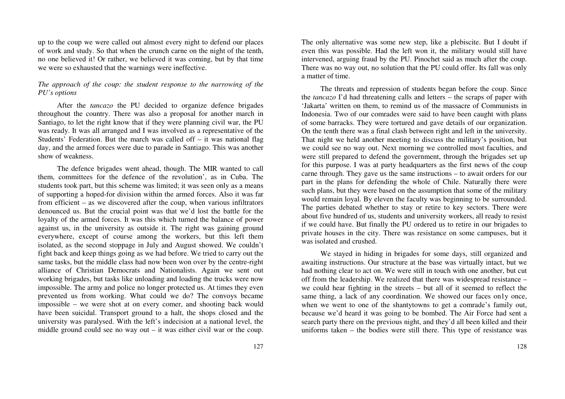up to the coup we were called out almost every night to defend our places of work and study. So that when the crunch carne on the night of the tenth, no one believed it! Or rather, we believed it was coming, but by that time we were so exhausted that the warnings were ineffective.

# *The approach of the coup: the student response to the narrowing of the PU's options*

After the *tancazo* the PU decided to organize defence brigades throughout the country. There was also a proposal for another march in Santiago, to let the right know that if they were planning civil war, the PU was ready. It was all arranged and I was involved as a representative of the Students' Federation. But the march was called off – it was national flag day, and the armed forces were due to parade in Santiago. This was another show of weakness.

The defence brigades went ahead, though. The MIR wanted to call them, committees for the defence of the revolution', as in Cuba. The students took part, but this scheme was limited; it was seen only as a means of supporting a hoped-for division within the armed forces. Also it was far from efficient – as we discovered after the coup, when various infiltrators denounced us. But the crucial point was that we'd lost the battle for the loyalty of the armed forces. It was this which turned the balance of power against us, in the university as outside it. The right was gaining ground everywhere, except of course among the workers, but this left them isolated, as the second stoppage in July and August showed. We couldn't fight back and keep things going as we had before. We tried to carry out the same tasks, but the middle class had now been won over by the centre-right alliance of Christian Democrats and Nationalists. Again we sent out working brigades, but tasks like unloading and loading the trucks were now impossible. The army and police no longer protected us. At times they even prevented us from working. What could we do? The convoys became impossible – we were shot at on every comer, and shooting back would have been suicidal. Transport ground to a halt, the shops closed and the university was paralysed. With the left's indecision at a national level, the middle ground could see no way out – it was either civil war or the coup.

127

The only alternative was some new step, like a plebiscite. But I doubt if even this was possible. Had the left won it, the military would still have intervened, arguing fraud by the PU. Pinochet said as much after the coup. There was no way out, no solution that the PU could offer. Its fall was only a matter of time.

The threats and repression of students began before the coup. Since the *tancazo* I'd had threatening calls and letters – the scraps of paper with 'Jakarta' written on them, to remind us of the massacre of Communists in Indonesia. Two of our comrades were said to have been caught with plans of some barracks. They were tortured and gave details of our organization. On the tenth there was a final clash between right and left in the university. That night we held another meeting to discuss the military's position, but we could see no way out. Next morning we controlled most faculties, and were still prepared to defend the government, through the brigades set up for this purpose. I was at party headquarters as the first news of the coup carne through. They gave us the same instructions – to await orders for our part in the plans for defending the whole of Chile. Naturally there were such plans, but they were based on the assumption that some of the military would remain loyal. By eleven the faculty was beginning to be surrounded. The parties debated whether to stay or retire to key sectors. There were about five hundred of us, students and university workers, all ready to resist if we could have. But finally the PU ordered us to retire in our brigades to private houses in the city. There was resistance on some campuses, but it was isolated and crushed.

We stayed in hiding in brigades for some days, still organized and awaiting instructions. Our structure at the base was virtually intact, but we had nothing clear to act on. We were still in touch with one another, but cut off from the leadership. We realized that there was widespread resistance – we could hear fighting in the streets – but all of it seemed to reflect the same thing, a lack of any coordination. We showed our faces only once, when we went to one of the shantytowns to get a comrade's family out, because we'd heard it was going to be bombed. The Air Force had sent a search party there on the previous night, and they'd all been killed and their uniforms taken – the bodies were still there. This type of resistance was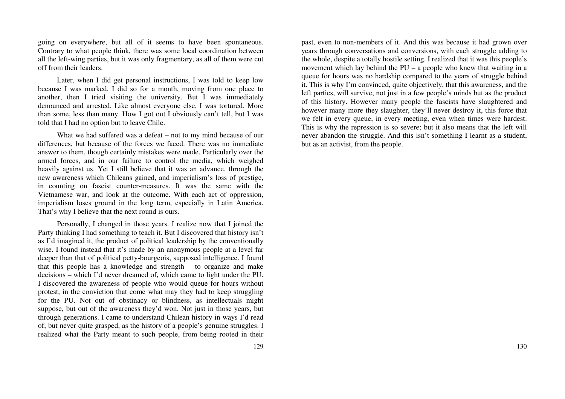going on everywhere, but all of it seems to have been spontaneous. Contrary to what people think, there was some local coordination between all the left-wing parties, but it was only fragmentary, as all of them were cut off from their leaders.

Later, when I did get personal instructions, I was told to keep low because I was marked. I did so for a month, moving from one place to another, then I tried visiting the university. But I was immediately denounced and arrested. Like almost everyone else, I was tortured. More than some, less than many. How I got out I obviously can't tell, but I was told that I had no option but to leave Chile.

What we had suffered was a defeat – not to my mind because of our differences, but because of the forces we faced. There was no immediate answer to them, though certainly mistakes were made. Particularly over the armed forces, and in our failure to control the media, which weighed heavily against us. Yet I still believe that it was an advance, through the new awareness which Chileans gained, and imperialism's loss of prestige, in counting on fascist counter-measures. It was the same with the Vietnamese war, and look at the outcome. With each act of oppression, imperialism loses ground in the long term, especially in Latin America. That's why I believe that the next round is ours.

Personally, I changed in those years. I realize now that I joined the Party thinking I had something to teach it. But I discovered that history isn't as I'd imagined it, the product of political leadership by the conventionally wise. I found instead that it's made by an anonymous people at a level far deeper than that of political petty-bourgeois, supposed intelligence. I found that this people has a knowledge and strength – to organize and make decisions – which I'd never dreamed of, which came to light under the PU. I discovered the awareness of people who would queue for hours without protest, in the conviction that come what may they had to keep struggling for the PU. Not out of obstinacy or blindness, as intellectuals might suppose, but out of the awareness they'd won. Not just in those years, but through generations. I came to understand Chilean history in ways I'd read of, but never quite grasped, as the history of a people's genuine struggles. I realized what the Party meant to such people, from being rooted in their past, even to non-members of it. And this was because it had grown over years through conversations and conversions, with each struggle adding to the whole, despite a totally hostile setting. I realized that it was this people's movement which lay behind the PU – a people who knew that waiting in a queue for hours was no hardship compared to the years of struggle behind it. This is why I'm convinced, quite objectively, that this awareness, and the left parties, will survive, not just in a few people's minds but as the product of this history. However many people the fascists have slaughtered and however many more they slaughter, they'll never destroy it, this force that we felt in every queue, in every meeting, even when times were hardest. This is why the repression is so severe; but it also means that the left will never abandon the struggle. And this isn't something I learnt as a student, but as an activist, from the people.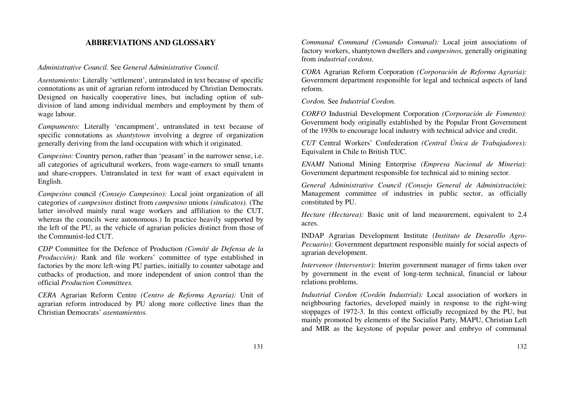# **ABBREVIATIONS AND GLOSSARY**

### *Administrative Council.* See *General Administrative Council.*

*Asentamiento:* Literally 'settlement', untranslated in text because of specific connotations as unit of agrarian reform introduced by Christian Democrats. Designed on basically cooperative lines, but including option of subdivision of land among individual members and employment by them of wage labour.

*Campamento:* Literally 'encampment', untranslated in text because of specific connotations as *shantytown* involving a degree of organization generally deriving from the land occupation with which it originated.

*Campesino:* Country person, rather than 'peasant' in the narrower sense, i.e. all categories of agricultural workers, from wage-earners to small tenants and share-croppers. Untranslated in text for want of exact equivalent in English.

*Campesino* council *(Consejo Campesino):* Local joint organization of all categories of *campesinos* distinct from *campesino* unions *(sindicatos).* (The latter involved mainly rural wage workers and affiliation to the CUT, whereas the councils were autonomous.) In practice heavily supported by the left of the PU, as the vehicle of agrarian policies distinct from those of the Communist-led CUT.

*CDP* Committee for the Defence of Production *(Comité de Defensa de la Producción):* Rank and file workers' committee of type established in factories by the more left-wing PU parties, initially to counter sabotage and cutbacks of production, and more independent of union control than the official *Production Committees.* 

*CERA* Agrarian Reform Centre *(Centro de Reforma Agraria):* Unit of agrarian reform introduced by PU along more collective lines than the Christian Democrats' *asentamientos.* 

*Communal Command (Comando Comunal):* Local joint associations of factory workers, shantytown dwellers and *campesinos,* generally originating from *industrial cordons.* 

*CORA* Agrarian Reform Corporation *(Corporación de Reforma Agraria):*  Government department responsible for legal and technical aspects of land reform.

*Cordon.* See *Industrial Cordon.*

*CORFO* Industrial Development Corporation *(Corporación de Fomento):*  Government body originally established by the Popular Front Government of the 1930s to encourage local industry with technical advice and credit.

*CUT* Central Workers' Confederation *(Central Única de Trabajadores):* Equivalent in Chile to British TUC.

*ENAMI* National Mining Enterprise *(Empresa Nacional de Mineria):*  Government department responsible for technical aid to mining sector.

*General Administrative Council (Consejo General de Administración):*  Management committee of industries in public sector, as officially constituted by PU.

*Hectare (Hectarea):* Basic unit of land measurement, equivalent to 2.4 acres.

INDAP Agrarian Development Institute *(Instituto de Desarollo Agro-Pecuario)*: Government department responsible mainly for social aspects of agrarian development.

*Intervenor (Interventor):* Interim government manager of firms taken over by government in the event of long-term technical, financial or labour relations problems.

*Industrial Cordon (Cordón Industrial):* Local association of workers in neighbouring factories, developed mainly in response to the right-wing stoppages of 1972-3. In this context officially recognized by the PU, but mainly promoted by elements of the Socialist Party, MAPU, Christian Left and MIR as the keystone of popular power and embryo of communal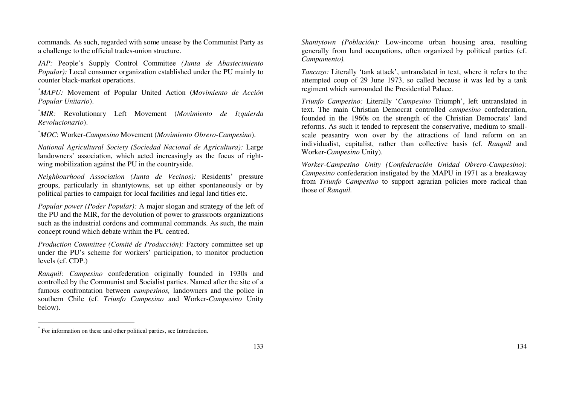commands. As such, regarded with some unease by the Communist Party as a challenge to the official trades-union structure.

*JAP:* People's Supply Control Committee *(Junta de Abastecimiento Popular):* Local consumer organization established under the PU mainly to counter black-market operations.

*\*MAPU:* Movement of Popular United Action (*Movimiento de Acción Popular Unitario*).

\**MIR:* Revolutionary Left Movement (*Movimiento de Izquierda Revolucionario*).

\**MOC*: Worker-*Campesino* Movement (*Movimiento Obrero-Campesino*).

*National Agricultural Society (Sociedad Nacional de Agricultura):* Large landowners' association, which acted increasingly as the focus of rightwing mobilization against the PU in the countryside.

*Neighbourhood Association (Junta de Vecinos):* Residents' pressure groups, particularly in shantytowns, set up either spontaneously or by political parties to campaign for local facilities and legal land titles etc.

*Popular power (Poder Popular):* A major slogan and strategy of the left of the PU and the MIR, for the devolution of power to grassroots organizations such as the industrial cordons and communal commands. As such, the main concept round which debate within the PU centred.

*Production Committee (Comité de Producción):* Factory committee set up under the PU's scheme for workers' participation, to monitor production levels (cf. CDP.)

*Ranquil: Campesino* confederation originally founded in 1930s and controlled by the Communist and Socialist parties. Named after the site of a famous confrontation between *campesinos,* landowners and the police in southern Chile (cf. *Triunfo Campesino* and Worker-*Campesino* Unity below).

*Shantytown (Población):* Low-income urban housing area, resulting generally from land occupations, often organized by political parties (cf. *Campamento).* 

*Tancazo:* Literally 'tank attack', untranslated in text, where it refers to the attempted coup of 29 June 1973, so called because it was led by a tank regiment which surrounded the Presidential Palace.

*Triunfo Campesino:* Literally '*Campesino* Triumph', left untranslated in text. The main Christian Democrat controlled *campesino* confederation, founded in the 1960s on the strength of the Christian Democrats' land reforms. As such it tended to represent the conservative, medium to smallscale peasantry won over by the attractions of land reform on an individualist, capitalist, rather than collective basis (cf. *Ranquil* and Worker-*Campesino* Unity).

*Worker-Campesino Unity (Confederación Unidad Obrero-Campesino): Campesino* confederation instigated by the MAPU in 1971 as a breakaway from *Triunfo Campesino* to support agrarian policies more radical than those of *Ranquil.* 

<sup>\*</sup> For information on these and other political parties, see Introduction.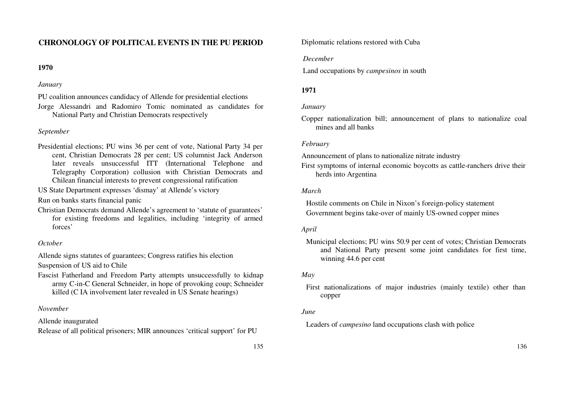# **CHRONOLOGY OF POLITICAL EVENTS IN THE PU PERIOD**

# **1970**

# *January*

PU coalition announces candidacy of Allende for presidential elections

Jorge Alessandri and Radomiro Tomic nominated as candidates for National Party and Christian Democrats respectively

# *September*

Presidential elections; PU wins 36 per cent of vote, National Party 34 per cent, Christian Democrats 28 per cent; US columnist Jack Anderson later reveals unsuccessful ITT (International Telephone and Telegraphy Corporation) collusion with Christian Democrats and Chilean financial interests to prevent congressional ratification

US State Department expresses 'dismay' at Allende's victory

Run on banks starts financial panic

Christian Democrats demand Allende's agreement to 'statute of guarantees' for existing freedoms and legalities, including 'integrity of armed forces'

# *October*

Allende signs statutes of guarantees; Congress ratifies his election Suspension of US aid to Chile

Fascist Fatherland and Freedom Party attempts unsuccessfully to kidnap army C-in-C General Schneider, in hope of provoking coup; Schneider killed (C IA involvement later revealed in US Senate hearings)

# *November*

# Allende inaugurated

Release of all political prisoners; MIR announces 'critical support' for PU

Diplomatic relations restored with Cuba

## *December*

Land occupations by *campesinos* in south

# **1971**

# *January*

Copper nationalization bill; announcement of plans to nationalize coal mines and all banks

# *February*

Announcement of plans to nationalize nitrate industry

First symptoms of internal economic boycotts as cattle-ranchers drive their herds into Argentina

# *March*

Hostile comments on Chile in Nixon's foreign-policy statement Government begins take-over of mainly US-owned copper mines

# *April*

Municipal elections; PU wins 50.9 per cent of votes; Christian Democrats and National Party present some joint candidates for first time, winning 44.6 per cent

# *May*

First nationalizations of major industries (mainly textile) other than copper

## *June*

135

Leaders of *campesino* land occupations clash with police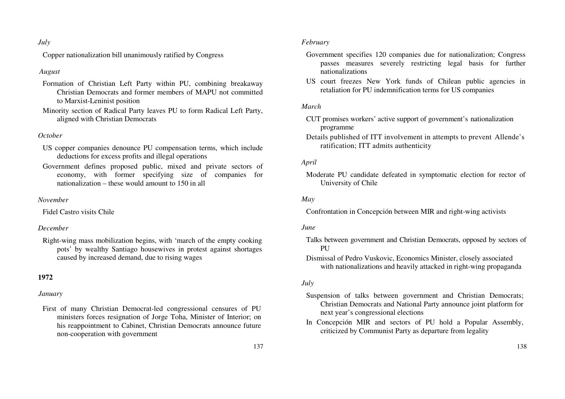### *July*

Copper nationalization bill unanimously ratified by Congress

### *August*

- Formation of Christian Left Party within PU, combining breakaway Christian Democrats and former members of MAPU not committed to Marxist-Leninist position
- Minority section of Radical Party leaves PU to form Radical Left Party, aligned with Christian Democrats

### *October*

- US copper companies denounce PU compensation terms, which include deductions for excess profits and illegal operations
- Government defines proposed public, mixed and private sectors of economy, with former specifying size of companies for nationalization – these would amount to 150 in all

### *November*

Fidel Castro visits Chile

### *December*

Right-wing mass mobilization begins, with 'march of the empty cooking pots' by wealthy Santiago housewives in protest against shortages caused by increased demand, due to rising wages

### **1972**

#### *January*

First of many Christian Democrat-led congressional censures of PU ministers forces resignation of Jorge Toha, Minister of Interior; on his reappointment to Cabinet, Christian Democrats announce future non-cooperation with government

### *February*

- Government specifies 120 companies due for nationalization; Congress passes measures severely restricting legal basis for further nationalizations
- US court freezes New York funds of Chilean public agencies in retaliation for PU indemnification terms for US companies

#### *March*

- CUT promises workers' active support of government's nationalization programme
- Details published of ITT involvement in attempts to prevent Allende's ratification; ITT admits authenticity

#### *April*

Moderate PU candidate defeated in symptomatic election for rector of University of Chile

#### *May*

Confrontation in Concepción between MIR and right-wing activists

#### *June*

- Talks between government and Christian Democrats, opposed by sectors of **PU**
- Dismissal of Pedro Vuskovic, Economics Minister, closely associated with nationalizations and heavily attacked in right-wing propaganda

### *July*

- Suspension of talks between government and Christian Democrats; Christian Democrats and National Party announce joint platform for next year's congressional elections
- In Concepción MIR and sectors of PU hold a Popular Assembly, criticized by Communist Party as departure from legality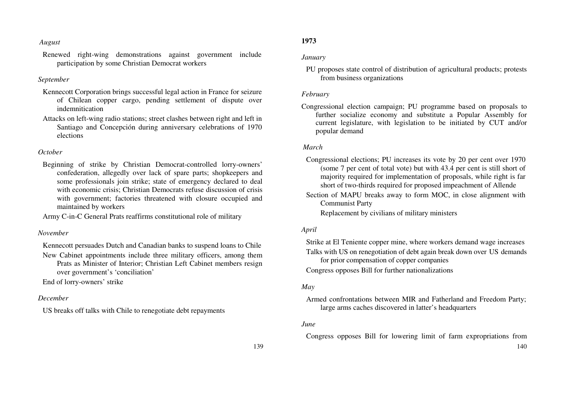#### *August*

Renewed right-wing demonstrations against government include participation by some Christian Democrat workers

## *September*

- Kennecott Corporation brings successful legal action in France for seizure of Chilean copper cargo, pending settlement of dispute over indemnitication
- Attacks on left-wing radio stations; street clashes between right and left in Santiago and Concepción during anniversary celebrations of 1970 elections

### *October*

Beginning of strike by Christian Democrat-controlled lorry-owners' confederation, allegedly over lack of spare parts; shopkeepers and some professionals join strike; state of emergency declared to deal with economic crisis; Christian Democrats refuse discussion of crisis with government; factories threatened with closure occupied and maintained by workers

Army C-in-C General Prats reaffirms constitutional role of military

## *November*

Kennecott persuades Dutch and Canadian banks to suspend loans to Chile

New Cabinet appointments include three military officers, among them Prats as Minister of Interior; Christian Left Cabinet members resign over government's 'conciliation'

End of lorry-owners' strike

## *December*

US breaks off talks with Chile to renegotiate debt repayments

## **1973**

### *January*

PU proposes state control of distribution of agricultural products; protests from business organizations

## *February*

Congressional election campaign; PU programme based on proposals to further socialize economy and substitute a Popular Assembly for current legislature, with legislation to be initiated by CUT and/or popular demand

## *March*

- Congressional elections; PU increases its vote by 20 per cent over 1970 (some 7 per cent of total vote) but with 43.4 per cent is still short of majority required for implementation of proposals, while right is far short of two-thirds required for proposed impeachment of Allende
- Section of MAPU breaks away to form MOC, in close alignment with Communist Party

Replacement by civilians of military ministers

### *April*

Strike at El Teniente copper mine, where workers demand wage increases Talks with US on renegotiation of debt again break down over US demands for prior compensation of copper companies

Congress opposes Bill for further nationalizations

#### *May*

Armed confrontations between MIR and Fatherland and Freedom Party; large arms caches discovered in latter's headquarters

### *June*

Congress opposes Bill for lowering limit of farm expropriations from

140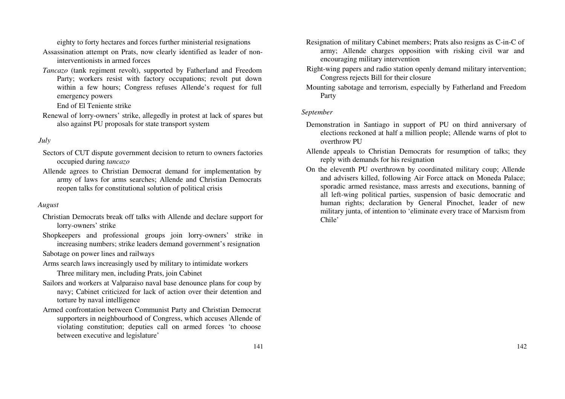eighty to forty hectares and forces further ministerial resignations

- Assassination attempt on Prats, now clearly identified as leader of noninterventionists in armed forces
- *Tancazo* (tank regiment revolt), supported by Fatherland and Freedom Party; workers resist with factory occupations; revolt put down within a few hours; Congress refuses Allende's request for full emergency powers

End of El Teniente strike

Renewal of lorry-owners' strike, allegedly in protest at lack of spares but also against PU proposals for state transport system

# *July*

- Sectors of CUT dispute government decision to return to owners factories occupied during *tancazo*
- Allende agrees to Christian Democrat demand for implementation by army of laws for arms searches; Allende and Christian Democrats reopen talks for constitutional solution of political crisis

## *August*

- Christian Democrats break off talks with Allende and declare support for lorry-owners' strike
- Shopkeepers and professional groups join lorry-owners' strike in increasing numbers; strike leaders demand government's resignation
- Sabotage on power lines and railways
- Arms search laws increasingly used by military to intimidate workers
	- Three military men, including Prats, join Cabinet
- Sailors and workers at Valparaiso naval base denounce plans for coup by navy; Cabinet criticized for lack of action over their detention and torture by naval intelligence
- Armed confrontation between Communist Party and Christian Democrat supporters in neighbourhood of Congress, which accuses Allende of violating constitution; deputies call on armed forces 'to choose between executive and legislature'
- Resignation of military Cabinet members; Prats also resigns as C-in-C of army; Allende charges opposition with risking civil war and encouraging military intervention
- Right-wing papers and radio station openly demand military intervention; Congress rejects Bill for their closure
- Mounting sabotage and terrorism, especially by Fatherland and Freedom Party

## *September*

- Demonstration in Santiago in support of PU on third anniversary of elections reckoned at half a million people; Allende warns of plot to overthrow PU
- Allende appeals to Christian Democrats for resumption of talks; they reply with demands for his resignation
- On the eleventh PU overthrown by coordinated military coup; Allende and advisers killed, following Air Force attack on Moneda Palace; sporadic armed resistance, mass arrests and executions, banning of all left-wing political parties, suspension of basic democratic and human rights; declaration by General Pinochet, leader of new military junta, of intention to 'eliminate every trace of Marxism from Chile'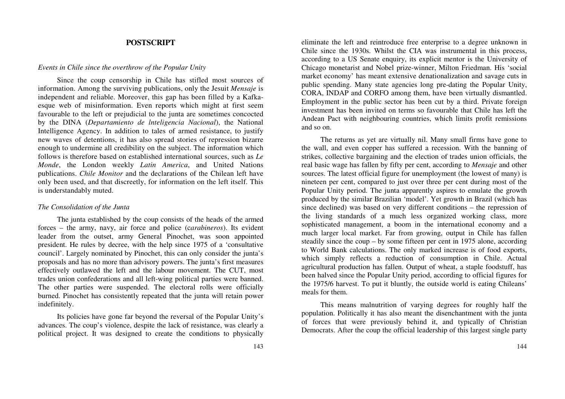# **POSTSCRIPT**

# *Events in Chile since the overthrow of the Popular Unity*

Since the coup censorship in Chile has stifled most sources of information. Among the surviving publications, only the Jesuit *Mensaje* is independent and reliable. Moreover, this gap has been filled by a Kafkaesque web of misinformation. Even reports which might at first seem favourable to the left or prejudicial to the junta are sometimes concocted by the DINA (*Departamiento de lnteligencia Nacional*), the National Intelligence Agency. In addition to tales of armed resistance, to justify new waves of detentions, it has also spread stories of repression bizarre enough to undermine all credibility on the subject. The information which follows is therefore based on established international sources, such as *Le Monde*, the London weekly *Latin America*, and United Nations publications. *Chile Monitor* and the declarations of the Chilean left have only been used, and that discreetly, for information on the left itself. This is understandably muted.

## *The Consolidation of the Junta*

The junta established by the coup consists of the heads of the armed forces – the army, navy, air force and police (c*arabineros*). Its evident leader from the outset, army General Pinochet, was soon appointed president. He rules by decree, with the help since 1975 of a 'consultative council'. Largely nominated by Pinochet, this can only consider the junta's proposals and has no more than advisory powers. The junta's first measures effectively outlawed the left and the labour movement. The CUT, most trades union confederations and all left-wing political parties were banned. The other parties were suspended. The electoral rolls were officially burned. Pinochet has consistently repeated that the junta will retain power indefinitely.

Its policies have gone far beyond the reversal of the Popular Unity's advances. The coup's violence, despite the lack of resistance, was clearly a political project. It was designed to create the conditions to physically eliminate the left and reintroduce free enterprise to a degree unknown in Chile since the 1930s. Whilst the CIA was instrumental in this process, according to a US Senate enquiry, its explicit mentor is the University of Chicago monetarist and Nobel prize-winner, Milton Friedman. His 'social market economy' has meant extensive denationalization and savage cuts in public spending. Many state agencies long pre-dating the Popular Unity, CORA, INDAP and CORFO among them, have been virtually dismantled. Employment in the public sector has been cut by a third. Private foreign investment has been invited on terms so favourable that Chile has left the Andean Pact with neighbouring countries, which limits profit remissions and so on.

The returns as yet are virtually nil. Many small firms have gone to the wall, and even copper has suffered a recession. With the banning of strikes, collective bargaining and the election of trades union officials, the real basic wage has fallen by fifty per cent, according to *Mensaje* and other sources. The latest official figure for unemployment (the lowest of many) is nineteen per cent, compared to just over three per cent during most of the Popular Unity period. The junta apparently aspires to emulate the growth produced by the similar Brazilian 'model'. Yet growth in Brazil (which has since declined) was based on very different conditions – the repression of the living standards of a much less organized working class, more sophisticated management, a boom in the international economy and a much larger local market. Far from growing, output in Chile has fallen steadily since the coup – by some fifteen per cent in 1975 alone, according to World Bank calculations. The only marked increase is of food exports, which simply reflects a reduction of consumption in Chile. Actual agricultural production has fallen. Output of wheat, a staple foodstuff, has been halved since the Popular Unity period, according to official figures for the 1975/6 harvest. To put it bluntly, the outside world is eating Chileans' meals for them.

This means malnutrition of varying degrees for roughly half the population. Politically it has also meant the disenchantment with the junta of forces that were previously behind it, and typically of Christian Democrats. After the coup the official leadership of this largest single party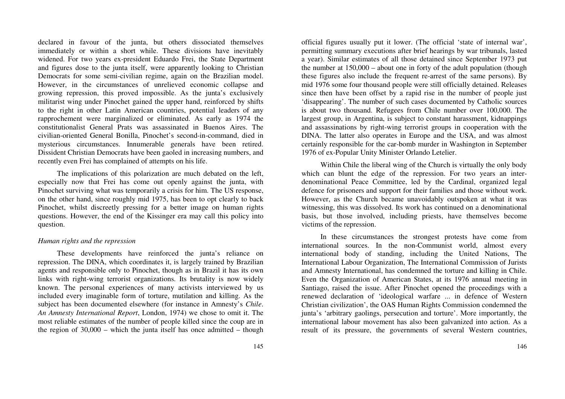declared in favour of the junta, but others dissociated themselves immediately or within a short while. These divisions have inevitably widened. For two years ex-president Eduardo Frei, the State Department and figures dose to the junta itself, were apparently looking to Christian Democrats for some semi-civilian regime, again on the Brazilian model. However, in the circumstances of unrelieved economic collapse and growing repression, this proved impossible. As the junta's exclusively militarist wing under Pinochet gained the upper hand, reinforced by shifts to the right in other Latin American countries, potential leaders of any rapprochement were marginalized or eliminated. As early as 1974 the constitutionalist General Prats was assassinated in Buenos Aires. The civilian-oriented General Bonilla, Pinochet's second-in-command, died in mysterious circumstances. Innumerable generals have been retired. Dissident Christian Democrats have been gaoled in increasing numbers, and recently even Frei has complained of attempts on his life.

The implications of this polarization are much debated on the left, especially now that Frei has come out openly against the junta, with Pinochet surviving what was temporarily a crisis for him. The US response, on the other hand, since roughly mid 1975, has been to opt clearly to back Pinochet, whilst discreetly pressing for a better image on human rights questions. However, the end of the Kissinger era may call this policy into question.

## *Human rights and the repression*

These developments have reinforced the junta's reliance on repression. The DINA, which coordinates it, is largely trained by Brazilian agents and responsible only to Pinochet, though as in Brazil it has its own links with right-wing terrorist organizations. Its brutality is now widely known. The personal experiences of many activists interviewed by us included every imaginable form of torture, mutilation and killing. As the subject has been documented elsewhere (for instance in Amnesty's *Chile*. *An Amnesty International Report*, London, 1974) we chose to omit it. The most reliable estimates of the number of people killed since the coup are in the region of 30,000 – which the junta itself has once admitted – though official figures usually put it lower. (The official 'state of internal war', permitting summary executions after brief hearings by war tribunals, lasted a year). Similar estimates of all those detained since September 1973 put the number at 150,000 – about one in forty of the adult population (though these figures also include the frequent re-arrest of the same persons). By mid 1976 some four thousand people were still officially detained. Releases since then have been offset by a rapid rise in the number of people just 'disappearing'. The number of such cases documented by Catholic sources is about two thousand. Refugees from Chile number over 100,000. The largest group, in Argentina, is subject to constant harassment, kidnappings and assassinations by right-wing terrorist groups in cooperation with the DINA. The latter also operates in Europe and the USA, and was almost certainly responsible for the car-bomb murder in Washington in September 1976 of ex-Popular Unity Minister Orlando Letelier.

Within Chile the liberal wing of the Church is virtually the only body which can blunt the edge of the repression. For two years an interdenominational Peace Committee, led by the Cardinal, organized legal defence for prisoners and support for their families and those without work. However, as the Church became unavoidably outspoken at what it was witnessing, this was dissolved. Its work has continued on a denominational basis, but those involved, including priests, have themselves become victims of the repression.

In these circumstances the strongest protests have come from international sources. In the non-Communist world, almost every international body of standing, including the United Nations, The International Labour Organization, The International Commission of Jurists and Amnesty International, has condemned the torture and killing in Chile. Even the Organization of American States, at its 1976 annual meeting in Santiago, raised the issue. After Pinochet opened the proceedings with a renewed declaration of 'ideological warfare ... in defence of Western Christian civilization', the OAS Human Rights Commission condemned the junta's 'arbitrary gaolings, persecution and torture'. More importantly, the international labour movement has also been galvanized into action. As a result of its pressure, the governments of several Western countries,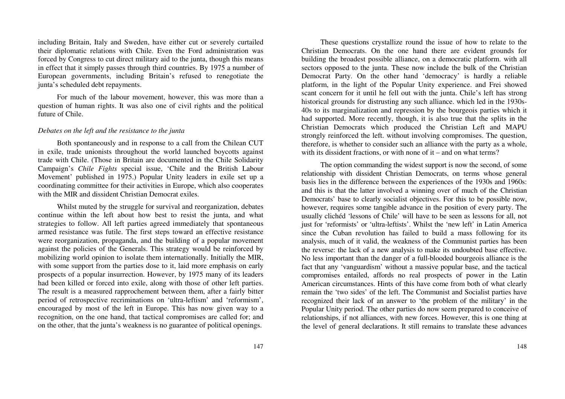including Britain, Italy and Sweden, have either cut or severely curtailed their diplomatic relations with Chile. Even the Ford administration was forced by Congress to cut direct military aid to the junta, though this means in effect that it simply passes through third countries. By 1975 a number of European governments, including Britain's refused to renegotiate the junta's scheduled debt repayments.

For much of the labour movement, however, this was more than a question of human rights. It was also one of civil rights and the political future of Chile.

### *Debates on the left and the resistance to the junta*

Both spontaneously and in response to a call from the Chilean CUT in exile, trade unionists throughout the world launched boycotts against trade with Chile. (Those in Britain are documented in the Chile Solidarity Campaign's *Chile Fights* special issue, 'Chile and the British Labour Movement' published in 1975.) Popular Unity leaders in exile set up a coordinating committee for their activities in Europe, which also cooperates with the MIR and dissident Christian Democrat exiles.

Whilst muted by the struggle for survival and reorganization, debates continue within the left about how best to resist the junta, and what strategies to follow. All left parties agreed immediately that spontaneous armed resistance was futile. The first steps toward an effective resistance were reorganization, propaganda, and the building of a popular movement against the policies of the Generals. This strategy would be reinforced by mobilizing world opinion to isolate them internationally. Initially the MIR, with some support from the parties dose to it, laid more emphasis on early prospects of a popular insurrection. However, by 1975 many of its leaders had been killed or forced into exile, along with those of other left parties. The result is a measured rapprochement between them, after a fairly bitter period of retrospective recriminations on 'ultra-leftism' and 'reformism', encouraged by most of the left in Europe. This has now given way to a recognition, on the one hand, that tactical compromises are called for; and on the other, that the junta's weakness is no guarantee of political openings.

These questions crystallize round the issue of how to relate to the Christian Democrats. On the one hand there are evident grounds for building the broadest possible alliance, on a democratic platform. with all sectors opposed to the junta. These now include the bulk of the Christian Democrat Party. On the other hand 'democracy' is hardly a reliable platform, in the light of the Popular Unity experience. and Frei showed scant concern for it until he fell out with the junta. Chile's left has strong historical grounds for distrusting any such alliance. which led in the 1930s-40s to its marginalization and repression by the bourgeois parties which it had supported. More recently, though, it is also true that the splits in the Christian Democrats which produced the Christian Left and MAPU strongly reinforced the left. without involving compromises. The question, therefore, is whether to consider such an alliance with the party as a whole, with its dissident fractions, or with none of it – and on what terms?

The option commanding the widest support is now the second, of some relationship with dissident Christian Democrats, on terms whose general basis lies in the difference between the experiences of the 1930s and 1960s: and this is that the latter involved a winning over of much of the Christian Democrats' base to clearly socialist objectives. For this to be possible now, however, requires some tangible advance in the position of every party. The usually clichéd 'lessons of Chile' will have to be seen as lessons for all, not just for 'reformists' or 'ultra-leftists'. Whilst the 'new left' in Latin America since the Cuban revolution has failed to build a mass following for its analysis, much of it valid, the weakness of the Communist parties has been the reverse: the lack of a new analysis to make its undoubted base effective. No less important than the danger of a full-blooded bourgeois alliance is the fact that any 'vanguardism' without a massive popular base, and the tactical compromises entailed, affords no real prospects of power in the Latin American circumstances. Hints of this have come from both of what clearly remain the 'two sides' of the left. The Communist and Socialist parties have recognized their lack of an answer to 'the problem of the military' in the Popular Unity period. The other parties do now seem prepared to conceive of relationships, if not alliances, with new forces. However, this is one thing at the level of general declarations. It still remains to translate these advances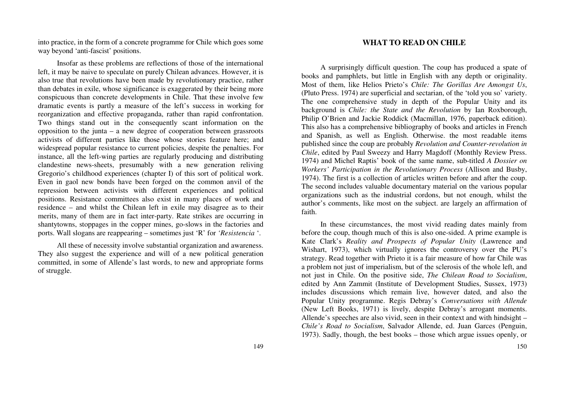into practice, in the form of a concrete programme for Chile which goes some way beyond 'anti-fascist' positions.

Insofar as these problems are reflections of those of the international left, it may be naive to speculate on purely Chilean advances. However, it is also true that revolutions have been made by revolutionary practice, rather than debates in exile, whose significance is exaggerated by their being more conspicuous than concrete developments in Chile. That these involve few dramatic events is partly a measure of the left's success in working for reorganization and effective propaganda, rather than rapid confrontation. Two things stand out in the consequently scant information on the opposition to the junta – a new degree of cooperation between grassroots activists of different parties like those whose stories feature here; and widespread popular resistance to current policies, despite the penalties. For instance, all the left-wing parties are regularly producing and distributing clandestine news-sheets, presumably with a new generation reliving Gregorio's childhood experiences (chapter I) of this sort of political work. Even in gaol new bonds have been forged on the common anvil of the repression between activists with different experiences and political positions. Resistance committees also exist in many places of work and residence – and whilst the Chilean left in exile may disagree as to their merits, many of them are in fact inter-party. Rate strikes are occurring in shantytowns, stoppages in the copper mines, go-slows in the factories and ports. Wall slogans are reappearing – sometimes just 'R' for *'Resistencia* '.

All these of necessity involve substantial organization and awareness. They also suggest the experience and will of a new political generation committed, in some of Allende's last words, to new and appropriate forms of struggle.

# **WHAT TO READ ON CHILE**

A surprisingly difficult question. The coup has produced a spate of books and pamphlets, but little in English with any depth or originality. Most of them, like Helios Prieto's *Chile: The Gorillas Are Amongst Us*, (Pluto Press. 1974) are superficial and sectarian, of the 'told you so' variety. The one comprehensive study in depth of the Popular Unity and its background is *Chile: the State and the Revolution* by Ian Roxborough, Philip O'Brien and Jackie Roddick (Macmillan, 1976, paperback edition). This also has a comprehensive bibliography of books and articles in French and Spanish, as well as English. Otherwise. the most readable items published since the coup are probably *Revolution and Counter-revolution in Chile*, edited by Paul Sweezy and Harry Magdoff (Monthly Review Press. 1974) and Michel Raptis' book of the same name, sub-titled *A Dossier on Workers' Participation in the Revolutionary Process* (Allison and Busby, 1974). The first is a collection of articles written before and after the coup. The second includes valuable documentary material on the various popular organizations such as the industrial cordons, but not enough, whilst the author's comments, like most on the subject. are largely an affirmation of faith.

In these circumstances, the most vivid reading dates mainly from before the coup, though much of this is also one-sided. A prime example is Kate Clark's *Reality and Prospects of Popular Unity* (Lawrence and Wishart, 1973), which virtually ignores the controversy over the PU's strategy. Read together with Prieto it is a fair measure of how far Chile was a problem not just of imperialism, but of the sclerosis of the whole left, and not just in Chile. On the positive side, *The Chilean Road to Socialism*, edited by Ann Zammit (Institute of Development Studies, Sussex, 1973) includes discussions which remain live, however dated, and also the Popular Unity programme. Regis Debray's *Conversations with Allende* (New Left Books, 1971) is lively, despite Debray's arrogant moments. Allende's speeches are also vivid, seen in their context and with hindsight – *Chile's Road to Socialism*, Salvador Allende, ed. Juan Garces (Penguin, 1973). Sadly, though, the best books – those which argue issues openly, or